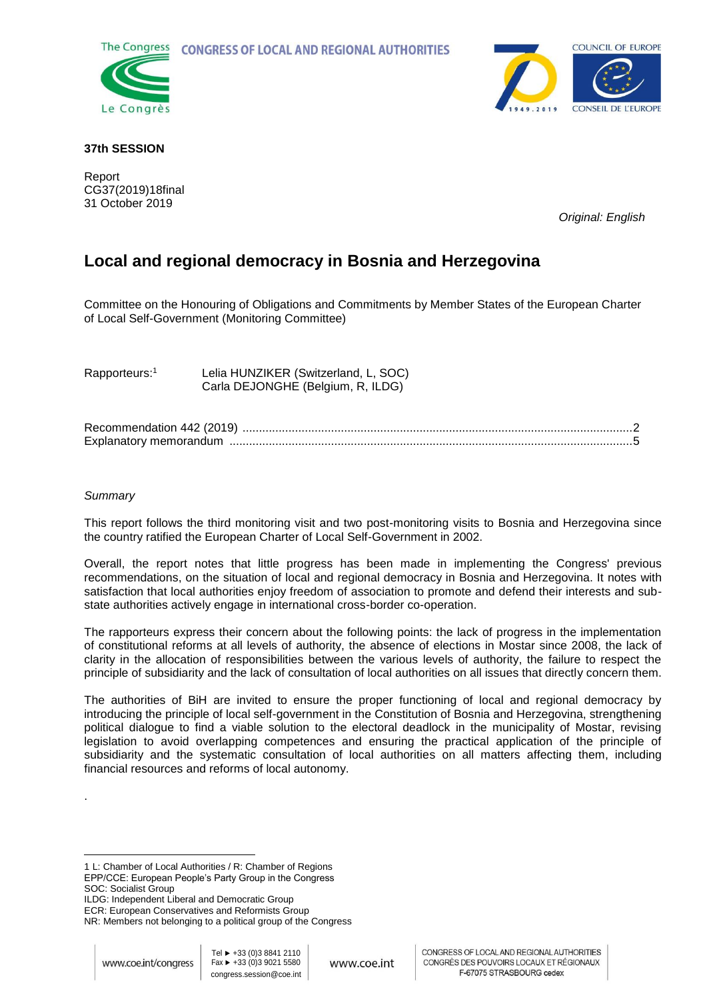**CONGRESS OF LOCAL AND REGIONAL AUTHORITIES** 





## **37th SESSION**

Report CG37(2019)18final 31 October 2019

*Original: English* 

# **Local and regional democracy in Bosnia and Herzegovina**

Committee on the Honouring of Obligations and Commitments by Member States of the European Charter of Local Self-Government (Monitoring Committee)

Rapporteurs:<sup>1</sup> Lelia HUNZIKER (Switzerland, L, SOC) Carla DEJONGHE (Belgium, R, ILDG)

| Recommendation 442 (2019) |  |
|---------------------------|--|
| Explanatory memorandum    |  |

## *Summary*

.

 $\overline{a}$ 

This report follows the third monitoring visit and two post-monitoring visits to Bosnia and Herzegovina since the country ratified the European Charter of Local Self-Government in 2002.

Overall, the report notes that little progress has been made in implementing the Congress' previous recommendations, on the situation of local and regional democracy in Bosnia and Herzegovina. It notes with satisfaction that local authorities enjoy freedom of association to promote and defend their interests and substate authorities actively engage in international cross-border co-operation.

The rapporteurs express their concern about the following points: the lack of progress in the implementation of constitutional reforms at all levels of authority, the absence of elections in Mostar since 2008, the lack of clarity in the allocation of responsibilities between the various levels of authority, the failure to respect the principle of subsidiarity and the lack of consultation of local authorities on all issues that directly concern them.

The authorities of BiH are invited to ensure the proper functioning of local and regional democracy by introducing the principle of local self-government in the Constitution of Bosnia and Herzegovina, strengthening political dialogue to find a viable solution to the electoral deadlock in the municipality of Mostar, revising legislation to avoid overlapping competences and ensuring the practical application of the principle of subsidiarity and the systematic consultation of local authorities on all matters affecting them, including financial resources and reforms of local autonomy.

<sup>1</sup> L: Chamber of Local Authorities / R: Chamber of Regions

EPP/CCE: European People's Party Group in the Congress SOC: Socialist Group

ILDG: Independent Liberal and Democratic Group

ECR: European Conservatives and Reformists Group NR: Members not belonging to a political group of the Congress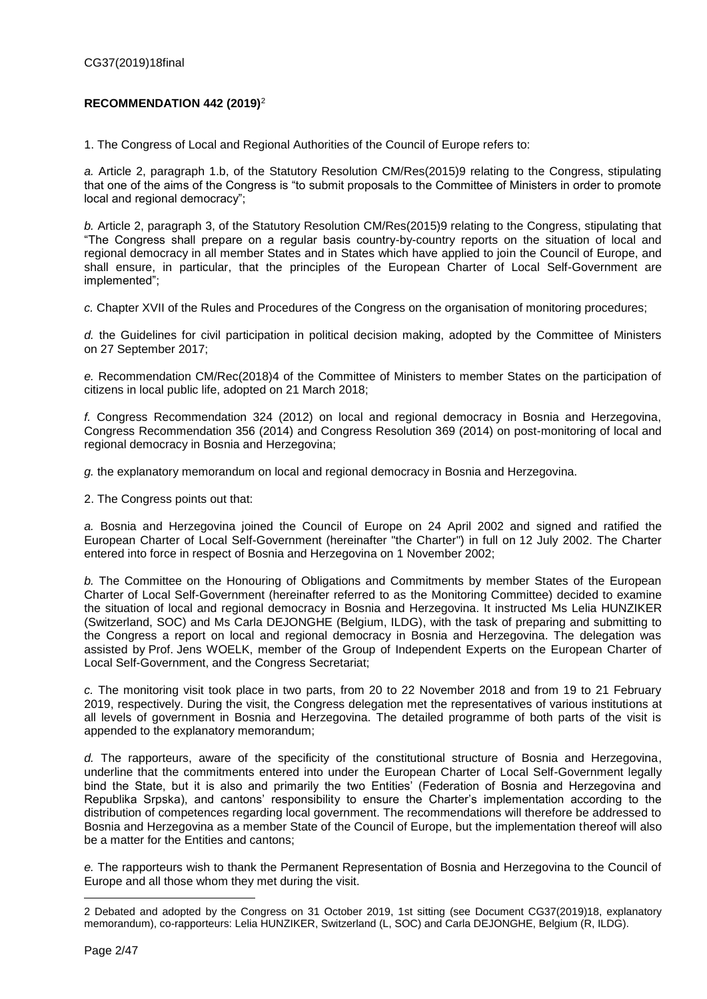## <span id="page-1-0"></span>**RECOMMENDATION 442 (2019)**<sup>2</sup>

1. The Congress of Local and Regional Authorities of the Council of Europe refers to:

*a.* Article 2, paragraph 1.b, of the Statutory Resolution CM/Res(2015)9 relating to the Congress, stipulating that one of the aims of the Congress is "to submit proposals to the Committee of Ministers in order to promote local and regional democracy";

*b.* Article 2, paragraph 3, of the Statutory Resolution CM/Res(2015)9 relating to the Congress, stipulating that "The Congress shall prepare on a regular basis country-by-country reports on the situation of local and regional democracy in all member States and in States which have applied to join the Council of Europe, and shall ensure, in particular, that the principles of the European Charter of Local Self-Government are implemented";

*c.* Chapter XVII of the Rules and Procedures of the Congress on the organisation of monitoring procedures;

*d.* the Guidelines for civil participation in political decision making, adopted by the Committee of Ministers on 27 September 2017;

*e.* Recommendation CM/Rec(2018)4 of the Committee of Ministers to member States on the participation of citizens in local public life, adopted on 21 March 2018;

*f.* Congress Recommendation 324 (2012) on local and regional democracy in Bosnia and Herzegovina, Congress [Recommendation 356 \(2014\) a](https://rm.coe.int/168071b14e#_Toc379816143)nd Congress Resolution 369 (2014) on post-monitoring of local and regional democracy in Bosnia and Herzegovina;

*g.* the explanatory memorandum on local and regional democracy in Bosnia and Herzegovina.

2. The Congress points out that:

*a.* Bosnia and Herzegovina joined the Council of Europe on 24 April 2002 and signed and ratified the European Charter of Local Self-Government (hereinafter "the Charter") in full on 12 July 2002. The Charter entered into force in respect of Bosnia and Herzegovina on 1 November 2002;

*b.* The Committee on the Honouring of Obligations and Commitments by member States of the European Charter of Local Self-Government (hereinafter referred to as the Monitoring Committee) decided to examine the situation of local and regional democracy in Bosnia and Herzegovina. It instructed Ms Lelia HUNZIKER (Switzerland, SOC) and Ms Carla DEJONGHE (Belgium, ILDG), with the task of preparing and submitting to the Congress a report on local and regional democracy in Bosnia and Herzegovina. The delegation was assisted by Prof. Jens WOELK, member of the Group of Independent Experts on the European Charter of Local Self-Government, and the Congress Secretariat;

*c.* The monitoring visit took place in two parts, from 20 to 22 November 2018 and from 19 to 21 February 2019, respectively. During the visit, the Congress delegation met the representatives of various institutions at all levels of government in Bosnia and Herzegovina. The detailed programme of both parts of the visit is appended to the explanatory memorandum;

*d.* The rapporteurs, aware of the specificity of the constitutional structure of Bosnia and Herzegovina, underline that the commitments entered into under the European Charter of Local Self-Government legally bind the State, but it is also and primarily the two Entities' (Federation of Bosnia and Herzegovina and Republika Srpska), and cantons' responsibility to ensure the Charter's implementation according to the distribution of competences regarding local government. The recommendations will therefore be addressed to Bosnia and Herzegovina as a member State of the Council of Europe, but the implementation thereof will also be a matter for the Entities and cantons;

*e.* The rapporteurs wish to thank the Permanent Representation of Bosnia and Herzegovina to the Council of Europe and all those whom they met during the visit.

<sup>2</sup> Debated and adopted by the Congress on 31 October 2019, 1st sitting (see Document CG37(2019)18, explanatory memorandum), co-rapporteurs: Lelia HUNZIKER, Switzerland (L, SOC) and Carla DEJONGHE, Belgium (R, ILDG).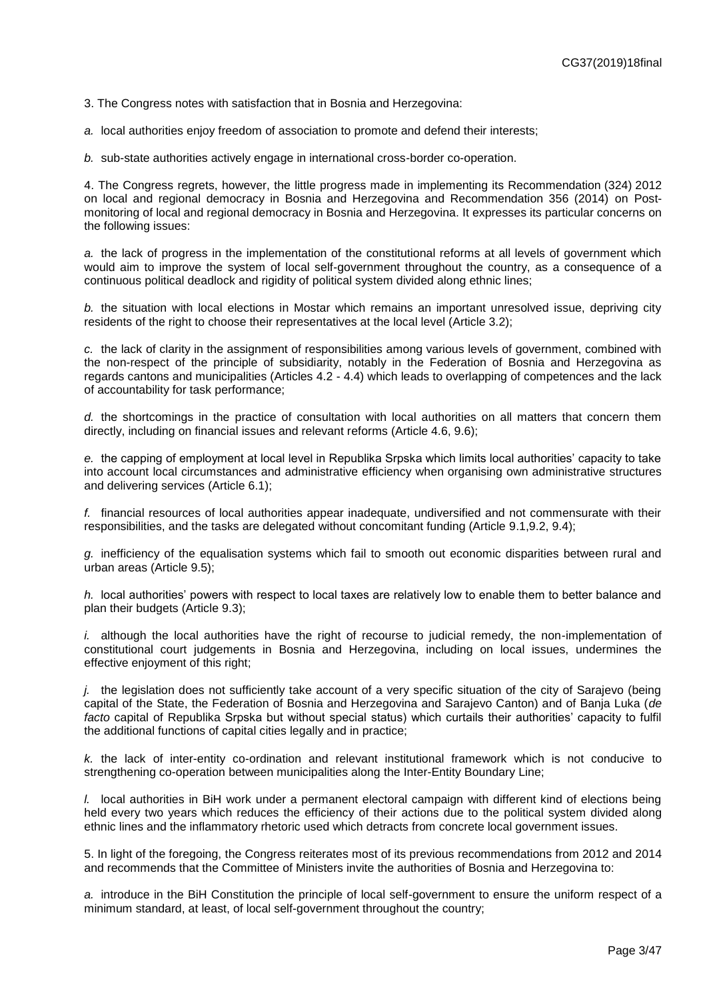3. The Congress notes with satisfaction that in Bosnia and Herzegovina:

*a.* local authorities enjoy freedom of association to promote and defend their interests;

*b.* sub-state authorities actively engage in international cross-border co-operation.

4. The Congress regrets, however, the little progress made in implementing its Recommendation (324) 2012 on local and regional democracy in Bosnia and Herzegovina and Recommendation 356 (2014) on Postmonitoring of local and regional democracy in Bosnia and Herzegovina. It expresses its particular concerns on the following issues:

*a.* the lack of progress in the implementation of the constitutional reforms at all levels of government which would aim to improve the system of local self-government throughout the country, as a consequence of a continuous political deadlock and rigidity of political system divided along ethnic lines;

*b.* the situation with local elections in Mostar which remains an important unresolved issue, depriving city residents of the right to choose their representatives at the local level (Article 3.2);

*c.* the lack of clarity in the assignment of responsibilities among various levels of government, combined with the non-respect of the principle of subsidiarity, notably in the Federation of Bosnia and Herzegovina as regards cantons and municipalities (Articles 4.2 - 4.4) which leads to overlapping of competences and the lack of accountability for task performance;

*d.* the shortcomings in the practice of consultation with local authorities on all matters that concern them directly, including on financial issues and relevant reforms (Article 4.6, 9.6);

*e.* the capping of employment at local level in Republika Srpska which limits local authorities' capacity to take into account local circumstances and administrative efficiency when organising own administrative structures and delivering services (Article 6.1);

*f.* financial resources of local authorities appear inadequate, undiversified and not commensurate with their responsibilities, and the tasks are delegated without concomitant funding (Article 9.1, 9.2, 9.4);

*g.* inefficiency of the equalisation systems which fail to smooth out economic disparities between rural and urban areas (Article 9.5);

*h.* local authorities' powers with respect to local taxes are relatively low to enable them to better balance and plan their budgets (Article 9.3);

*i.* although the local authorities have the right of recourse to judicial remedy, the non-implementation of constitutional court judgements in Bosnia and Herzegovina, including on local issues, undermines the effective enjoyment of this right;

*j.* the legislation does not sufficiently take account of a very specific situation of the city of Sarajevo (being capital of the State, the Federation of Bosnia and Herzegovina and Sarajevo Canton) and of Banja Luka (*de facto* capital of Republika Srpska but without special status) which curtails their authorities' capacity to fulfil the additional functions of capital cities legally and in practice;

*k.* the lack of inter-entity co-ordination and relevant institutional framework which is not conducive to strengthening co-operation between municipalities along the Inter-Entity Boundary Line;

*l.* local authorities in BiH work under a permanent electoral campaign with different kind of elections being held every two years which reduces the efficiency of their actions due to the political system divided along ethnic lines and the inflammatory rhetoric used which detracts from concrete local government issues.

5. In light of the foregoing, the Congress reiterates most of its previous recommendations from 2012 and 2014 and recommends that the Committee of Ministers invite the authorities of Bosnia and Herzegovina to:

*a.* introduce in the BiH Constitution the principle of local self-government to ensure the uniform respect of a minimum standard, at least, of local self-government throughout the country;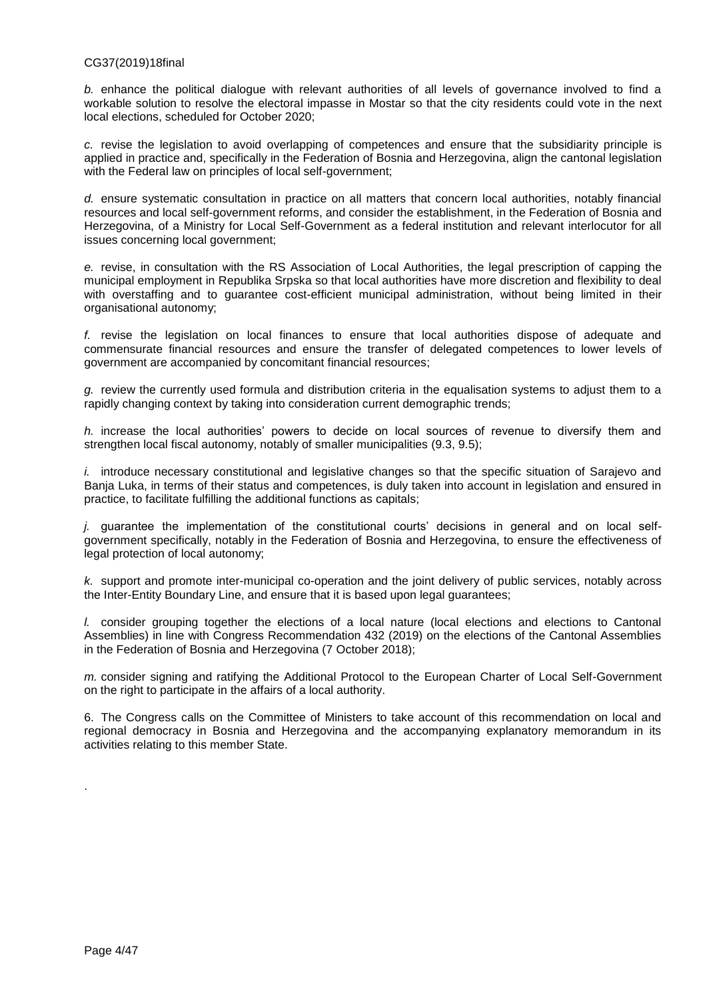### CG37(2019)18final

*b.* enhance the political dialogue with relevant authorities of all levels of governance involved to find a workable solution to resolve the electoral impasse in Mostar so that the city residents could vote in the next local elections, scheduled for October 2020;

*c.* revise the legislation to avoid overlapping of competences and ensure that the subsidiarity principle is applied in practice and, specifically in the Federation of Bosnia and Herzegovina, align the cantonal legislation with the Federal law on principles of local self-government;

*d.* ensure systematic consultation in practice on all matters that concern local authorities, notably financial resources and local self-government reforms, and consider the establishment, in the Federation of Bosnia and Herzegovina, of a Ministry for Local Self-Government as a federal institution and relevant interlocutor for all issues concerning local government;

*e.* revise, in consultation with the RS Association of Local Authorities, the legal prescription of capping the municipal employment in Republika Srpska so that local authorities have more discretion and flexibility to deal with overstaffing and to guarantee cost-efficient municipal administration, without being limited in their organisational autonomy;

*f.* revise the legislation on local finances to ensure that local authorities dispose of adequate and commensurate financial resources and ensure the transfer of delegated competences to lower levels of government are accompanied by concomitant financial resources;

*g.* review the currently used formula and distribution criteria in the equalisation systems to adjust them to a rapidly changing context by taking into consideration current demographic trends;

*h.* increase the local authorities' powers to decide on local sources of revenue to diversify them and strengthen local fiscal autonomy, notably of smaller municipalities (9.3, 9.5);

*i.* introduce necessary constitutional and legislative changes so that the specific situation of Sarajevo and Banja Luka, in terms of their status and competences, is duly taken into account in legislation and ensured in practice, to facilitate fulfilling the additional functions as capitals;

*j.* guarantee the implementation of the constitutional courts' decisions in general and on local selfgovernment specifically, notably in the Federation of Bosnia and Herzegovina, to ensure the effectiveness of legal protection of local autonomy;

*k.* support and promote inter-municipal co-operation and the joint delivery of public services, notably across the Inter-Entity Boundary Line, and ensure that it is based upon legal guarantees;

*l.* consider grouping together the elections of a local nature (local elections and elections to Cantonal Assemblies) in line with Congress Recommendation 432 (2019) on the elections of the Cantonal Assemblies in the Federation of Bosnia and Herzegovina (7 October 2018);

*m.* consider signing and ratifying the Additional Protocol to the European Charter of Local Self-Government on the right to participate in the affairs of a local authority.

6. The Congress calls on the Committee of Ministers to take account of this recommendation on local and regional democracy in Bosnia and Herzegovina and the accompanying explanatory memorandum in its activities relating to this member State.

.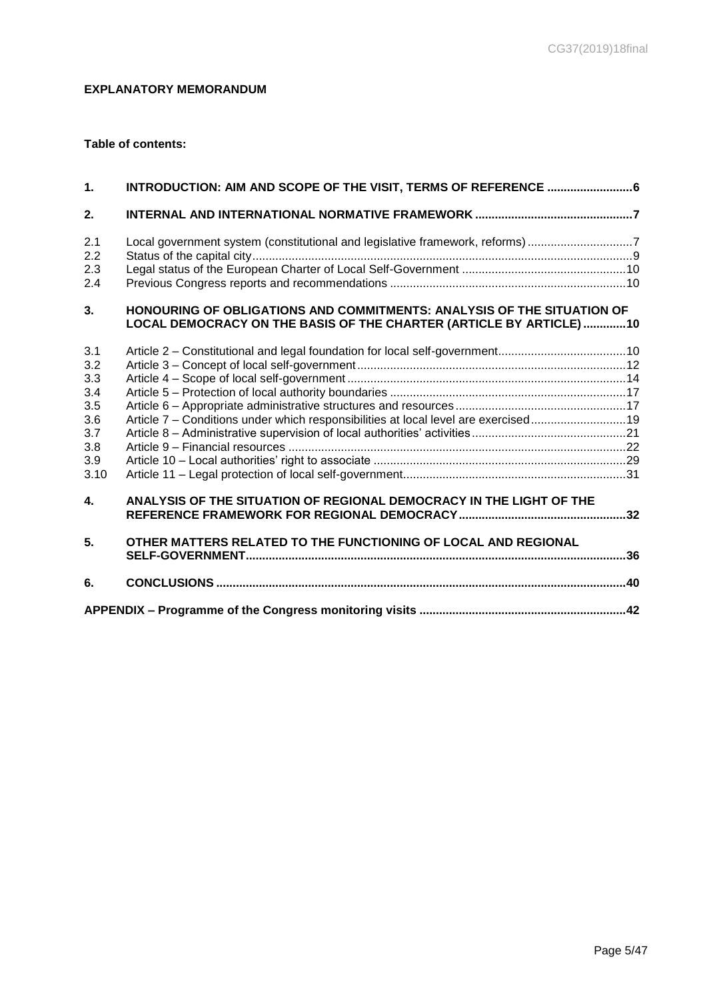# <span id="page-4-0"></span>**EXPLANATORY MEMORANDUM**

## **Table of contents:**

| $\mathbf 1$ .                                                       | INTRODUCTION: AIM AND SCOPE OF THE VISIT, TERMS OF REFERENCE 6                                                                                |  |
|---------------------------------------------------------------------|-----------------------------------------------------------------------------------------------------------------------------------------------|--|
| 2.                                                                  |                                                                                                                                               |  |
| 2.1<br>2.2<br>2.3<br>2.4                                            | Local government system (constitutional and legislative framework, reforms) 7                                                                 |  |
| 3.                                                                  | HONOURING OF OBLIGATIONS AND COMMITMENTS: ANALYSIS OF THE SITUATION OF<br>LOCAL DEMOCRACY ON THE BASIS OF THE CHARTER (ARTICLE BY ARTICLE) 10 |  |
| 3.1<br>3.2<br>3.3<br>3.4<br>3.5<br>3.6<br>3.7<br>3.8<br>3.9<br>3.10 | Article 7 - Conditions under which responsibilities at local level are exercised 19                                                           |  |
| 4.                                                                  | ANALYSIS OF THE SITUATION OF REGIONAL DEMOCRACY IN THE LIGHT OF THE                                                                           |  |
| 5.                                                                  | OTHER MATTERS RELATED TO THE FUNCTIONING OF LOCAL AND REGIONAL                                                                                |  |
| 6.                                                                  |                                                                                                                                               |  |
|                                                                     |                                                                                                                                               |  |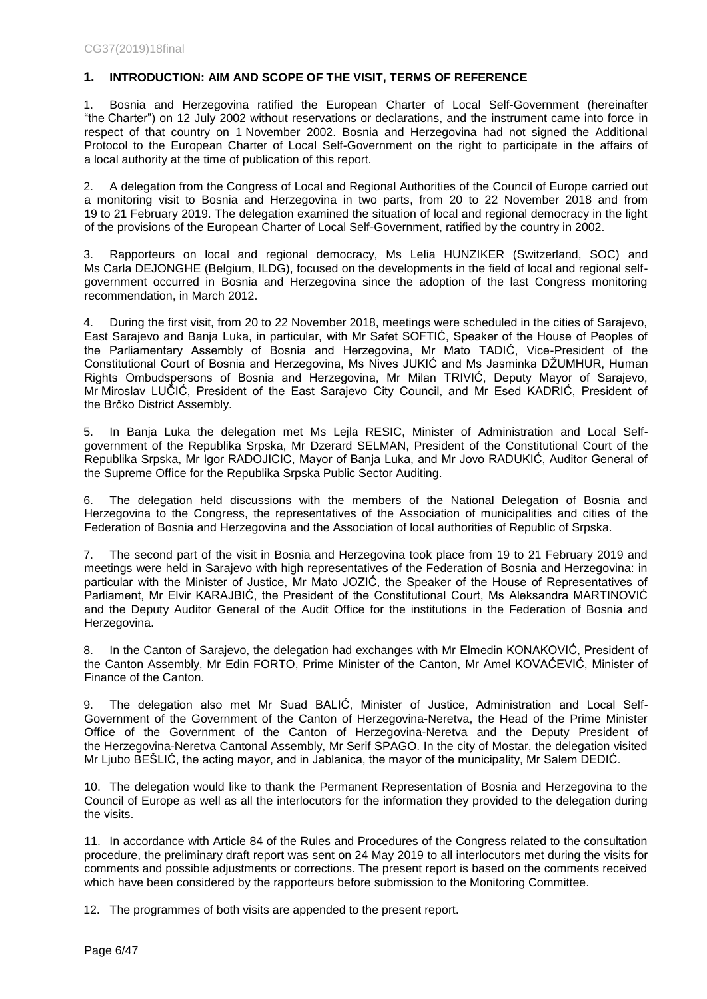## <span id="page-5-0"></span>**1. INTRODUCTION: AIM AND SCOPE OF THE VISIT, TERMS OF REFERENCE**

1. Bosnia and Herzegovina ratified the European Charter of Local Self-Government (hereinafter "the Charter") on 12 July 2002 without reservations or declarations, and the instrument came into force in respect of that country on 1 November 2002. Bosnia and Herzegovina had not signed the Additional Protocol to the European Charter of Local Self-Government on the right to participate in the affairs of a local authority at the time of publication of this report.

2. A delegation from the Congress of Local and Regional Authorities of the Council of Europe carried out a monitoring visit to Bosnia and Herzegovina in two parts, from 20 to 22 November 2018 and from 19 to 21 February 2019. The delegation examined the situation of local and regional democracy in the light of the provisions of the European Charter of Local Self-Government, ratified by the country in 2002.

3. Rapporteurs on local and regional democracy, Ms Lelia HUNZIKER (Switzerland, SOC) and Ms Carla DEJONGHE (Belgium, ILDG), focused on the developments in the field of local and regional selfgovernment occurred in Bosnia and Herzegovina since the adoption of the last Congress monitoring recommendation, in March 2012.

4. During the first visit, from 20 to 22 November 2018, meetings were scheduled in the cities of Sarajevo, East Sarajevo and Banja Luka, in particular, with Mr Safet SOFTIĆ, Speaker of the House of Peoples of the Parliamentary Assembly of Bosnia and Herzegovina, Mr Mato TADIĆ, Vice-President of the Constitutional Court of Bosnia and Herzegovina, Ms Nives JUKIĆ and Ms Jasminka DŽUMHUR, Human Rights Ombudspersons of Bosnia and Herzegovina, Mr Milan TRIVIĆ, Deputy Mayor of Sarajevo, Mr Miroslav LUČIĆ, President of the East Sarajevo City Council, and Mr Esed KADRIĆ, President of the Brčko District Assembly.

5. In Banja Luka the delegation met Ms Lejla RESIC, Minister of Administration and Local Selfgovernment of the Republika Srpska, Mr Dzerard SELMAN, President of the Constitutional Court of the Republika Srpska, Mr Igor RADOJICIC, Mayor of Banja Luka, and Mr Jovo RADUKIĆ, Auditor General of the Supreme Office for the Republika Srpska Public Sector Auditing.

6. The delegation held discussions with the members of the National Delegation of Bosnia and Herzegovina to the Congress, the representatives of the Association of municipalities and cities of the Federation of Bosnia and Herzegovina and the Association of local authorities of Republic of Srpska.

7. The second part of the visit in Bosnia and Herzegovina took place from 19 to 21 February 2019 and meetings were held in Sarajevo with high representatives of the Federation of Bosnia and Herzegovina: in particular with the Minister of Justice, Mr Mato JOZIĆ, the Speaker of the House of Representatives of Parliament, Mr Elvir KARAJBIĆ, the President of the Constitutional Court, Ms Aleksandra MARTINOVIĆ and the Deputy Auditor General of the Audit Office for the institutions in the Federation of Bosnia and Herzegovina.

8. In the Canton of Sarajevo, the delegation had exchanges with Mr Elmedin KONAKOVIĆ, President of the Canton Assembly, Mr Edin FORTO, Prime Minister of the Canton, Mr Amel KOVAĆEVIĆ, Minister of Finance of the Canton.

9. The delegation also met Mr Suad BALIĆ, Minister of Justice, Administration and Local Self-Government of the Government of the Canton of Herzegovina-Neretva, the Head of the Prime Minister Office of the Government of the Canton of Herzegovina-Neretva and the Deputy President of the Herzegovina-Neretva Cantonal Assembly, Mr Serif SPAGO. In the city of Mostar, the delegation visited Mr Ljubo BEŠLIĆ, the acting mayor, and in Jablanica, the mayor of the municipality, Mr Salem DEDIĆ.

10. The delegation would like to thank the Permanent Representation of Bosnia and Herzegovina to the Council of Europe as well as all the interlocutors for the information they provided to the delegation during the visits.

11. In accordance with Article 84 of the Rules and Procedures of the Congress related to the consultation procedure, the preliminary draft report was sent on 24 May 2019 to all interlocutors met during the visits for comments and possible adjustments or corrections. The present report is based on the comments received which have been considered by the rapporteurs before submission to the Monitoring Committee.

12. The programmes of both visits are appended to the present report.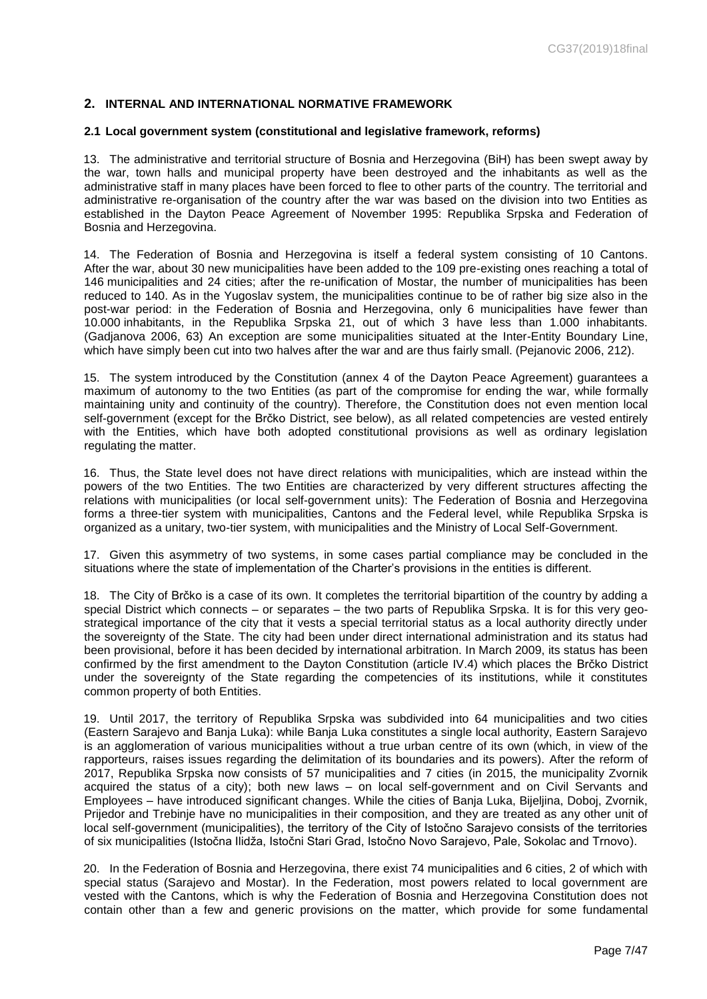### <span id="page-6-0"></span>**2. INTERNAL AND INTERNATIONAL NORMATIVE FRAMEWORK**

#### <span id="page-6-1"></span>**2.1 Local government system (constitutional and legislative framework, reforms)**

13. The administrative and territorial structure of Bosnia and Herzegovina (BiH) has been swept away by the war, town halls and municipal property have been destroyed and the inhabitants as well as the administrative staff in many places have been forced to flee to other parts of the country. The territorial and administrative re-organisation of the country after the war was based on the division into two Entities as established in the Dayton Peace Agreement of November 1995: Republika Srpska and Federation of Bosnia and Herzegovina.

14. The Federation of Bosnia and Herzegovina is itself a federal system consisting of 10 Cantons. After the war, about 30 new municipalities have been added to the 109 pre-existing ones reaching a total of 146 municipalities and 24 cities; after the re-unification of Mostar, the number of municipalities has been reduced to 140. As in the Yugoslav system, the municipalities continue to be of rather big size also in the post-war period: in the Federation of Bosnia and Herzegovina, only 6 municipalities have fewer than 10.000 inhabitants, in the Republika Srpska 21, out of which 3 have less than 1.000 inhabitants. (Gadjanova 2006, 63) An exception are some municipalities situated at the Inter-Entity Boundary Line, which have simply been cut into two halves after the war and are thus fairly small. (Pejanovic 2006, 212).

15. The system introduced by the Constitution (annex 4 of the Dayton Peace Agreement) guarantees a maximum of autonomy to the two Entities (as part of the compromise for ending the war, while formally maintaining unity and continuity of the country). Therefore, the Constitution does not even mention local self-government (except for the Brčko District, see below), as all related competencies are vested entirely with the Entities, which have both adopted constitutional provisions as well as ordinary legislation regulating the matter.

16. Thus, the State level does not have direct relations with municipalities, which are instead within the powers of the two Entities. The two Entities are characterized by very different structures affecting the relations with municipalities (or local self-government units): The Federation of Bosnia and Herzegovina forms a three-tier system with municipalities, Cantons and the Federal level, while Republika Srpska is organized as a unitary, two-tier system, with municipalities and the Ministry of Local Self-Government.

17. Given this asymmetry of two systems, in some cases partial compliance may be concluded in the situations where the state of implementation of the Charter's provisions in the entities is different.

18. The City of Brčko is a case of its own. It completes the territorial bipartition of the country by adding a special District which connects – or separates – the two parts of Republika Srpska. It is for this very geostrategical importance of the city that it vests a special territorial status as a local authority directly under the sovereignty of the State. The city had been under direct international administration and its status had been provisional, before it has been decided by international arbitration. In March 2009, its status has been confirmed by the first amendment to the Dayton Constitution (article IV.4) which places the Brčko District under the sovereignty of the State regarding the competencies of its institutions, while it constitutes common property of both Entities.

19. Until 2017, the territory of Republika Srpska was subdivided into 64 municipalities and two cities (Eastern Sarajevo and Banja Luka): while Banja Luka constitutes a single local authority, Eastern Sarajevo is an agglomeration of various municipalities without a true urban centre of its own (which, in view of the rapporteurs, raises issues regarding the delimitation of its boundaries and its powers). After the reform of 2017, Republika Srpska now consists of 57 municipalities and 7 cities (in 2015, the municipality Zvornik acquired the status of a city); both new laws – on local self-government and on Civil Servants and Employees – have introduced significant changes. While the cities of Banja Luka, Bijeljina, Doboj, Zvornik, Prijedor and Trebinje have no municipalities in their composition, and they are treated as any other unit of local self-government (municipalities), the territory of the City of Istočno Sarajevo consists of the territories of six municipalities (Istočna Ilidža, Istočni Stari Grad, Istočno Novo Sarajevo, Pale, Sokolac and Trnovo).

20. In the Federation of Bosnia and Herzegovina, there exist 74 municipalities and 6 cities, 2 of which with special status (Sarajevo and Mostar). In the Federation, most powers related to local government are vested with the Cantons, which is why the Federation of Bosnia and Herzegovina Constitution does not contain other than a few and generic provisions on the matter, which provide for some fundamental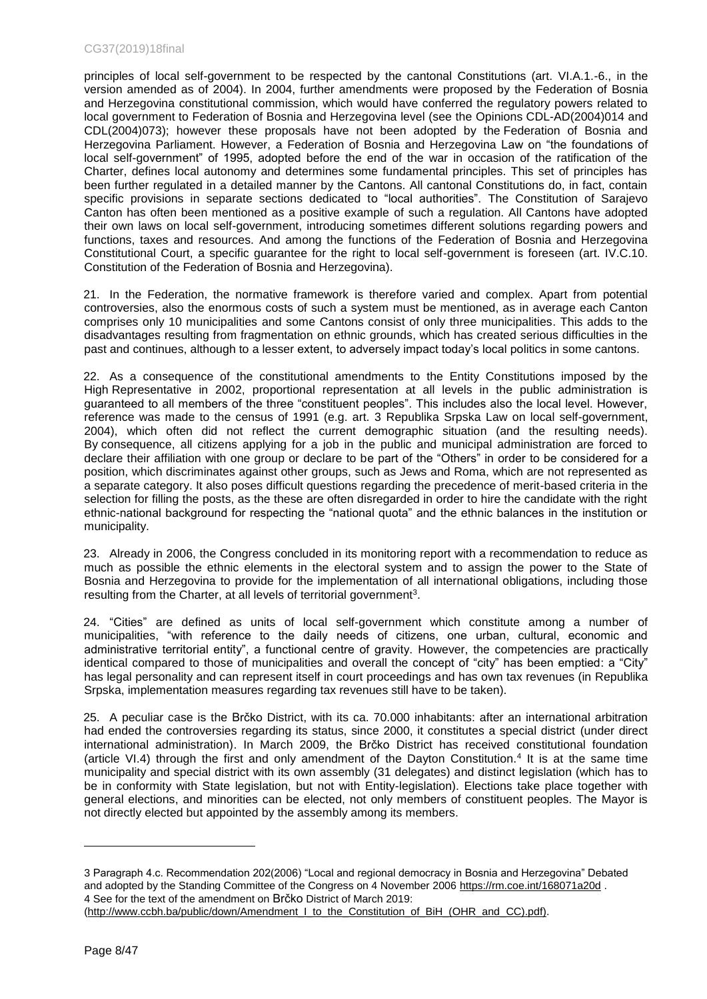### CG37(2019)18final

principles of local self-government to be respected by the cantonal Constitutions (art. VI.A.1.-6., in the version amended as of 2004). In 2004, further amendments were proposed by the Federation of Bosnia and Herzegovina constitutional commission, which would have conferred the regulatory powers related to local government to Federation of Bosnia and Herzegovina level (see the Opinions CDL-AD(2004)014 and CDL(2004)073); however these proposals have not been adopted by the Federation of Bosnia and Herzegovina Parliament. However, a Federation of Bosnia and Herzegovina Law on "the foundations of local self-government" of 1995, adopted before the end of the war in occasion of the ratification of the Charter, defines local autonomy and determines some fundamental principles. This set of principles has been further regulated in a detailed manner by the Cantons. All cantonal Constitutions do, in fact, contain specific provisions in separate sections dedicated to "local authorities". The Constitution of Sarajevo Canton has often been mentioned as a positive example of such a regulation. All Cantons have adopted their own laws on local self-government, introducing sometimes different solutions regarding powers and functions, taxes and resources. And among the functions of the Federation of Bosnia and Herzegovina Constitutional Court, a specific guarantee for the right to local self-government is foreseen (art. IV.C.10. Constitution of the Federation of Bosnia and Herzegovina).

21. In the Federation, the normative framework is therefore varied and complex. Apart from potential controversies, also the enormous costs of such a system must be mentioned, as in average each Canton comprises only 10 municipalities and some Cantons consist of only three municipalities. This adds to the disadvantages resulting from fragmentation on ethnic grounds, which has created serious difficulties in the past and continues, although to a lesser extent, to adversely impact today's local politics in some cantons.

22. As a consequence of the constitutional amendments to the Entity Constitutions imposed by the High Representative in 2002, proportional representation at all levels in the public administration is guaranteed to all members of the three "constituent peoples". This includes also the local level. However, reference was made to the census of 1991 (e.g. art. 3 Republika Srpska Law on local self-government, 2004), which often did not reflect the current demographic situation (and the resulting needs). By consequence, all citizens applying for a job in the public and municipal administration are forced to declare their affiliation with one group or declare to be part of the "Others" in order to be considered for a position, which discriminates against other groups, such as Jews and Roma, which are not represented as a separate category. It also poses difficult questions regarding the precedence of merit-based criteria in the selection for filling the posts, as the these are often disregarded in order to hire the candidate with the right ethnic-national background for respecting the "national quota" and the ethnic balances in the institution or municipality.

23. Already in 2006, the Congress concluded in its monitoring report with a recommendation to reduce as much as possible the ethnic elements in the electoral system and to assign the power to the State of Bosnia and Herzegovina to provide for the implementation of all international obligations, including those resulting from the Charter, at all levels of territorial government<sup>3</sup>.

24. "Cities" are defined as units of local self-government which constitute among a number of municipalities, "with reference to the daily needs of citizens, one urban, cultural, economic and administrative territorial entity", a functional centre of gravity. However, the competencies are practically identical compared to those of municipalities and overall the concept of "city" has been emptied: a "City" has legal personality and can represent itself in court proceedings and has own tax revenues (in Republika Srpska, implementation measures regarding tax revenues still have to be taken).

25. A peculiar case is the Brčko District, with its ca. 70.000 inhabitants: after an international arbitration had ended the controversies regarding its status, since 2000, it constitutes a special district (under direct international administration). In March 2009, the Brčko District has received constitutional foundation (article VI.4) through the first and only amendment of the Dayton Constitution.<sup>4</sup> It is at the same time municipality and special district with its own assembly (31 delegates) and distinct legislation (which has to be in conformity with State legislation, but not with Entity-legislation). Elections take place together with general elections, and minorities can be elected, not only members of constituent peoples. The Mayor is not directly elected but appointed by the assembly among its members.

<sup>3</sup> Paragraph 4.c. Recommendation 202(2006) "Local and regional democracy in Bosnia and Herzegovina" Debated and adopted by the Standing Committee of the Congress on 4 November 2006<https://rm.coe.int/168071a20d> . 4 See for the text of the amendment on Brčko District of March 2019:

<sup>(</sup>http://www.ccbh.ba/public/down/Amendment I to the Constitution of BiH (OHR and CC).pdf).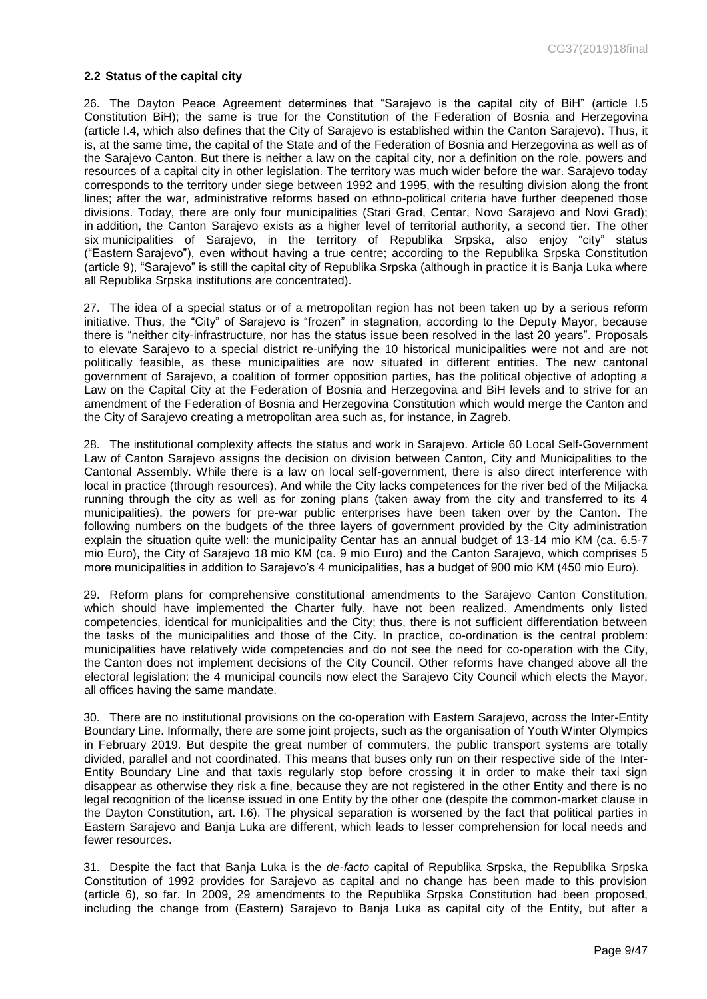#### <span id="page-8-0"></span>**2.2 Status of the capital city**

26. The Dayton Peace Agreement determines that "Sarajevo is the capital city of BiH" (article I.5 Constitution BiH); the same is true for the Constitution of the Federation of Bosnia and Herzegovina (article I.4, which also defines that the City of Sarajevo is established within the Canton Sarajevo). Thus, it is, at the same time, the capital of the State and of the Federation of Bosnia and Herzegovina as well as of the Sarajevo Canton. But there is neither a law on the capital city, nor a definition on the role, powers and resources of a capital city in other legislation. The territory was much wider before the war. Sarajevo today corresponds to the territory under siege between 1992 and 1995, with the resulting division along the front lines; after the war, administrative reforms based on ethno-political criteria have further deepened those divisions. Today, there are only four municipalities (Stari Grad, Centar, Novo Sarajevo and Novi Grad); in addition, the Canton Sarajevo exists as a higher level of territorial authority, a second tier. The other six municipalities of Sarajevo, in the territory of Republika Srpska, also enjoy "city" status ("Eastern Sarajevo"), even without having a true centre; according to the Republika Srpska Constitution (article 9), "Sarajevo" is still the capital city of Republika Srpska (although in practice it is Banja Luka where all Republika Srpska institutions are concentrated).

27. The idea of a special status or of a metropolitan region has not been taken up by a serious reform initiative. Thus, the "City" of Sarajevo is "frozen" in stagnation, according to the Deputy Mayor, because there is "neither city-infrastructure, nor has the status issue been resolved in the last 20 years". Proposals to elevate Sarajevo to a special district re-unifying the 10 historical municipalities were not and are not politically feasible, as these municipalities are now situated in different entities. The new cantonal government of Sarajevo, a coalition of former opposition parties, has the political objective of adopting a Law on the Capital City at the Federation of Bosnia and Herzegovina and BiH levels and to strive for an amendment of the Federation of Bosnia and Herzegovina Constitution which would merge the Canton and the City of Sarajevo creating a metropolitan area such as, for instance, in Zagreb.

28. The institutional complexity affects the status and work in Sarajevo. Article 60 Local Self-Government Law of Canton Sarajevo assigns the decision on division between Canton, City and Municipalities to the Cantonal Assembly. While there is a law on local self-government, there is also direct interference with local in practice (through resources). And while the City lacks competences for the river bed of the Miljacka running through the city as well as for zoning plans (taken away from the city and transferred to its 4 municipalities), the powers for pre-war public enterprises have been taken over by the Canton. The following numbers on the budgets of the three layers of government provided by the City administration explain the situation quite well: the municipality Centar has an annual budget of 13-14 mio KM (ca. 6.5-7 mio Euro), the City of Sarajevo 18 mio KM (ca. 9 mio Euro) and the Canton Sarajevo, which comprises 5 more municipalities in addition to Sarajevo's 4 municipalities, has a budget of 900 mio KM (450 mio Euro).

29. Reform plans for comprehensive constitutional amendments to the Sarajevo Canton Constitution, which should have implemented the Charter fully, have not been realized. Amendments only listed competencies, identical for municipalities and the City; thus, there is not sufficient differentiation between the tasks of the municipalities and those of the City. In practice, co-ordination is the central problem: municipalities have relatively wide competencies and do not see the need for co-operation with the City, the Canton does not implement decisions of the City Council. Other reforms have changed above all the electoral legislation: the 4 municipal councils now elect the Sarajevo City Council which elects the Mayor, all offices having the same mandate.

30. There are no institutional provisions on the co-operation with Eastern Sarajevo, across the Inter-Entity Boundary Line. Informally, there are some joint projects, such as the organisation of Youth Winter Olympics in February 2019. But despite the great number of commuters, the public transport systems are totally divided, parallel and not coordinated. This means that buses only run on their respective side of the Inter-Entity Boundary Line and that taxis regularly stop before crossing it in order to make their taxi sign disappear as otherwise they risk a fine, because they are not registered in the other Entity and there is no legal recognition of the license issued in one Entity by the other one (despite the common-market clause in the Dayton Constitution, art. I.6). The physical separation is worsened by the fact that political parties in Eastern Sarajevo and Banja Luka are different, which leads to lesser comprehension for local needs and fewer resources.

31. Despite the fact that Banja Luka is the *de-facto* capital of Republika Srpska, the Republika Srpska Constitution of 1992 provides for Sarajevo as capital and no change has been made to this provision (article 6), so far. In 2009, 29 amendments to the Republika Srpska Constitution had been proposed, including the change from (Eastern) Sarajevo to Banja Luka as capital city of the Entity, but after a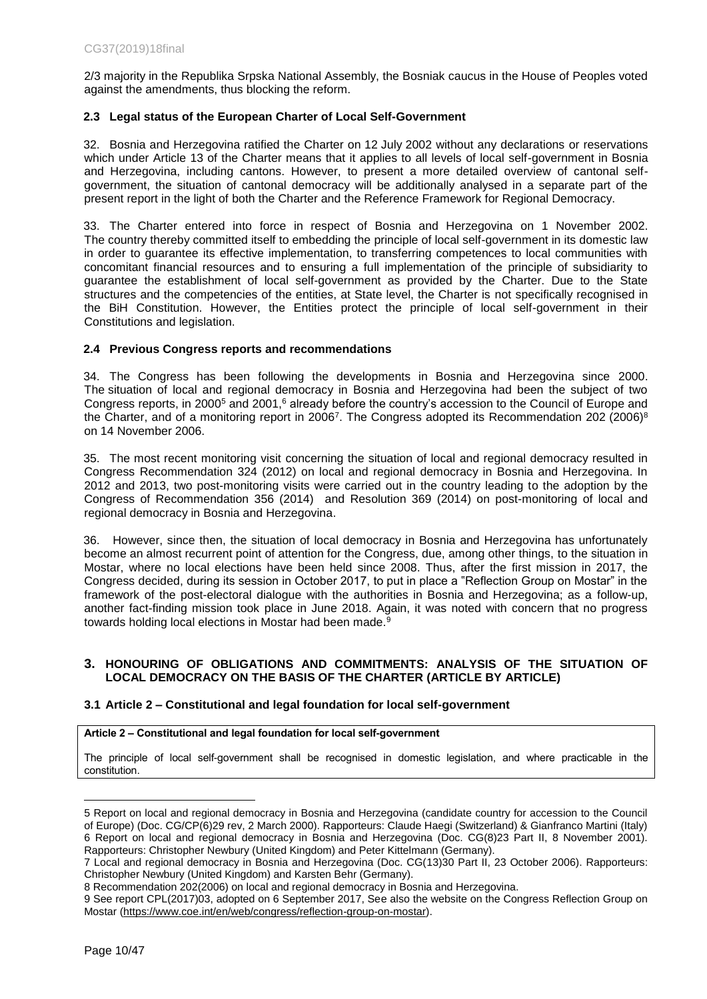2/3 majority in the Republika Srpska National Assembly, the Bosniak caucus in the House of Peoples voted against the amendments, thus blocking the reform.

## <span id="page-9-0"></span>**2.3 Legal status of the European Charter of Local Self-Government**

32. Bosnia and Herzegovina ratified the Charter on 12 July 2002 without any declarations or reservations which under Article 13 of the Charter means that it applies to all levels of local self-government in Bosnia and Herzegovina, including cantons. However, to present a more detailed overview of cantonal selfgovernment, the situation of cantonal democracy will be additionally analysed in a separate part of the present report in the light of both the Charter and the Reference Framework for Regional Democracy.

33. The Charter entered into force in respect of Bosnia and Herzegovina on 1 November 2002. The country thereby committed itself to embedding the principle of local self-government in its domestic law in order to guarantee its effective implementation, to transferring competences to local communities with concomitant financial resources and to ensuring a full implementation of the principle of subsidiarity to guarantee the establishment of local self-government as provided by the Charter. Due to the State structures and the competencies of the entities, at State level, the Charter is not specifically recognised in the BiH Constitution. However, the Entities protect the principle of local self-government in their Constitutions and legislation.

## <span id="page-9-1"></span>**2.4 Previous Congress reports and recommendations**

34. The Congress has been following the developments in Bosnia and Herzegovina since 2000. The situation of local and regional democracy in Bosnia and Herzegovina had been the subject of two Congress reports, in 2000<sup>5</sup> and 2001,<sup>6</sup> already before the country's accession to the Council of Europe and the Charter, and of a monitoring report in 2006<sup>7</sup>. The Congress adopted its Recommendation 202 (2006)<sup>8</sup> on 14 November 2006.

35. The most recent monitoring visit concerning the situation of local and regional democracy resulted in Congress Recommendation 324 (2012) on local and regional democracy in Bosnia and Herzegovina. In 2012 and 2013, two post-monitoring visits were carried out in the country leading to the adoption by the Congress of [Recommendation 356 \(2014\)](https://rm.coe.int/168071b14e#_Toc379816143) and Resolution 369 (2014) on post-monitoring of local and regional democracy in Bosnia and Herzegovina.

36. However, since then, the situation of local democracy in Bosnia and Herzegovina has unfortunately become an almost recurrent point of attention for the Congress, due, among other things, to the situation in Mostar, where no local elections have been held since 2008. Thus, after the first mission in 2017, the Congress decided, during its session in October 2017, to put in place a "Reflection Group on Mostar" in the framework of the post-electoral dialogue with the authorities in Bosnia and Herzegovina; as a follow-up, another fact-finding mission took place in June 2018. Again, it was noted with concern that no progress towards holding local elections in Mostar had been made.<sup>9</sup>

## <span id="page-9-2"></span>**3. HONOURING OF OBLIGATIONS AND COMMITMENTS: ANALYSIS OF THE SITUATION OF LOCAL DEMOCRACY ON THE BASIS OF THE CHARTER (ARTICLE BY ARTICLE)**

## <span id="page-9-3"></span>**3.1 Article 2 – Constitutional and legal foundation for local self-government**

### **Article 2 – Constitutional and legal foundation for local self-government**

The principle of local self-government shall be recognised in domestic legislation, and where practicable in the constitution.

<sup>5</sup> Report on local and regional democracy in Bosnia and Herzegovina (candidate country for accession to the Council of Europe) (Doc. CG/CP(6)29 rev, 2 March 2000). Rapporteurs: Claude Haegi (Switzerland) & Gianfranco Martini (Italy) 6 Report on local and regional democracy in Bosnia and Herzegovina (Doc. CG(8)23 Part II, 8 November 2001). Rapporteurs: Christopher Newbury (United Kingdom) and Peter Kittelmann (Germany).

<sup>7</sup> Local and regional democracy in Bosnia and Herzegovina (Doc. CG(13)30 Part II, 23 October 2006). Rapporteurs: Christopher Newbury (United Kingdom) and Karsten Behr (Germany).

<sup>8</sup> Recommendation 202(2006) on local and regional democracy in Bosnia and Herzegovina.

<sup>9</sup> See report CPL(2017)03, adopted on 6 September 2017, See also the website on the Congress Reflection Group on Mostar [\(https://www.coe.int/en/web/congress/reflection-group-on-mostar\)](https://www.coe.int/en/web/congress/reflection-group-on-mostar).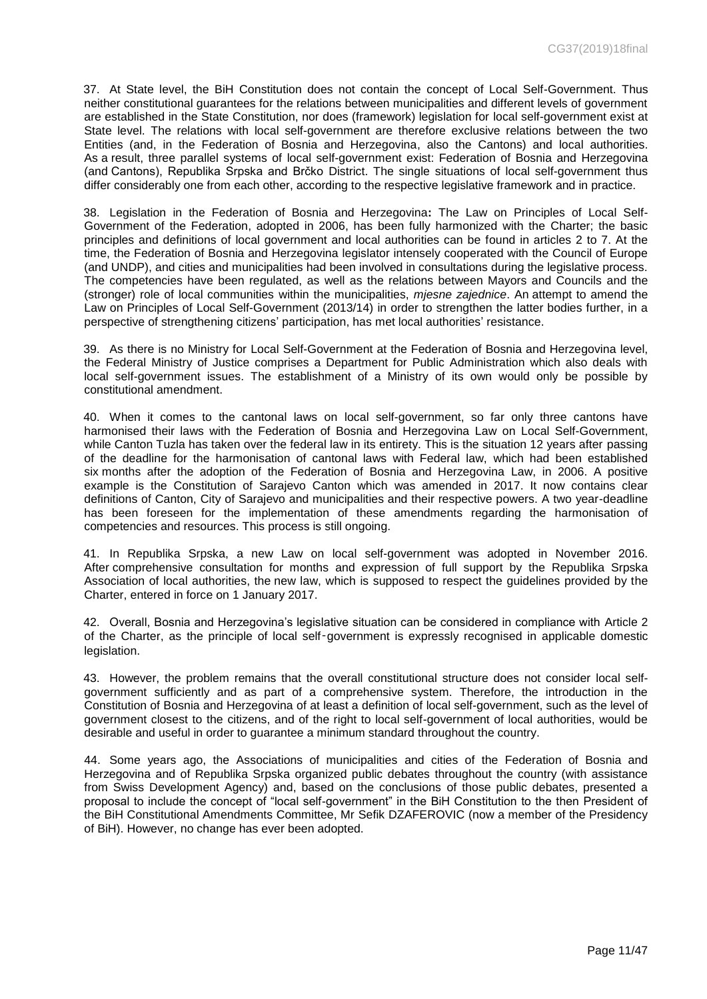37. At State level, the BiH Constitution does not contain the concept of Local Self-Government. Thus neither constitutional guarantees for the relations between municipalities and different levels of government are established in the State Constitution, nor does (framework) legislation for local self-government exist at State level. The relations with local self-government are therefore exclusive relations between the two Entities (and, in the Federation of Bosnia and Herzegovina, also the Cantons) and local authorities. As a result, three parallel systems of local self-government exist: Federation of Bosnia and Herzegovina (and Cantons), Republika Srpska and Brčko District. The single situations of local self-government thus differ considerably one from each other, according to the respective legislative framework and in practice.

38. Legislation in the Federation of Bosnia and Herzegovina**:** The Law on Principles of Local Self-Government of the Federation, adopted in 2006, has been fully harmonized with the Charter; the basic principles and definitions of local government and local authorities can be found in articles 2 to 7. At the time, the Federation of Bosnia and Herzegovina legislator intensely cooperated with the Council of Europe (and UNDP), and cities and municipalities had been involved in consultations during the legislative process. The competencies have been regulated, as well as the relations between Mayors and Councils and the (stronger) role of local communities within the municipalities, *mjesne zajednice*. An attempt to amend the Law on Principles of Local Self-Government (2013/14) in order to strengthen the latter bodies further, in a perspective of strengthening citizens' participation, has met local authorities' resistance.

39. As there is no Ministry for Local Self-Government at the Federation of Bosnia and Herzegovina level, the Federal Ministry of Justice comprises a Department for Public Administration which also deals with local self-government issues. The establishment of a Ministry of its own would only be possible by constitutional amendment.

40. When it comes to the cantonal laws on local self-government, so far only three cantons have harmonised their laws with the Federation of Bosnia and Herzegovina Law on Local Self-Government, while Canton Tuzla has taken over the federal law in its entirety. This is the situation 12 years after passing of the deadline for the harmonisation of cantonal laws with Federal law, which had been established six months after the adoption of the Federation of Bosnia and Herzegovina Law, in 2006. A positive example is the Constitution of Sarajevo Canton which was amended in 2017. It now contains clear definitions of Canton, City of Sarajevo and municipalities and their respective powers. A two year-deadline has been foreseen for the implementation of these amendments regarding the harmonisation of competencies and resources. This process is still ongoing.

41. In Republika Srpska, a new Law on local self-government was adopted in November 2016. After comprehensive consultation for months and expression of full support by the Republika Srpska Association of local authorities, the new law, which is supposed to respect the guidelines provided by the Charter, entered in force on 1 January 2017.

42. Overall, Bosnia and Herzegovina's legislative situation can be considered in compliance with Article 2 of the Charter, as the principle of local self‑government is expressly recognised in applicable domestic legislation.

43. However, the problem remains that the overall constitutional structure does not consider local selfgovernment sufficiently and as part of a comprehensive system. Therefore, the introduction in the Constitution of Bosnia and Herzegovina of at least a definition of local self-government, such as the level of government closest to the citizens, and of the right to local self-government of local authorities, would be desirable and useful in order to guarantee a minimum standard throughout the country.

44. Some years ago, the Associations of municipalities and cities of the Federation of Bosnia and Herzegovina and of Republika Srpska organized public debates throughout the country (with assistance from Swiss Development Agency) and, based on the conclusions of those public debates, presented a proposal to include the concept of "local self-government" in the BiH Constitution to the then President of the BiH Constitutional Amendments Committee, Mr Sefik DZAFEROVIC (now a member of the Presidency of BiH). However, no change has ever been adopted.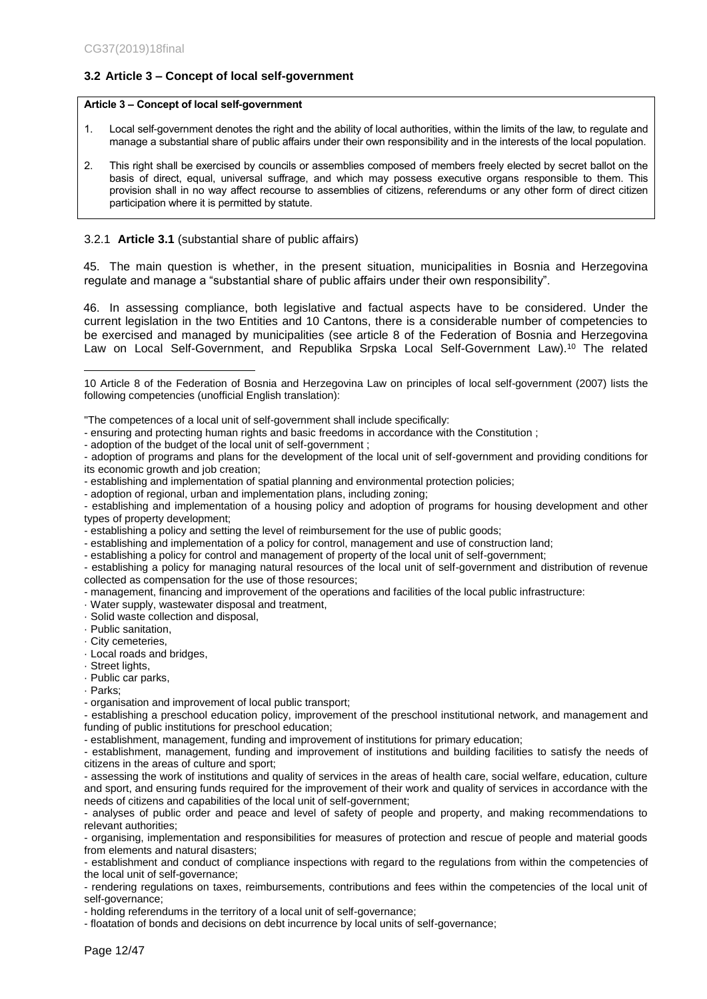## <span id="page-11-0"></span>**3.2 Article 3 – Concept of local self-government**

#### **Article 3 – Concept of local self-government**

- 1. Local self-government denotes the right and the ability of local authorities, within the limits of the law, to regulate and manage a substantial share of public affairs under their own responsibility and in the interests of the local population.
- 2. This right shall be exercised by councils or assemblies composed of members freely elected by secret ballot on the basis of direct, equal, universal suffrage, and which may possess executive organs responsible to them. This provision shall in no way affect recourse to assemblies of citizens, referendums or any other form of direct citizen participation where it is permitted by statute.

## 3.2.1 **Article 3.1** (substantial share of public affairs)

45. The main question is whether, in the present situation, municipalities in Bosnia and Herzegovina regulate and manage a "substantial share of public affairs under their own responsibility".

46. In assessing compliance, both legislative and factual aspects have to be considered. Under the current legislation in the two Entities and 10 Cantons, there is a considerable number of competencies to be exercised and managed by municipalities (see article 8 of the Federation of Bosnia and Herzegovina Law on Local Self-Government, and Republika Srpska Local Self-Government Law). <sup>10</sup> The related

- ensuring and protecting human rights and basic freedoms in accordance with the Constitution ;

- establishing and implementation of spatial planning and environmental protection policies;
- adoption of regional, urban and implementation plans, including zoning;
- establishing and implementation of a housing policy and adoption of programs for housing development and other types of property development;
- establishing a policy and setting the level of reimbursement for the use of public goods;

- establishing and implementation of a policy for control, management and use of construction land;

- establishing a policy for control and management of property of the local unit of self-government;

- establishing a policy for managing natural resources of the local unit of self-government and distribution of revenue collected as compensation for the use of those resources;
- management, financing and improvement of the operations and facilities of the local public infrastructure:

· Water supply, wastewater disposal and treatment,

· Solid waste collection and disposal,

- · Public sanitation,
- · City cemeteries,
- · Local roads and bridges,
- · Street lights,
- · Public car parks,
- · Parks;

 $\overline{a}$ 

- organisation and improvement of local public transport;

- establishing a preschool education policy, improvement of the preschool institutional network, and management and funding of public institutions for preschool education;

- establishment, management, funding and improvement of institutions for primary education;

- establishment, management, funding and improvement of institutions and building facilities to satisfy the needs of citizens in the areas of culture and sport;

- assessing the work of institutions and quality of services in the areas of health care, social welfare, education, culture and sport, and ensuring funds required for the improvement of their work and quality of services in accordance with the needs of citizens and capabilities of the local unit of self-government;

- analyses of public order and peace and level of safety of people and property, and making recommendations to relevant authorities;

- organising, implementation and responsibilities for measures of protection and rescue of people and material goods from elements and natural disasters;

- establishment and conduct of compliance inspections with regard to the regulations from within the competencies of the local unit of self-governance;

- rendering regulations on taxes, reimbursements, contributions and fees within the competencies of the local unit of self-governance;

- holding referendums in the territory of a local unit of self-governance;

- floatation of bonds and decisions on debt incurrence by local units of self-governance;

<sup>10</sup> Article 8 of the Federation of Bosnia and Herzegovina Law on principles of local self-government (2007) lists the following competencies (unofficial English translation):

<sup>&</sup>quot;The competences of a local unit of self-government shall include specifically:

<sup>-</sup> adoption of the budget of the local unit of self-government ;

<sup>-</sup> adoption of programs and plans for the development of the local unit of self-government and providing conditions for its economic growth and job creation;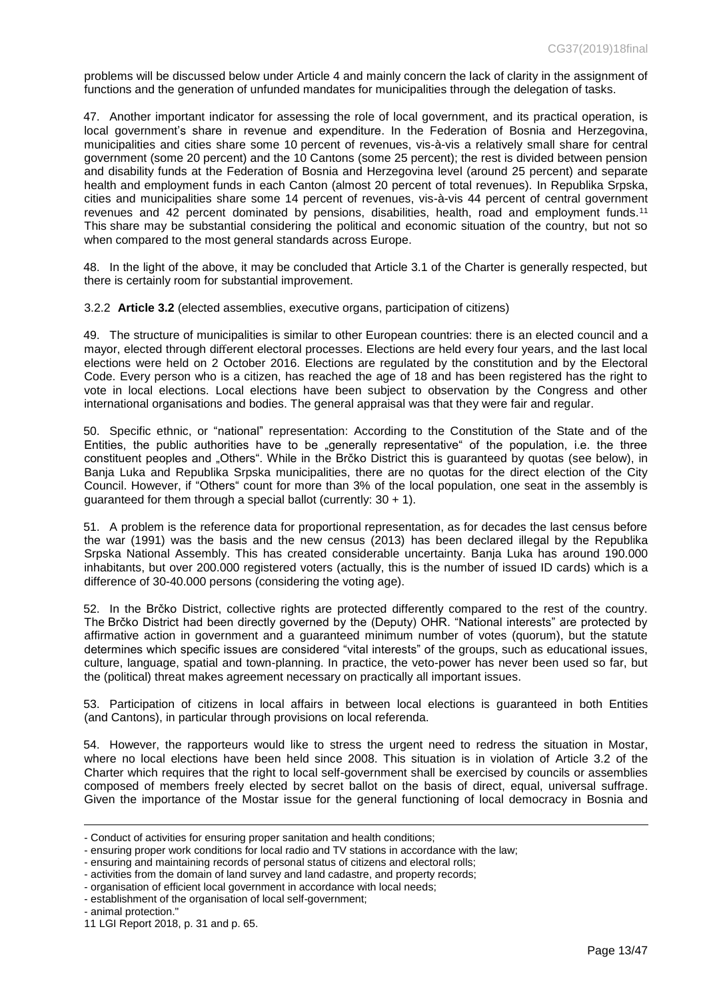problems will be discussed below under Article 4 and mainly concern the lack of clarity in the assignment of functions and the generation of unfunded mandates for municipalities through the delegation of tasks.

47. Another important indicator for assessing the role of local government, and its practical operation, is local government's share in revenue and expenditure. In the Federation of Bosnia and Herzegovina, municipalities and cities share some 10 percent of revenues, vis-à-vis a relatively small share for central government (some 20 percent) and the 10 Cantons (some 25 percent); the rest is divided between pension and disability funds at the Federation of Bosnia and Herzegovina level (around 25 percent) and separate health and employment funds in each Canton (almost 20 percent of total revenues). In Republika Srpska, cities and municipalities share some 14 percent of revenues, vis-à-vis 44 percent of central government revenues and 42 percent dominated by pensions, disabilities, health, road and employment funds.<sup>11</sup> This share may be substantial considering the political and economic situation of the country, but not so when compared to the most general standards across Europe.

48. In the light of the above, it may be concluded that Article 3.1 of the Charter is generally respected, but there is certainly room for substantial improvement.

3.2.2 **Article 3.2** (elected assemblies, executive organs, participation of citizens)

49. The structure of municipalities is similar to other European countries: there is an elected council and a mayor, elected through different electoral processes. Elections are held every four years, and the last local elections were held on 2 October 2016. Elections are regulated by the constitution and by the Electoral Code. Every person who is a citizen, has reached the age of 18 and has been registered has the right to vote in local elections. Local elections have been subject to observation by the Congress and other international organisations and bodies. The general appraisal was that they were fair and regular.

50. Specific ethnic, or "national" representation: According to the Constitution of the State and of the Entities, the public authorities have to be "generally representative" of the population, i.e. the three constituent peoples and "Others". While in the Brčko District this is guaranteed by quotas (see below), in Banja Luka and Republika Srpska municipalities, there are no quotas for the direct election of the City Council. However, if "Others" count for more than 3% of the local population, one seat in the assembly is quaranteed for them through a special ballot (currently:  $30 + 1$ ).

51. A problem is the reference data for proportional representation, as for decades the last census before the war (1991) was the basis and the new census (2013) has been declared illegal by the Republika Srpska National Assembly. This has created considerable uncertainty. Banja Luka has around 190.000 inhabitants, but over 200.000 registered voters (actually, this is the number of issued ID cards) which is a difference of 30-40.000 persons (considering the voting age).

52. In the Brčko District, collective rights are protected differently compared to the rest of the country. The Brčko District had been directly governed by the (Deputy) OHR. "National interests" are protected by affirmative action in government and a guaranteed minimum number of votes (quorum), but the statute determines which specific issues are considered "vital interests" of the groups, such as educational issues, culture, language, spatial and town-planning. In practice, the veto-power has never been used so far, but the (political) threat makes agreement necessary on practically all important issues.

53. Participation of citizens in local affairs in between local elections is guaranteed in both Entities (and Cantons), in particular through provisions on local referenda.

54. However, the rapporteurs would like to stress the urgent need to redress the situation in Mostar, where no local elections have been held since 2008. This situation is in violation of Article 3.2 of the Charter which requires that the right to local self-government shall be exercised by councils or assemblies composed of members freely elected by secret ballot on the basis of direct, equal, universal suffrage. Given the importance of the Mostar issue for the general functioning of local democracy in Bosnia and

<sup>-</sup> Conduct of activities for ensuring proper sanitation and health conditions;

<sup>-</sup> ensuring proper work conditions for local radio and TV stations in accordance with the law;

<sup>-</sup> ensuring and maintaining records of personal status of citizens and electoral rolls;

<sup>-</sup> activities from the domain of land survey and land cadastre, and property records;

<sup>-</sup> organisation of efficient local government in accordance with local needs;

<sup>-</sup> establishment of the organisation of local self-government;

<sup>-</sup> animal protection."

<sup>11</sup> LGI Report 2018, p. 31 and p. 65.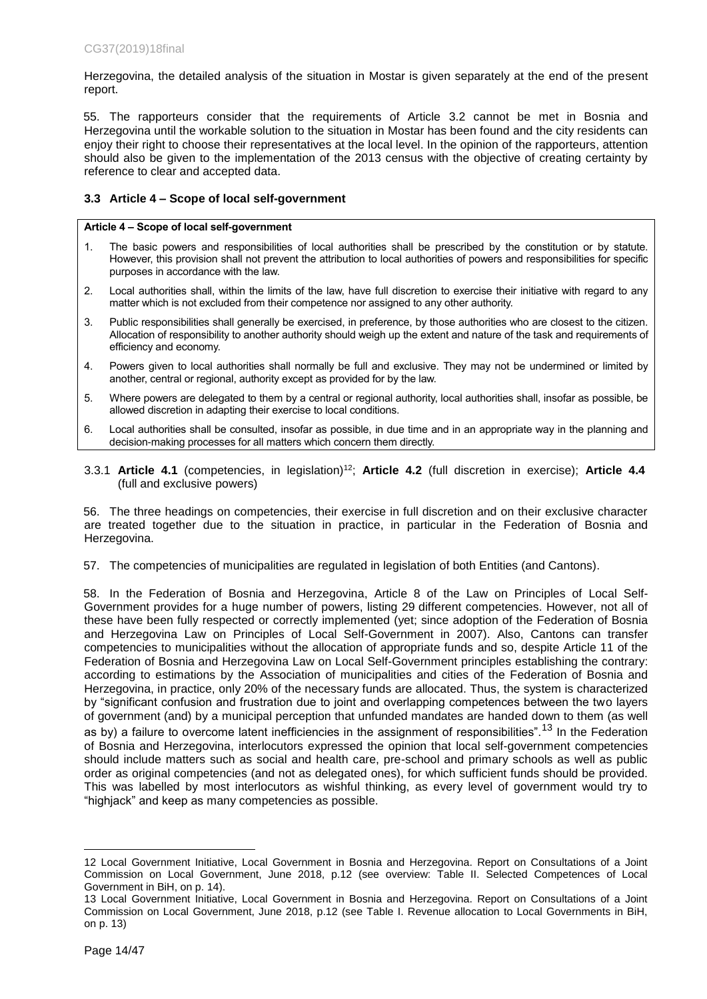Herzegovina, the detailed analysis of the situation in Mostar is given separately at the end of the present report.

55. The rapporteurs consider that the requirements of Article 3.2 cannot be met in Bosnia and Herzegovina until the workable solution to the situation in Mostar has been found and the city residents can enjoy their right to choose their representatives at the local level. In the opinion of the rapporteurs, attention should also be given to the implementation of the 2013 census with the objective of creating certainty by reference to clear and accepted data.

## <span id="page-13-0"></span>**3.3 Article 4 – Scope of local self-government**

#### **Article 4 – Scope of local self-government**

- 1. The basic powers and responsibilities of local authorities shall be prescribed by the constitution or by statute. However, this provision shall not prevent the attribution to local authorities of powers and responsibilities for specific purposes in accordance with the law.
- 2. Local authorities shall, within the limits of the law, have full discretion to exercise their initiative with regard to any matter which is not excluded from their competence nor assigned to any other authority.
- 3. Public responsibilities shall generally be exercised, in preference, by those authorities who are closest to the citizen. Allocation of responsibility to another authority should weigh up the extent and nature of the task and requirements of efficiency and economy.
- 4. Powers given to local authorities shall normally be full and exclusive. They may not be undermined or limited by another, central or regional, authority except as provided for by the law.
- 5. Where powers are delegated to them by a central or regional authority, local authorities shall, insofar as possible, be allowed discretion in adapting their exercise to local conditions.
- 6. Local authorities shall be consulted, insofar as possible, in due time and in an appropriate way in the planning and decision-making processes for all matters which concern them directly.
- 3.3.1 **Article 4.1** (competencies, in legislation)<sup>12</sup>; **Article 4.2** (full discretion in exercise); **Article 4.4** (full and exclusive powers)

56. The three headings on competencies, their exercise in full discretion and on their exclusive character are treated together due to the situation in practice, in particular in the Federation of Bosnia and Herzegovina.

57. The competencies of municipalities are regulated in legislation of both Entities (and Cantons).

58. In the Federation of Bosnia and Herzegovina, Article 8 of the Law on Principles of Local Self-Government provides for a huge number of powers, listing 29 different competencies. However, not all of these have been fully respected or correctly implemented (yet; since adoption of the Federation of Bosnia and Herzegovina Law on Principles of Local Self-Government in 2007). Also, Cantons can transfer competencies to municipalities without the allocation of appropriate funds and so, despite Article 11 of the Federation of Bosnia and Herzegovina Law on Local Self-Government principles establishing the contrary: according to estimations by the Association of municipalities and cities of the Federation of Bosnia and Herzegovina, in practice, only 20% of the necessary funds are allocated. Thus, the system is characterized by "significant confusion and frustration due to joint and overlapping competences between the two layers of government (and) by a municipal perception that unfunded mandates are handed down to them (as well as by) a failure to overcome latent inefficiencies in the assignment of responsibilities".<sup>13</sup> In the Federation of Bosnia and Herzegovina, interlocutors expressed the opinion that local self-government competencies should include matters such as social and health care, pre-school and primary schools as well as public order as original competencies (and not as delegated ones), for which sufficient funds should be provided. This was labelled by most interlocutors as wishful thinking, as every level of government would try to "highjack" and keep as many competencies as possible.

<sup>12</sup> Local Government Initiative, Local Government in Bosnia and Herzegovina. Report on Consultations of a Joint Commission on Local Government, June 2018, p.12 (see overview: Table II. Selected Competences of Local Government in BiH, on p. 14).

<sup>13</sup> Local Government Initiative, Local Government in Bosnia and Herzegovina. Report on Consultations of a Joint Commission on Local Government, June 2018, p.12 (see Table I. Revenue allocation to Local Governments in BiH, on p. 13)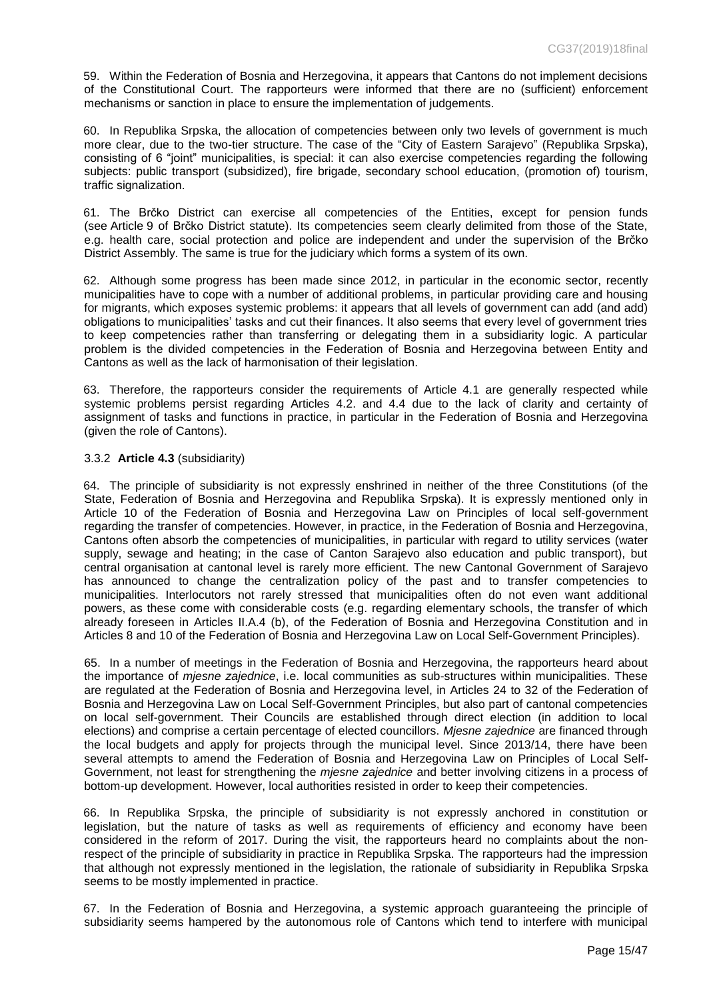59. Within the Federation of Bosnia and Herzegovina, it appears that Cantons do not implement decisions of the Constitutional Court. The rapporteurs were informed that there are no (sufficient) enforcement mechanisms or sanction in place to ensure the implementation of judgements.

60. In Republika Srpska, the allocation of competencies between only two levels of government is much more clear, due to the two-tier structure. The case of the "City of Eastern Sarajevo" (Republika Srpska), consisting of 6 "joint" municipalities, is special: it can also exercise competencies regarding the following subjects: public transport (subsidized), fire brigade, secondary school education, (promotion of) tourism, traffic signalization.

61. The Brčko District can exercise all competencies of the Entities, except for pension funds (see Article 9 of Brčko District statute). Its competencies seem clearly delimited from those of the State, e.g. health care, social protection and police are independent and under the supervision of the Brčko District Assembly. The same is true for the judiciary which forms a system of its own.

62. Although some progress has been made since 2012, in particular in the economic sector, recently municipalities have to cope with a number of additional problems, in particular providing care and housing for migrants, which exposes systemic problems: it appears that all levels of government can add (and add) obligations to municipalities' tasks and cut their finances. It also seems that every level of government tries to keep competencies rather than transferring or delegating them in a subsidiarity logic. A particular problem is the divided competencies in the Federation of Bosnia and Herzegovina between Entity and Cantons as well as the lack of harmonisation of their legislation.

63. Therefore, the rapporteurs consider the requirements of Article 4.1 are generally respected while systemic problems persist regarding Articles 4.2. and 4.4 due to the lack of clarity and certainty of assignment of tasks and functions in practice, in particular in the Federation of Bosnia and Herzegovina (given the role of Cantons).

## 3.3.2 **Article 4.3** (subsidiarity)

64. The principle of subsidiarity is not expressly enshrined in neither of the three Constitutions (of the State, Federation of Bosnia and Herzegovina and Republika Srpska). It is expressly mentioned only in Article 10 of the Federation of Bosnia and Herzegovina Law on Principles of local self-government regarding the transfer of competencies. However, in practice, in the Federation of Bosnia and Herzegovina, Cantons often absorb the competencies of municipalities, in particular with regard to utility services (water supply, sewage and heating; in the case of Canton Sarajevo also education and public transport), but central organisation at cantonal level is rarely more efficient. The new Cantonal Government of Sarajevo has announced to change the centralization policy of the past and to transfer competencies to municipalities. Interlocutors not rarely stressed that municipalities often do not even want additional powers, as these come with considerable costs (e.g. regarding elementary schools, the transfer of which already foreseen in Articles II.A.4 (b), of the Federation of Bosnia and Herzegovina Constitution and in Articles 8 and 10 of the Federation of Bosnia and Herzegovina Law on Local Self-Government Principles).

65. In a number of meetings in the Federation of Bosnia and Herzegovina, the rapporteurs heard about the importance of *mjesne zajednice*, i.e. local communities as sub-structures within municipalities. These are regulated at the Federation of Bosnia and Herzegovina level, in Articles 24 to 32 of the Federation of Bosnia and Herzegovina Law on Local Self-Government Principles, but also part of cantonal competencies on local self-government. Their Councils are established through direct election (in addition to local elections) and comprise a certain percentage of elected councillors. *Mjesne zajednice* are financed through the local budgets and apply for projects through the municipal level. Since 2013/14, there have been several attempts to amend the Federation of Bosnia and Herzegovina Law on Principles of Local Self-Government, not least for strengthening the *mjesne zajednice* and better involving citizens in a process of bottom-up development. However, local authorities resisted in order to keep their competencies.

66. In Republika Srpska, the principle of subsidiarity is not expressly anchored in constitution or legislation, but the nature of tasks as well as requirements of efficiency and economy have been considered in the reform of 2017. During the visit, the rapporteurs heard no complaints about the nonrespect of the principle of subsidiarity in practice in Republika Srpska. The rapporteurs had the impression that although not expressly mentioned in the legislation, the rationale of subsidiarity in Republika Srpska seems to be mostly implemented in practice.

67. In the Federation of Bosnia and Herzegovina, a systemic approach guaranteeing the principle of subsidiarity seems hampered by the autonomous role of Cantons which tend to interfere with municipal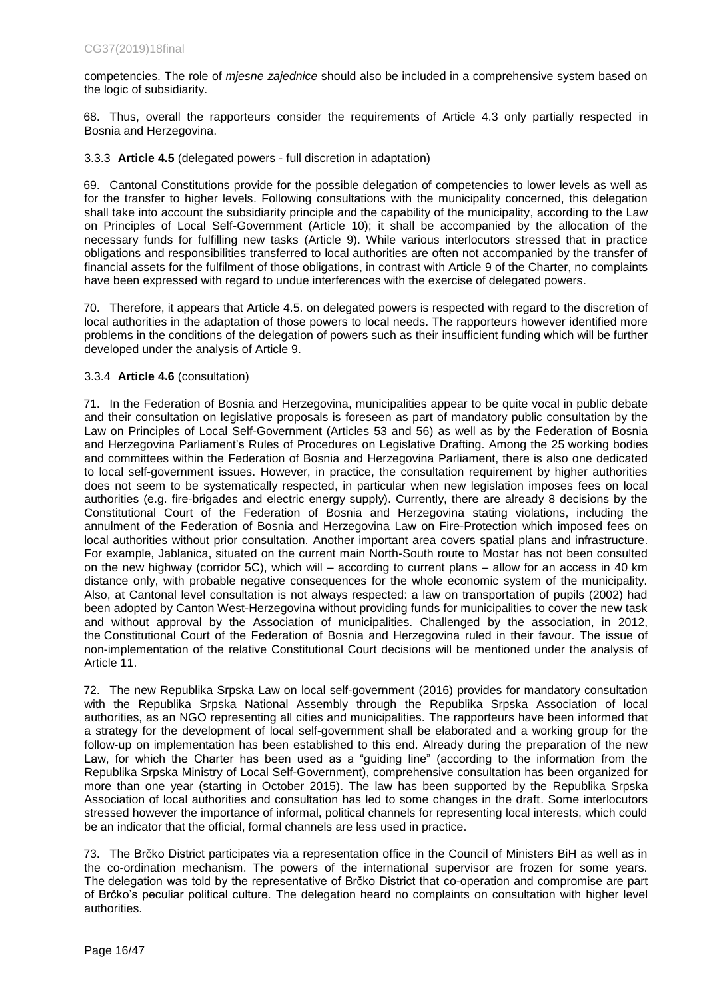competencies. The role of *mjesne zajednice* should also be included in a comprehensive system based on the logic of subsidiarity.

68. Thus, overall the rapporteurs consider the requirements of Article 4.3 only partially respected in Bosnia and Herzegovina.

3.3.3 **Article 4.5** (delegated powers - full discretion in adaptation)

69. Cantonal Constitutions provide for the possible delegation of competencies to lower levels as well as for the transfer to higher levels. Following consultations with the municipality concerned, this delegation shall take into account the subsidiarity principle and the capability of the municipality, according to the Law on Principles of Local Self-Government (Article 10); it shall be accompanied by the allocation of the necessary funds for fulfilling new tasks (Article 9). While various interlocutors stressed that in practice obligations and responsibilities transferred to local authorities are often not accompanied by the transfer of financial assets for the fulfilment of those obligations, in contrast with Article 9 of the Charter, no complaints have been expressed with regard to undue interferences with the exercise of delegated powers.

70. Therefore, it appears that Article 4.5. on delegated powers is respected with regard to the discretion of local authorities in the adaptation of those powers to local needs. The rapporteurs however identified more problems in the conditions of the delegation of powers such as their insufficient funding which will be further developed under the analysis of Article 9.

## 3.3.4 **Article 4.6** (consultation)

71. In the Federation of Bosnia and Herzegovina, municipalities appear to be quite vocal in public debate and their consultation on legislative proposals is foreseen as part of mandatory public consultation by the Law on Principles of Local Self-Government (Articles 53 and 56) as well as by the Federation of Bosnia and Herzegovina Parliament's Rules of Procedures on Legislative Drafting. Among the 25 working bodies and committees within the Federation of Bosnia and Herzegovina Parliament, there is also one dedicated to local self-government issues. However, in practice, the consultation requirement by higher authorities does not seem to be systematically respected, in particular when new legislation imposes fees on local authorities (e.g. fire-brigades and electric energy supply). Currently, there are already 8 decisions by the Constitutional Court of the Federation of Bosnia and Herzegovina stating violations, including the annulment of the Federation of Bosnia and Herzegovina Law on Fire-Protection which imposed fees on local authorities without prior consultation. Another important area covers spatial plans and infrastructure. For example, Jablanica, situated on the current main North-South route to Mostar has not been consulted on the new highway (corridor 5C), which will – according to current plans – allow for an access in 40 km distance only, with probable negative consequences for the whole economic system of the municipality. Also, at Cantonal level consultation is not always respected: a law on transportation of pupils (2002) had been adopted by Canton West-Herzegovina without providing funds for municipalities to cover the new task and without approval by the Association of municipalities. Challenged by the association, in 2012, the Constitutional Court of the Federation of Bosnia and Herzegovina ruled in their favour. The issue of non-implementation of the relative Constitutional Court decisions will be mentioned under the analysis of Article 11.

72. The new Republika Srpska Law on local self-government (2016) provides for mandatory consultation with the Republika Srpska National Assembly through the Republika Srpska Association of local authorities, as an NGO representing all cities and municipalities. The rapporteurs have been informed that a strategy for the development of local self-government shall be elaborated and a working group for the follow-up on implementation has been established to this end. Already during the preparation of the new Law, for which the Charter has been used as a "guiding line" (according to the information from the Republika Srpska Ministry of Local Self-Government), comprehensive consultation has been organized for more than one year (starting in October 2015). The law has been supported by the Republika Srpska Association of local authorities and consultation has led to some changes in the draft. Some interlocutors stressed however the importance of informal, political channels for representing local interests, which could be an indicator that the official, formal channels are less used in practice.

73. The Brčko District participates via a representation office in the Council of Ministers BiH as well as in the co-ordination mechanism. The powers of the international supervisor are frozen for some years. The delegation was told by the representative of Brčko District that co-operation and compromise are part of Brčko's peculiar political culture. The delegation heard no complaints on consultation with higher level authorities.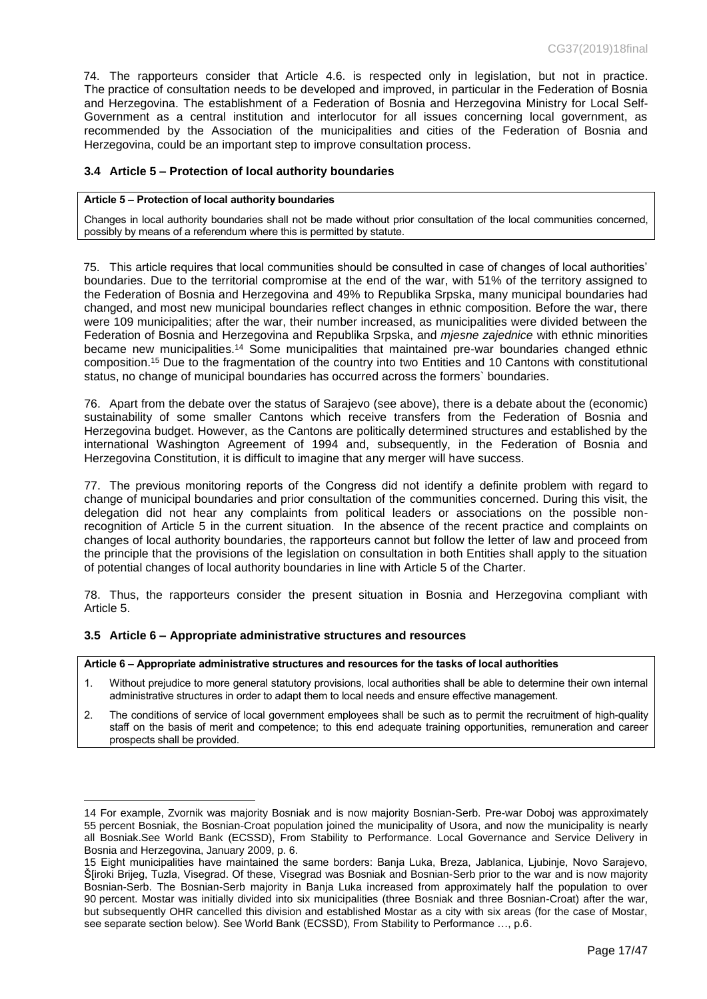74. The rapporteurs consider that Article 4.6. is respected only in legislation, but not in practice. The practice of consultation needs to be developed and improved, in particular in the Federation of Bosnia and Herzegovina. The establishment of a Federation of Bosnia and Herzegovina Ministry for Local Self-Government as a central institution and interlocutor for all issues concerning local government, as recommended by the Association of the municipalities and cities of the Federation of Bosnia and Herzegovina, could be an important step to improve consultation process.

## <span id="page-16-0"></span>**3.4 Article 5 – Protection of local authority boundaries**

#### **Article 5 – Protection of local authority boundaries**

Changes in local authority boundaries shall not be made without prior consultation of the local communities concerned, possibly by means of a referendum where this is permitted by statute.

75. This article requires that local communities should be consulted in case of changes of local authorities' boundaries. Due to the territorial compromise at the end of the war, with 51% of the territory assigned to the Federation of Bosnia and Herzegovina and 49% to Republika Srpska, many municipal boundaries had changed, and most new municipal boundaries reflect changes in ethnic composition. Before the war, there were 109 municipalities; after the war, their number increased, as municipalities were divided between the Federation of Bosnia and Herzegovina and Republika Srpska, and *mjesne zajednice* with ethnic minorities became new municipalities.<sup>14</sup> Some municipalities that maintained pre-war boundaries changed ethnic composition.<sup>15</sup> Due to the fragmentation of the country into two Entities and 10 Cantons with constitutional status, no change of municipal boundaries has occurred across the formers` boundaries.

76. Apart from the debate over the status of Sarajevo (see above), there is a debate about the (economic) sustainability of some smaller Cantons which receive transfers from the Federation of Bosnia and Herzegovina budget. However, as the Cantons are politically determined structures and established by the international Washington Agreement of 1994 and, subsequently, in the Federation of Bosnia and Herzegovina Constitution, it is difficult to imagine that any merger will have success.

77. The previous monitoring reports of the Congress did not identify a definite problem with regard to change of municipal boundaries and prior consultation of the communities concerned. During this visit, the delegation did not hear any complaints from political leaders or associations on the possible nonrecognition of Article 5 in the current situation. In the absence of the recent practice and complaints on changes of local authority boundaries, the rapporteurs cannot but follow the letter of law and proceed from the principle that the provisions of the legislation on consultation in both Entities shall apply to the situation of potential changes of local authority boundaries in line with Article 5 of the Charter.

78. Thus, the rapporteurs consider the present situation in Bosnia and Herzegovina compliant with Article 5.

### <span id="page-16-1"></span>**3.5 Article 6 – Appropriate administrative structures and resources**

 $\overline{a}$ 

#### **Article 6 – Appropriate administrative structures and resources for the tasks of local authorities**

- 1. Without prejudice to more general statutory provisions, local authorities shall be able to determine their own internal administrative structures in order to adapt them to local needs and ensure effective management.
- 2. The conditions of service of local government employees shall be such as to permit the recruitment of high-quality staff on the basis of merit and competence; to this end adequate training opportunities, remuneration and career prospects shall be provided.

<sup>14</sup> For example, Zvornik was majority Bosniak and is now majority Bosnian-Serb. Pre-war Doboj was approximately 55 percent Bosniak, the Bosnian-Croat population joined the municipality of Usora, and now the municipality is nearly all Bosniak.See World Bank (ECSSD), From Stability to Performance. Local Governance and Service Delivery in Bosnia and Herzegovina, January 2009, p. 6.

<sup>15</sup> Eight municipalities have maintained the same borders: Banja Luka, Breza, Jablanica, Ljubinje, Novo Sarajevo, Š[iroki Brijeg, Tuzla, Visegrad. Of these, Visegrad was Bosniak and Bosnian-Serb prior to the war and is now majority Bosnian-Serb. The Bosnian-Serb majority in Banja Luka increased from approximately half the population to over 90 percent. Mostar was initially divided into six municipalities (three Bosniak and three Bosnian-Croat) after the war, but subsequently OHR cancelled this division and established Mostar as a city with six areas (for the case of Mostar, see separate section below). See World Bank (ECSSD), From Stability to Performance …, p.6.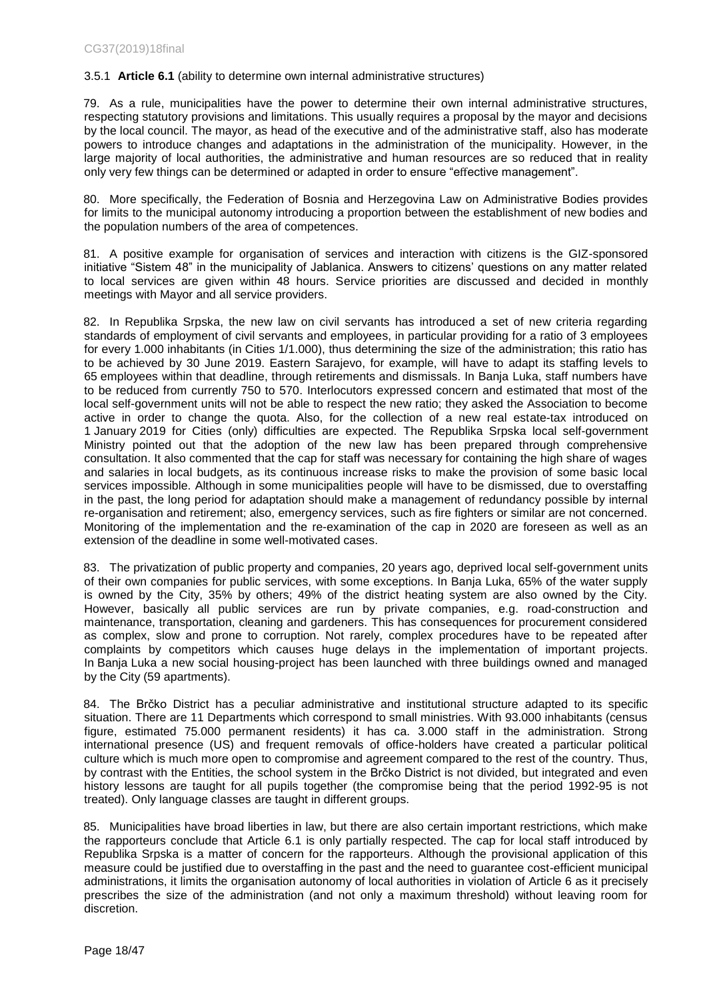## 3.5.1 **Article 6.1** (ability to determine own internal administrative structures)

79. As a rule, municipalities have the power to determine their own internal administrative structures, respecting statutory provisions and limitations. This usually requires a proposal by the mayor and decisions by the local council. The mayor, as head of the executive and of the administrative staff, also has moderate powers to introduce changes and adaptations in the administration of the municipality. However, in the large majority of local authorities, the administrative and human resources are so reduced that in reality only very few things can be determined or adapted in order to ensure "effective management".

80. More specifically, the Federation of Bosnia and Herzegovina Law on Administrative Bodies provides for limits to the municipal autonomy introducing a proportion between the establishment of new bodies and the population numbers of the area of competences.

81. A positive example for organisation of services and interaction with citizens is the GIZ-sponsored initiative "Sistem 48" in the municipality of Jablanica. Answers to citizens' questions on any matter related to local services are given within 48 hours. Service priorities are discussed and decided in monthly meetings with Mayor and all service providers.

82. In Republika Srpska, the new law on civil servants has introduced a set of new criteria regarding standards of employment of civil servants and employees, in particular providing for a ratio of 3 employees for every 1.000 inhabitants (in Cities 1/1.000), thus determining the size of the administration; this ratio has to be achieved by 30 June 2019. Eastern Sarajevo, for example, will have to adapt its staffing levels to 65 employees within that deadline, through retirements and dismissals. In Banja Luka, staff numbers have to be reduced from currently 750 to 570. Interlocutors expressed concern and estimated that most of the local self-government units will not be able to respect the new ratio; they asked the Association to become active in order to change the quota. Also, for the collection of a new real estate-tax introduced on 1 January 2019 for Cities (only) difficulties are expected. The Republika Srpska local self-government Ministry pointed out that the adoption of the new law has been prepared through comprehensive consultation. It also commented that the cap for staff was necessary for containing the high share of wages and salaries in local budgets, as its continuous increase risks to make the provision of some basic local services impossible. Although in some municipalities people will have to be dismissed, due to overstaffing in the past, the long period for adaptation should make a management of redundancy possible by internal re-organisation and retirement; also, emergency services, such as fire fighters or similar are not concerned. Monitoring of the implementation and the re-examination of the cap in 2020 are foreseen as well as an extension of the deadline in some well-motivated cases.

83. The privatization of public property and companies, 20 years ago, deprived local self-government units of their own companies for public services, with some exceptions. In Banja Luka, 65% of the water supply is owned by the City, 35% by others; 49% of the district heating system are also owned by the City. However, basically all public services are run by private companies, e.g. road-construction and maintenance, transportation, cleaning and gardeners. This has consequences for procurement considered as complex, slow and prone to corruption. Not rarely, complex procedures have to be repeated after complaints by competitors which causes huge delays in the implementation of important projects. In Banja Luka a new social housing-project has been launched with three buildings owned and managed by the City (59 apartments).

84. The Brčko District has a peculiar administrative and institutional structure adapted to its specific situation. There are 11 Departments which correspond to small ministries. With 93.000 inhabitants (census figure, estimated 75.000 permanent residents) it has ca. 3.000 staff in the administration. Strong international presence (US) and frequent removals of office-holders have created a particular political culture which is much more open to compromise and agreement compared to the rest of the country. Thus, by contrast with the Entities, the school system in the Brčko District is not divided, but integrated and even history lessons are taught for all pupils together (the compromise being that the period 1992-95 is not treated). Only language classes are taught in different groups.

85. Municipalities have broad liberties in law, but there are also certain important restrictions, which make the rapporteurs conclude that Article 6.1 is only partially respected. The cap for local staff introduced by Republika Srpska is a matter of concern for the rapporteurs. Although the provisional application of this measure could be justified due to overstaffing in the past and the need to guarantee cost-efficient municipal administrations, it limits the organisation autonomy of local authorities in violation of Article 6 as it precisely prescribes the size of the administration (and not only a maximum threshold) without leaving room for discretion.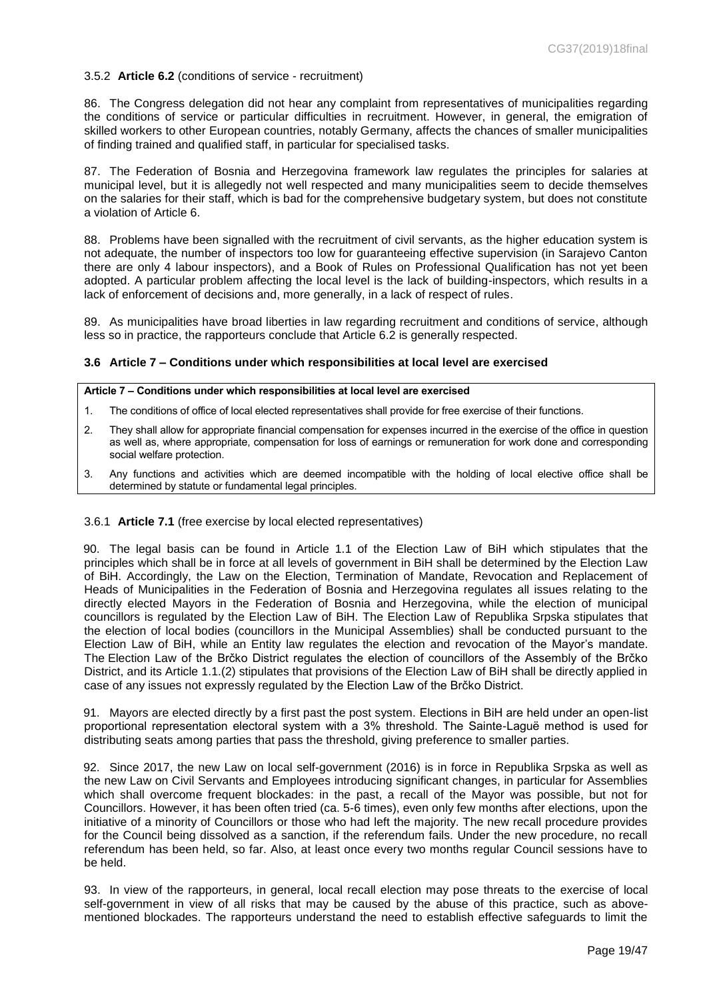### 3.5.2 **Article 6.2** (conditions of service - recruitment)

86. The Congress delegation did not hear any complaint from representatives of municipalities regarding the conditions of service or particular difficulties in recruitment. However, in general, the emigration of skilled workers to other European countries, notably Germany, affects the chances of smaller municipalities of finding trained and qualified staff, in particular for specialised tasks.

87. The Federation of Bosnia and Herzegovina framework law regulates the principles for salaries at municipal level, but it is allegedly not well respected and many municipalities seem to decide themselves on the salaries for their staff, which is bad for the comprehensive budgetary system, but does not constitute a violation of Article 6.

88. Problems have been signalled with the recruitment of civil servants, as the higher education system is not adequate, the number of inspectors too low for guaranteeing effective supervision (in Sarajevo Canton there are only 4 labour inspectors), and a Book of Rules on Professional Qualification has not yet been adopted. A particular problem affecting the local level is the lack of building-inspectors, which results in a lack of enforcement of decisions and, more generally, in a lack of respect of rules.

89. As municipalities have broad liberties in law regarding recruitment and conditions of service, although less so in practice, the rapporteurs conclude that Article 6.2 is generally respected.

## <span id="page-18-0"></span>**3.6 Article 7 – Conditions under which responsibilities at local level are exercised**

#### **Article 7 – Conditions under which responsibilities at local level are exercised**

- 1. The conditions of office of local elected representatives shall provide for free exercise of their functions.
- 2. They shall allow for appropriate financial compensation for expenses incurred in the exercise of the office in question as well as, where appropriate, compensation for loss of earnings or remuneration for work done and corresponding social welfare protection.
- 3. Any functions and activities which are deemed incompatible with the holding of local elective office shall be determined by statute or fundamental legal principles.

### 3.6.1 **Article 7.1** (free exercise by local elected representatives)

90. The legal basis can be found in Article 1.1 of the Election Law of BiH which stipulates that the principles which shall be in force at all levels of government in BiH shall be determined by the Election Law of BiH. Accordingly, the Law on the Election, Termination of Mandate, Revocation and Replacement of Heads of Municipalities in the Federation of Bosnia and Herzegovina regulates all issues relating to the directly elected Mayors in the Federation of Bosnia and Herzegovina, while the election of municipal councillors is regulated by the Election Law of BiH. The Election Law of Republika Srpska stipulates that the election of local bodies (councillors in the Municipal Assemblies) shall be conducted pursuant to the Election Law of BiH, while an Entity law regulates the election and revocation of the Mayor's mandate. The Election Law of the Brčko District regulates the election of councillors of the Assembly of the Brčko District, and its Article 1.1.(2) stipulates that provisions of the Election Law of BiH shall be directly applied in case of any issues not expressly regulated by the Election Law of the Brčko District.

91. Mayors are elected directly by a first past the post system. Elections in BiH are held under an open-list proportional representation electoral system with a 3% threshold. The Sainte-Laguë method is used for distributing seats among parties that pass the threshold, giving preference to smaller parties.

92. Since 2017, the new Law on local self-government (2016) is in force in Republika Srpska as well as the new Law on Civil Servants and Employees introducing significant changes, in particular for Assemblies which shall overcome frequent blockades: in the past, a recall of the Mayor was possible, but not for Councillors. However, it has been often tried (ca. 5-6 times), even only few months after elections, upon the initiative of a minority of Councillors or those who had left the majority. The new recall procedure provides for the Council being dissolved as a sanction, if the referendum fails. Under the new procedure, no recall referendum has been held, so far. Also, at least once every two months regular Council sessions have to be held.

93. In view of the rapporteurs, in general, local recall election may pose threats to the exercise of local self-government in view of all risks that may be caused by the abuse of this practice, such as abovementioned blockades. The rapporteurs understand the need to establish effective safeguards to limit the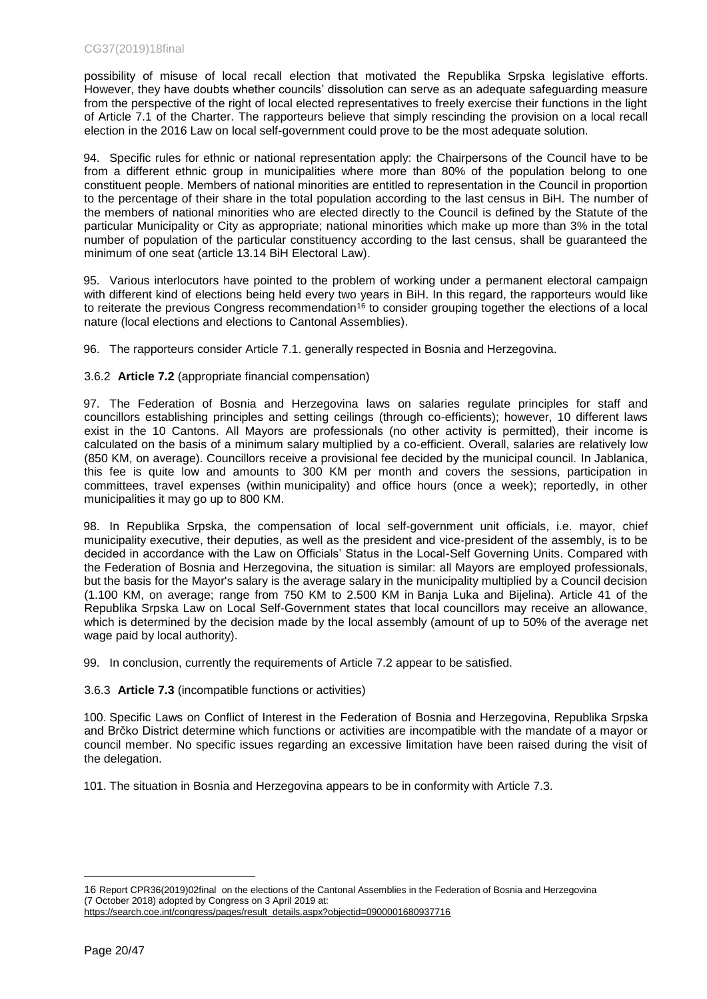possibility of misuse of local recall election that motivated the Republika Srpska legislative efforts. However, they have doubts whether councils' dissolution can serve as an adequate safeguarding measure from the perspective of the right of local elected representatives to freely exercise their functions in the light of Article 7.1 of the Charter. The rapporteurs believe that simply rescinding the provision on a local recall election in the 2016 Law on local self-government could prove to be the most adequate solution.

94. Specific rules for ethnic or national representation apply: the Chairpersons of the Council have to be from a different ethnic group in municipalities where more than 80% of the population belong to one constituent people. Members of national minorities are entitled to representation in the Council in proportion to the percentage of their share in the total population according to the last census in BiH. The number of the members of national minorities who are elected directly to the Council is defined by the Statute of the particular Municipality or City as appropriate; national minorities which make up more than 3% in the total number of population of the particular constituency according to the last census, shall be guaranteed the minimum of one seat (article 13.14 BiH Electoral Law).

95. Various interlocutors have pointed to the problem of working under a permanent electoral campaign with different kind of elections being held every two years in BiH. In this regard, the rapporteurs would like to reiterate the previous Congress recommendation<sup>16</sup> to consider grouping together the elections of a local nature (local elections and elections to Cantonal Assemblies).

96. The rapporteurs consider Article 7.1. generally respected in Bosnia and Herzegovina.

3.6.2 **Article 7.2** (appropriate financial compensation)

97. The Federation of Bosnia and Herzegovina laws on salaries regulate principles for staff and councillors establishing principles and setting ceilings (through co-efficients); however, 10 different laws exist in the 10 Cantons. All Mayors are professionals (no other activity is permitted), their income is calculated on the basis of a minimum salary multiplied by a co-efficient. Overall, salaries are relatively low (850 KM, on average). Councillors receive a provisional fee decided by the municipal council. In Jablanica, this fee is quite low and amounts to 300 KM per month and covers the sessions, participation in committees, travel expenses (within municipality) and office hours (once a week); reportedly, in other municipalities it may go up to 800 KM.

98. In Republika Srpska, the compensation of local self-government unit officials, i.e. mayor, chief municipality executive, their deputies, as well as the president and vice-president of the assembly, is to be decided in accordance with the Law on Officials' Status in the Local-Self Governing Units. Compared with the Federation of Bosnia and Herzegovina, the situation is similar: all Mayors are employed professionals, but the basis for the Mayor's salary is the average salary in the municipality multiplied by a Council decision (1.100 KM, on average; range from 750 KM to 2.500 KM in Banja Luka and Bijelina). Article 41 of the Republika Srpska Law on Local Self-Government states that local councillors may receive an allowance, which is determined by the decision made by the local assembly (amount of up to 50% of the average net wage paid by local authority).

99. In conclusion, currently the requirements of Article 7.2 appear to be satisfied.

3.6.3 **Article 7.3** (incompatible functions or activities)

100. Specific Laws on Conflict of Interest in the Federation of Bosnia and Herzegovina, Republika Srpska and Brčko District determine which functions or activities are incompatible with the mandate of a mayor or council member. No specific issues regarding an excessive limitation have been raised during the visit of the delegation.

101. The situation in Bosnia and Herzegovina appears to be in conformity with Article 7.3.

<sup>16</sup> Report CPR36(2019)02final on the elections of the Cantonal Assemblies in the Federation of Bosnia and Herzegovina (7 October 2018) adopted by Congress on 3 April 2019 at:

[https://search.coe.int/congress/pages/result\\_details.aspx?objectid=0900001680937716](https://search.coe.int/congress/pages/result_details.aspx?objectid=0900001680937716)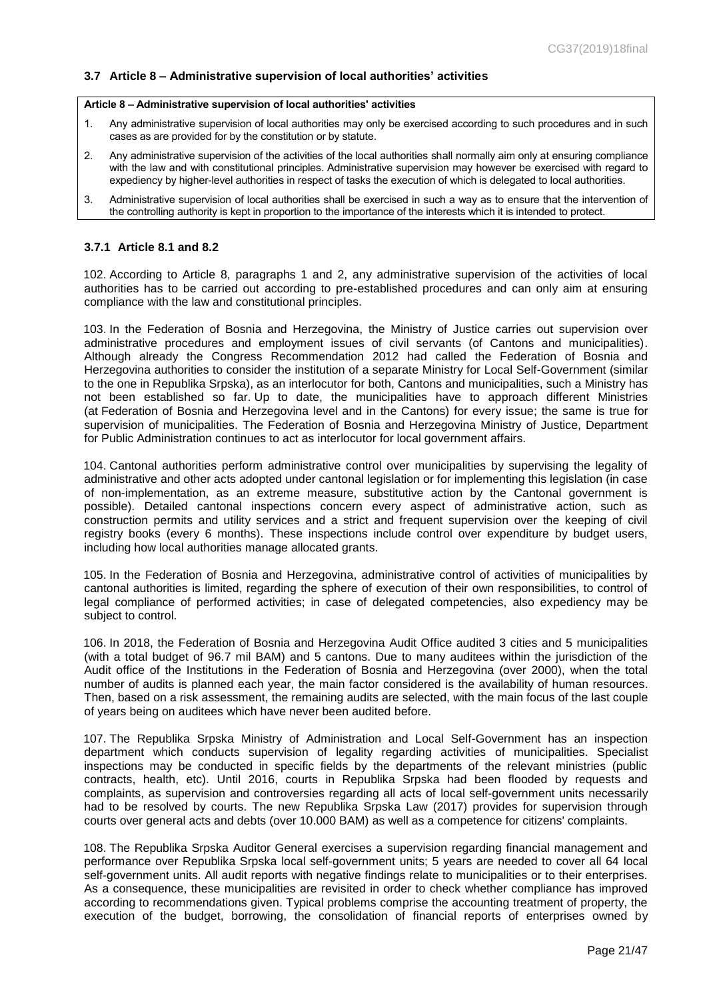## <span id="page-20-0"></span>**3.7 Article 8 – Administrative supervision of local authorities' activities**

#### **Article 8 – Administrative supervision of local authorities' activities**

- 1. Any administrative supervision of local authorities may only be exercised according to such procedures and in such cases as are provided for by the constitution or by statute.
- 2. Any administrative supervision of the activities of the local authorities shall normally aim only at ensuring compliance with the law and with constitutional principles. Administrative supervision may however be exercised with regard to expediency by higher-level authorities in respect of tasks the execution of which is delegated to local authorities.
- 3. Administrative supervision of local authorities shall be exercised in such a way as to ensure that the intervention of the controlling authority is kept in proportion to the importance of the interests which it is intended to protect.

#### **3.7.1 Article 8.1 and 8.2**

102. According to Article 8, paragraphs 1 and 2, any administrative supervision of the activities of local authorities has to be carried out according to pre-established procedures and can only aim at ensuring compliance with the law and constitutional principles.

103. In the Federation of Bosnia and Herzegovina, the Ministry of Justice carries out supervision over administrative procedures and employment issues of civil servants (of Cantons and municipalities). Although already the Congress Recommendation 2012 had called the Federation of Bosnia and Herzegovina authorities to consider the institution of a separate Ministry for Local Self-Government (similar to the one in Republika Srpska), as an interlocutor for both, Cantons and municipalities, such a Ministry has not been established so far. Up to date, the municipalities have to approach different Ministries (at Federation of Bosnia and Herzegovina level and in the Cantons) for every issue; the same is true for supervision of municipalities. The Federation of Bosnia and Herzegovina Ministry of Justice, Department for Public Administration continues to act as interlocutor for local government affairs.

104. Cantonal authorities perform administrative control over municipalities by supervising the legality of administrative and other acts adopted under cantonal legislation or for implementing this legislation (in case of non-implementation, as an extreme measure, substitutive action by the Cantonal government is possible). Detailed cantonal inspections concern every aspect of administrative action, such as construction permits and utility services and a strict and frequent supervision over the keeping of civil registry books (every 6 months). These inspections include control over expenditure by budget users, including how local authorities manage allocated grants.

105. In the Federation of Bosnia and Herzegovina, administrative control of activities of municipalities by cantonal authorities is limited, regarding the sphere of execution of their own responsibilities, to control of legal compliance of performed activities; in case of delegated competencies, also expediency may be subject to control.

106. In 2018, the Federation of Bosnia and Herzegovina Audit Office audited 3 cities and 5 municipalities (with a total budget of 96.7 mil BAM) and 5 cantons. Due to many auditees within the jurisdiction of the Audit office of the Institutions in the Federation of Bosnia and Herzegovina (over 2000), when the total number of audits is planned each year, the main factor considered is the availability of human resources. Then, based on a risk assessment, the remaining audits are selected, with the main focus of the last couple of years being on auditees which have never been audited before.

107. The Republika Srpska Ministry of Administration and Local Self-Government has an inspection department which conducts supervision of legality regarding activities of municipalities. Specialist inspections may be conducted in specific fields by the departments of the relevant ministries (public contracts, health, etc). Until 2016, courts in Republika Srpska had been flooded by requests and complaints, as supervision and controversies regarding all acts of local self-government units necessarily had to be resolved by courts. The new Republika Srpska Law (2017) provides for supervision through courts over general acts and debts (over 10.000 BAM) as well as a competence for citizens' complaints.

108. The Republika Srpska Auditor General exercises a supervision regarding financial management and performance over Republika Srpska local self-government units; 5 years are needed to cover all 64 local self-government units. All audit reports with negative findings relate to municipalities or to their enterprises. As a consequence, these municipalities are revisited in order to check whether compliance has improved according to recommendations given. Typical problems comprise the accounting treatment of property, the execution of the budget, borrowing, the consolidation of financial reports of enterprises owned by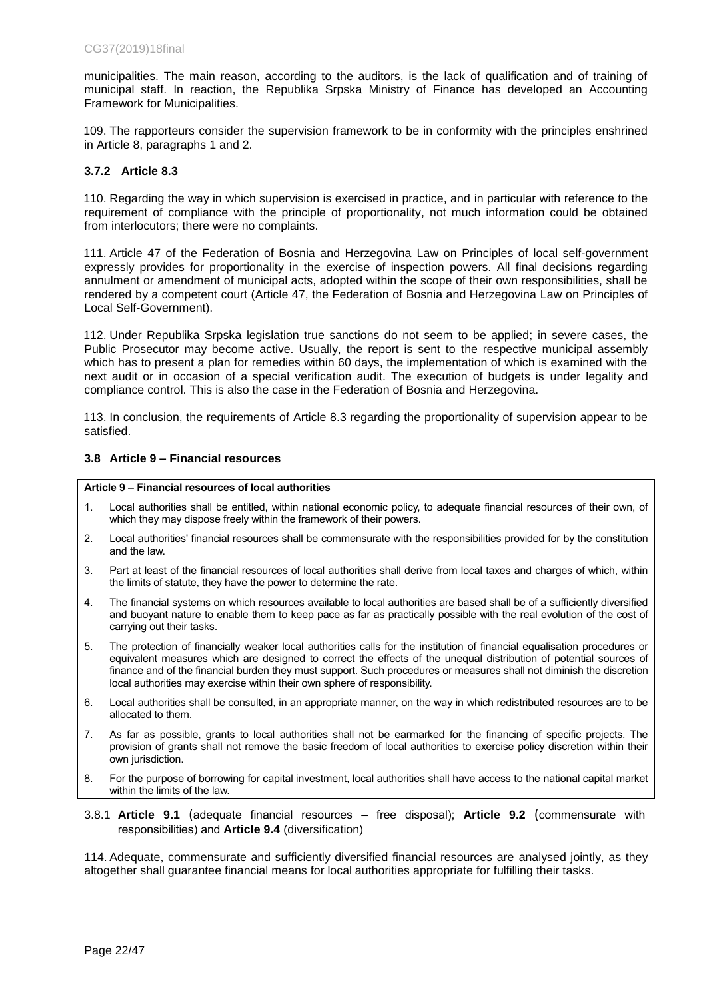municipalities. The main reason, according to the auditors, is the lack of qualification and of training of municipal staff. In reaction, the Republika Srpska Ministry of Finance has developed an Accounting Framework for Municipalities.

109. The rapporteurs consider the supervision framework to be in conformity with the principles enshrined in Article 8, paragraphs 1 and 2.

### **3.7.2 Article 8.3**

110. Regarding the way in which supervision is exercised in practice, and in particular with reference to the requirement of compliance with the principle of proportionality, not much information could be obtained from interlocutors; there were no complaints.

111. Article 47 of the Federation of Bosnia and Herzegovina Law on Principles of local self-government expressly provides for proportionality in the exercise of inspection powers. All final decisions regarding annulment or amendment of municipal acts, adopted within the scope of their own responsibilities, shall be rendered by a competent court (Article 47, the Federation of Bosnia and Herzegovina Law on Principles of Local Self-Government).

112. Under Republika Srpska legislation true sanctions do not seem to be applied; in severe cases, the Public Prosecutor may become active. Usually, the report is sent to the respective municipal assembly which has to present a plan for remedies within 60 days, the implementation of which is examined with the next audit or in occasion of a special verification audit. The execution of budgets is under legality and compliance control. This is also the case in the Federation of Bosnia and Herzegovina.

113. In conclusion, the requirements of Article 8.3 regarding the proportionality of supervision appear to be satisfied.

### <span id="page-21-0"></span>**3.8 Article 9 – Financial resources**

#### **Article 9 – Financial resources of local authorities**

- 1. Local authorities shall be entitled, within national economic policy, to adequate financial resources of their own, of which they may dispose freely within the framework of their powers.
- 2. Local authorities' financial resources shall be commensurate with the responsibilities provided for by the constitution and the law.
- 3. Part at least of the financial resources of local authorities shall derive from local taxes and charges of which, within the limits of statute, they have the power to determine the rate.
- 4. The financial systems on which resources available to local authorities are based shall be of a sufficiently diversified and buoyant nature to enable them to keep pace as far as practically possible with the real evolution of the cost of carrying out their tasks.
- 5. The protection of financially weaker local authorities calls for the institution of financial equalisation procedures or equivalent measures which are designed to correct the effects of the unequal distribution of potential sources of finance and of the financial burden they must support. Such procedures or measures shall not diminish the discretion local authorities may exercise within their own sphere of responsibility.
- 6. Local authorities shall be consulted, in an appropriate manner, on the way in which redistributed resources are to be allocated to them.
- 7. As far as possible, grants to local authorities shall not be earmarked for the financing of specific projects. The provision of grants shall not remove the basic freedom of local authorities to exercise policy discretion within their own jurisdiction.
- 8. For the purpose of borrowing for capital investment, local authorities shall have access to the national capital market within the limits of the law.
- 3.8.1 **Article 9.1** (adequate financial resources free disposal); **Article 9.2** (commensurate with responsibilities) and **Article 9.4** (diversification)

114. Adequate, commensurate and sufficiently diversified financial resources are analysed jointly, as they altogether shall guarantee financial means for local authorities appropriate for fulfilling their tasks.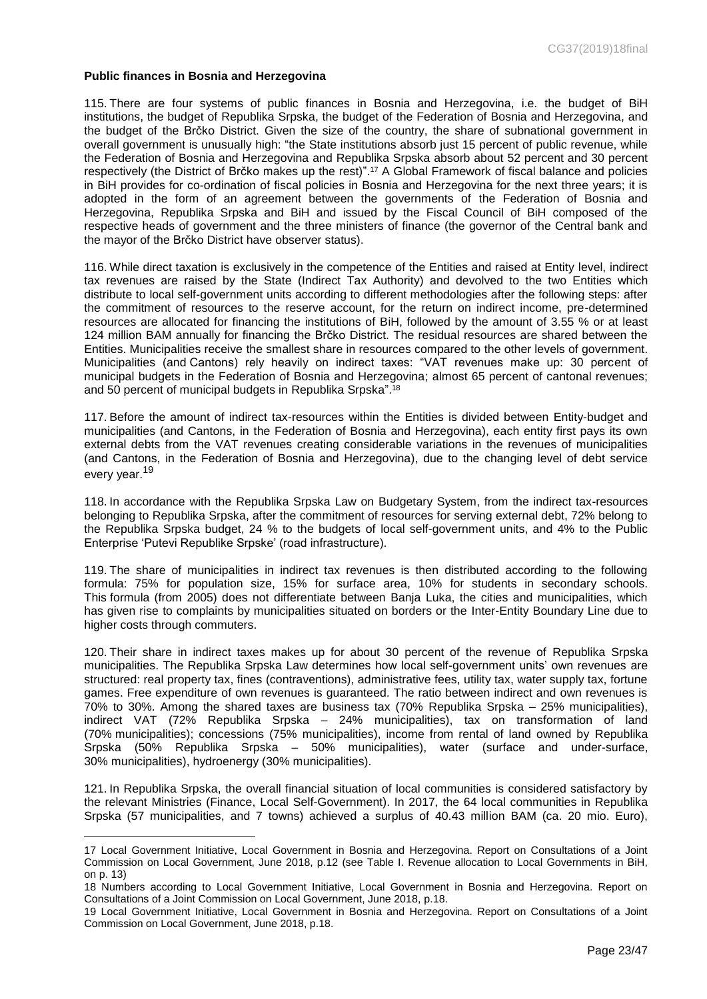#### **Public finances in Bosnia and Herzegovina**

 $\overline{a}$ 

115. There are four systems of public finances in Bosnia and Herzegovina, i.e. the budget of BiH institutions, the budget of Republika Srpska, the budget of the Federation of Bosnia and Herzegovina, and the budget of the Brčko District. Given the size of the country, the share of subnational government in overall government is unusually high: "the State institutions absorb just 15 percent of public revenue, while the Federation of Bosnia and Herzegovina and Republika Srpska absorb about 52 percent and 30 percent respectively (the District of Brčko makes up the rest)". <sup>17</sup> A Global Framework of fiscal balance and policies in BiH provides for co-ordination of fiscal policies in Bosnia and Herzegovina for the next three years; it is adopted in the form of an agreement between the governments of the Federation of Bosnia and Herzegovina, Republika Srpska and BiH and issued by the Fiscal Council of BiH composed of the respective heads of government and the three ministers of finance (the governor of the Central bank and the mayor of the Brčko District have observer status).

116. While direct taxation is exclusively in the competence of the Entities and raised at Entity level, indirect tax revenues are raised by the State (Indirect Tax Authority) and devolved to the two Entities which distribute to local self-government units according to different methodologies after the following steps: after the commitment of resources to the reserve account, for the return on indirect income, pre-determined resources are allocated for financing the institutions of BiH, followed by the amount of 3.55 % or at least 124 million BAM annually for financing the Brčko District. The residual resources are shared between the Entities. Municipalities receive the smallest share in resources compared to the other levels of government. Municipalities (and Cantons) rely heavily on indirect taxes: "VAT revenues make up: 30 percent of municipal budgets in the Federation of Bosnia and Herzegovina; almost 65 percent of cantonal revenues; and 50 percent of municipal budgets in Republika Srpska".<sup>18</sup>

117. Before the amount of indirect tax-resources within the Entities is divided between Entity-budget and municipalities (and Cantons, in the Federation of Bosnia and Herzegovina), each entity first pays its own external debts from the VAT revenues creating considerable variations in the revenues of municipalities (and Cantons, in the Federation of Bosnia and Herzegovina), due to the changing level of debt service every year.<sup>19</sup>

118. In accordance with the Republika Srpska Law on Budgetary System, from the indirect tax-resources belonging to Republika Srpska, after the commitment of resources for serving external debt, 72% belong to the Republika Srpska budget, 24 % to the budgets of local self-government units, and 4% to the Public Enterprise 'Putevi Republike Srpske' (road infrastructure).

119. The share of municipalities in indirect tax revenues is then distributed according to the following formula: 75% for population size, 15% for surface area, 10% for students in secondary schools. This formula (from 2005) does not differentiate between Banja Luka, the cities and municipalities, which has given rise to complaints by municipalities situated on borders or the Inter-Entity Boundary Line due to higher costs through commuters.

120. Their share in indirect taxes makes up for about 30 percent of the revenue of Republika Srpska municipalities. The Republika Srpska Law determines how local self-government units' own revenues are structured: real property tax, fines (contraventions), administrative fees, utility tax, water supply tax, fortune games. Free expenditure of own revenues is guaranteed. The ratio between indirect and own revenues is 70% to 30%. Among the shared taxes are business tax (70% Republika Srpska – 25% municipalities), indirect VAT (72% Republika Srpska – 24% municipalities), tax on transformation of land (70% municipalities); concessions (75% municipalities), income from rental of land owned by Republika Srpska (50% Republika Srpska – 50% municipalities), water (surface and under-surface, 30% municipalities), hydroenergy (30% municipalities).

121. In Republika Srpska, the overall financial situation of local communities is considered satisfactory by the relevant Ministries (Finance, Local Self-Government). In 2017, the 64 local communities in Republika Srpska (57 municipalities, and 7 towns) achieved a surplus of 40.43 million BAM (ca. 20 mio. Euro),

<sup>17</sup> Local Government Initiative, Local Government in Bosnia and Herzegovina. Report on Consultations of a Joint Commission on Local Government, June 2018, p.12 (see Table I. Revenue allocation to Local Governments in BiH, on p. 13)

<sup>18</sup> Numbers according to Local Government Initiative, Local Government in Bosnia and Herzegovina. Report on Consultations of a Joint Commission on Local Government, June 2018, p.18.

<sup>19</sup> Local Government Initiative, Local Government in Bosnia and Herzegovina. Report on Consultations of a Joint Commission on Local Government, June 2018, p.18.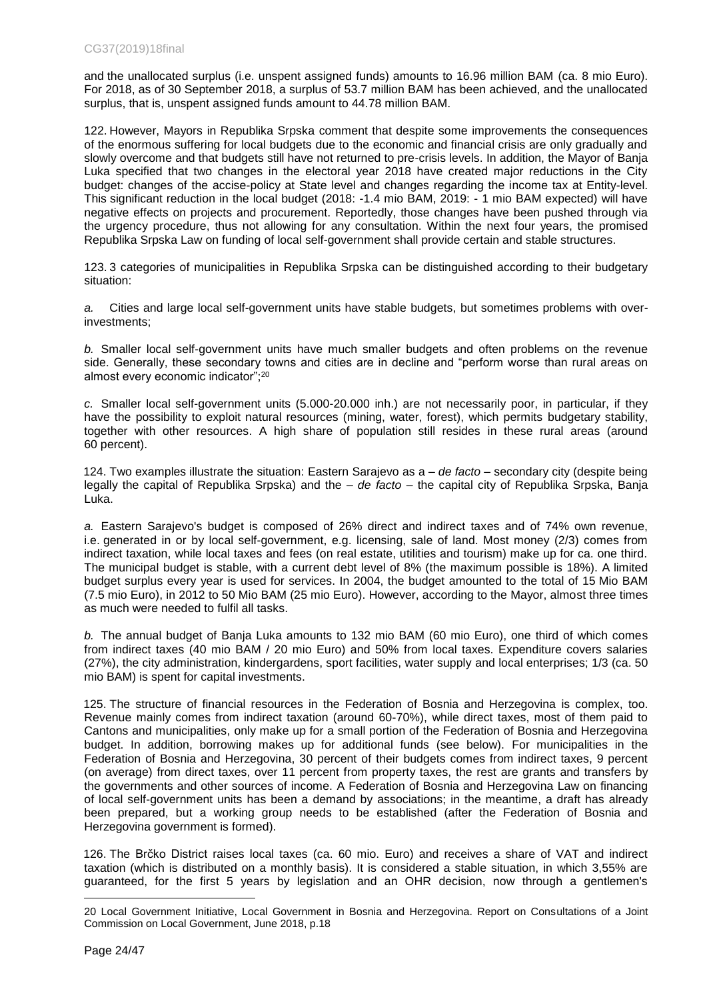and the unallocated surplus (i.e. unspent assigned funds) amounts to 16.96 million BAM (ca. 8 mio Euro). For 2018, as of 30 September 2018, a surplus of 53.7 million BAM has been achieved, and the unallocated surplus, that is, unspent assigned funds amount to 44.78 million BAM.

122. However, Mayors in Republika Srpska comment that despite some improvements the consequences of the enormous suffering for local budgets due to the economic and financial crisis are only gradually and slowly overcome and that budgets still have not returned to pre-crisis levels. In addition, the Mayor of Banja Luka specified that two changes in the electoral year 2018 have created major reductions in the City budget: changes of the accise-policy at State level and changes regarding the income tax at Entity-level. This significant reduction in the local budget (2018: -1.4 mio BAM, 2019: - 1 mio BAM expected) will have negative effects on projects and procurement. Reportedly, those changes have been pushed through via the urgency procedure, thus not allowing for any consultation. Within the next four years, the promised Republika Srpska Law on funding of local self-government shall provide certain and stable structures.

123. 3 categories of municipalities in Republika Srpska can be distinguished according to their budgetary situation:

*a.* Cities and large local self-government units have stable budgets, but sometimes problems with overinvestments;

*b.* Smaller local self-government units have much smaller budgets and often problems on the revenue side. Generally, these secondary towns and cities are in decline and "perform worse than rural areas on almost every economic indicator";<sup>20</sup>

*c.* Smaller local self-government units (5.000-20.000 inh.) are not necessarily poor, in particular, if they have the possibility to exploit natural resources (mining, water, forest), which permits budgetary stability, together with other resources. A high share of population still resides in these rural areas (around 60 percent).

124. Two examples illustrate the situation: Eastern Sarajevo as a – *de facto* – secondary city (despite being legally the capital of Republika Srpska) and the – *de facto* – the capital city of Republika Srpska, Banja Luka.

*a.* Eastern Sarajevo's budget is composed of 26% direct and indirect taxes and of 74% own revenue, i.e. generated in or by local self-government, e.g. licensing, sale of land. Most money (2/3) comes from indirect taxation, while local taxes and fees (on real estate, utilities and tourism) make up for ca. one third. The municipal budget is stable, with a current debt level of 8% (the maximum possible is 18%). A limited budget surplus every year is used for services. In 2004, the budget amounted to the total of 15 Mio BAM (7.5 mio Euro), in 2012 to 50 Mio BAM (25 mio Euro). However, according to the Mayor, almost three times as much were needed to fulfil all tasks.

*b.* The annual budget of Banja Luka amounts to 132 mio BAM (60 mio Euro), one third of which comes from indirect taxes (40 mio BAM / 20 mio Euro) and 50% from local taxes. Expenditure covers salaries (27%), the city administration, kindergardens, sport facilities, water supply and local enterprises; 1/3 (ca. 50 mio BAM) is spent for capital investments.

125. The structure of financial resources in the Federation of Bosnia and Herzegovina is complex, too. Revenue mainly comes from indirect taxation (around 60-70%), while direct taxes, most of them paid to Cantons and municipalities, only make up for a small portion of the Federation of Bosnia and Herzegovina budget. In addition, borrowing makes up for additional funds (see below). For municipalities in the Federation of Bosnia and Herzegovina, 30 percent of their budgets comes from indirect taxes, 9 percent (on average) from direct taxes, over 11 percent from property taxes, the rest are grants and transfers by the governments and other sources of income. A Federation of Bosnia and Herzegovina Law on financing of local self-government units has been a demand by associations; in the meantime, a draft has already been prepared, but a working group needs to be established (after the Federation of Bosnia and Herzegovina government is formed).

126. The Brčko District raises local taxes (ca. 60 mio. Euro) and receives a share of VAT and indirect taxation (which is distributed on a monthly basis). It is considered a stable situation, in which 3,55% are guaranteed, for the first 5 years by legislation and an OHR decision, now through a gentlemen's

<sup>20</sup> Local Government Initiative, Local Government in Bosnia and Herzegovina. Report on Consultations of a Joint Commission on Local Government, June 2018, p.18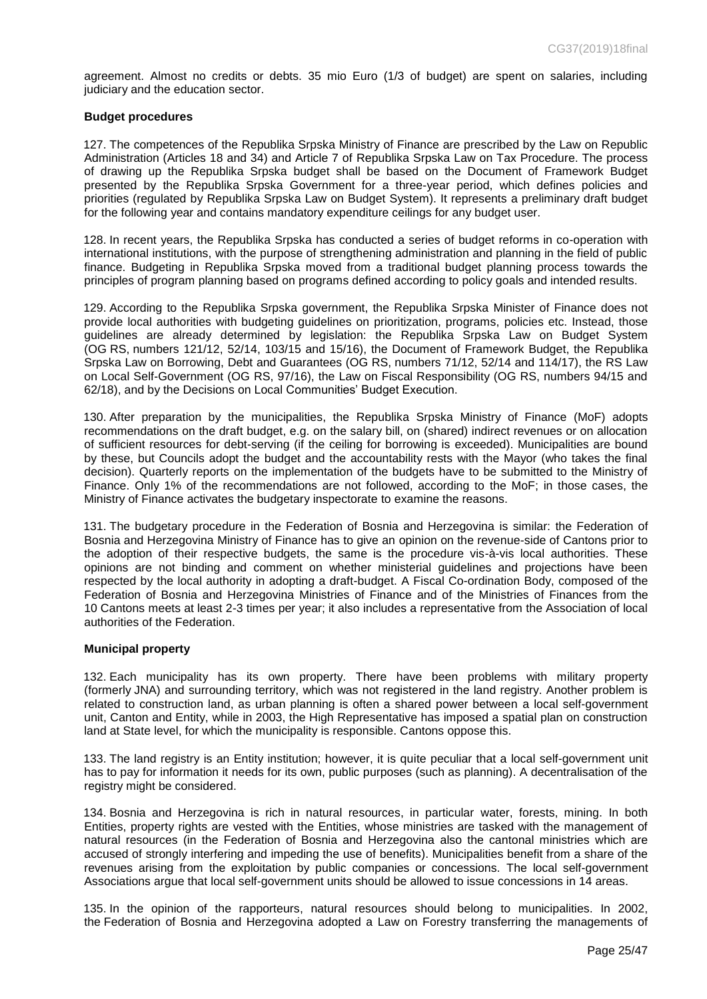agreement. Almost no credits or debts. 35 mio Euro (1/3 of budget) are spent on salaries, including judiciary and the education sector.

### **Budget procedures**

127. The competences of the Republika Srpska Ministry of Finance are prescribed by the Law on Republic Administration (Articles 18 and 34) and Article 7 of Republika Srpska Law on Tax Procedure. The process of drawing up the Republika Srpska budget shall be based on the Document of Framework Budget presented by the Republika Srpska Government for a three-year period, which defines policies and priorities (regulated by Republika Srpska Law on Budget System). It represents a preliminary draft budget for the following year and contains mandatory expenditure ceilings for any budget user.

128. In recent years, the Republika Srpska has conducted a series of budget reforms in co-operation with international institutions, with the purpose of strengthening administration and planning in the field of public finance. Budgeting in Republika Srpska moved from a traditional budget planning process towards the principles of program planning based on programs defined according to policy goals and intended results.

129. According to the Republika Srpska government, the Republika Srpska Minister of Finance does not provide local authorities with budgeting guidelines on prioritization, programs, policies etc. Instead, those guidelines are already determined by legislation: the Republika Srpska Law on Budget System (OG RS, numbers 121/12, 52/14, 103/15 and 15/16), the Document of Framework Budget, the Republika Srpska Law on Borrowing, Debt and Guarantees (OG RS, numbers 71/12, 52/14 and 114/17), the RS Law on Local Self-Government (OG RS, 97/16), the Law on Fiscal Responsibility (OG RS, numbers 94/15 and 62/18), and by the Decisions on Local Communities' Budget Execution.

130. After preparation by the municipalities, the Republika Srpska Ministry of Finance (MoF) adopts recommendations on the draft budget, e.g. on the salary bill, on (shared) indirect revenues or on allocation of sufficient resources for debt-serving (if the ceiling for borrowing is exceeded). Municipalities are bound by these, but Councils adopt the budget and the accountability rests with the Mayor (who takes the final decision). Quarterly reports on the implementation of the budgets have to be submitted to the Ministry of Finance. Only 1% of the recommendations are not followed, according to the MoF; in those cases, the Ministry of Finance activates the budgetary inspectorate to examine the reasons.

131. The budgetary procedure in the Federation of Bosnia and Herzegovina is similar: the Federation of Bosnia and Herzegovina Ministry of Finance has to give an opinion on the revenue-side of Cantons prior to the adoption of their respective budgets, the same is the procedure vis-à-vis local authorities. These opinions are not binding and comment on whether ministerial guidelines and projections have been respected by the local authority in adopting a draft-budget. A Fiscal Co-ordination Body, composed of the Federation of Bosnia and Herzegovina Ministries of Finance and of the Ministries of Finances from the 10 Cantons meets at least 2-3 times per year; it also includes a representative from the Association of local authorities of the Federation.

### **Municipal property**

132. Each municipality has its own property. There have been problems with military property (formerly JNA) and surrounding territory, which was not registered in the land registry. Another problem is related to construction land, as urban planning is often a shared power between a local self-government unit, Canton and Entity, while in 2003, the High Representative has imposed a spatial plan on construction land at State level, for which the municipality is responsible. Cantons oppose this.

133. The land registry is an Entity institution; however, it is quite peculiar that a local self-government unit has to pay for information it needs for its own, public purposes (such as planning). A decentralisation of the registry might be considered.

134. Bosnia and Herzegovina is rich in natural resources, in particular water, forests, mining. In both Entities, property rights are vested with the Entities, whose ministries are tasked with the management of natural resources (in the Federation of Bosnia and Herzegovina also the cantonal ministries which are accused of strongly interfering and impeding the use of benefits). Municipalities benefit from a share of the revenues arising from the exploitation by public companies or concessions. The local self-government Associations argue that local self-government units should be allowed to issue concessions in 14 areas.

135. In the opinion of the rapporteurs, natural resources should belong to municipalities. In 2002, the Federation of Bosnia and Herzegovina adopted a Law on Forestry transferring the managements of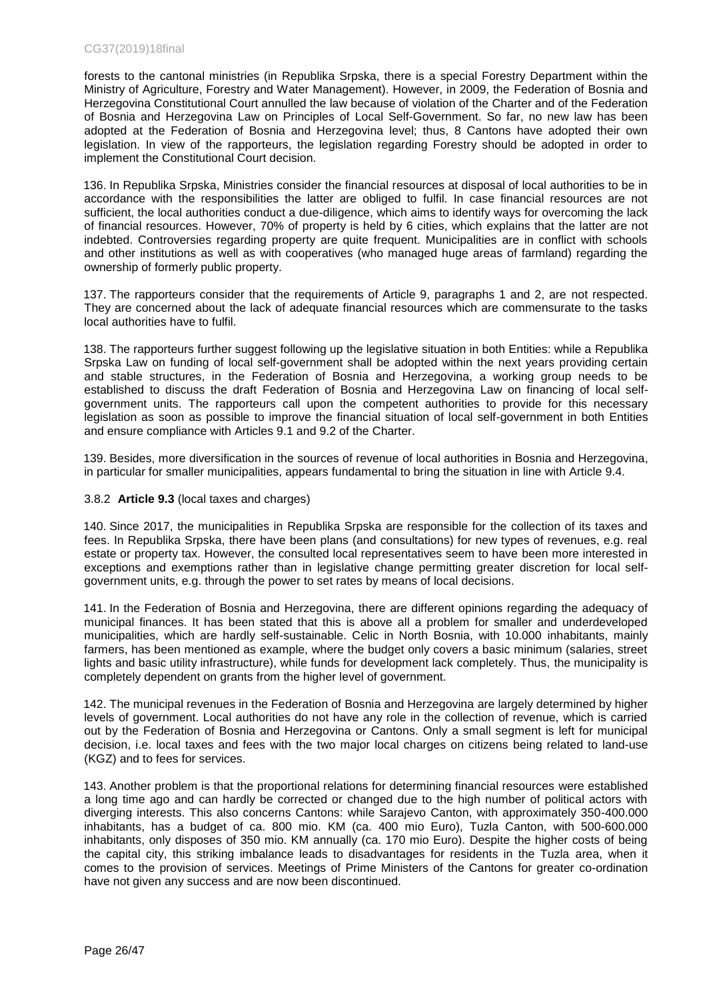### CG37(2019)18final

forests to the cantonal ministries (in Republika Srpska, there is a special Forestry Department within the Ministry of Agriculture, Forestry and Water Management). However, in 2009, the Federation of Bosnia and Herzegovina Constitutional Court annulled the law because of violation of the Charter and of the Federation of Bosnia and Herzegovina Law on Principles of Local Self-Government. So far, no new law has been adopted at the Federation of Bosnia and Herzegovina level; thus, 8 Cantons have adopted their own legislation. In view of the rapporteurs, the legislation regarding Forestry should be adopted in order to implement the Constitutional Court decision.

136. In Republika Srpska, Ministries consider the financial resources at disposal of local authorities to be in accordance with the responsibilities the latter are obliged to fulfil. In case financial resources are not sufficient, the local authorities conduct a due-diligence, which aims to identify ways for overcoming the lack of financial resources. However, 70% of property is held by 6 cities, which explains that the latter are not indebted. Controversies regarding property are quite frequent. Municipalities are in conflict with schools and other institutions as well as with cooperatives (who managed huge areas of farmland) regarding the ownership of formerly public property.

137. The rapporteurs consider that the requirements of Article 9, paragraphs 1 and 2, are not respected. They are concerned about the lack of adequate financial resources which are commensurate to the tasks local authorities have to fulfil.

138. The rapporteurs further suggest following up the legislative situation in both Entities: while a Republika Srpska Law on funding of local self-government shall be adopted within the next years providing certain and stable structures, in the Federation of Bosnia and Herzegovina, a working group needs to be established to discuss the draft Federation of Bosnia and Herzegovina Law on financing of local selfgovernment units. The rapporteurs call upon the competent authorities to provide for this necessary legislation as soon as possible to improve the financial situation of local self-government in both Entities and ensure compliance with Articles 9.1 and 9.2 of the Charter.

139. Besides, more diversification in the sources of revenue of local authorities in Bosnia and Herzegovina, in particular for smaller municipalities, appears fundamental to bring the situation in line with Article 9.4.

## 3.8.2 **Article 9.3** (local taxes and charges)

140. Since 2017, the municipalities in Republika Srpska are responsible for the collection of its taxes and fees. In Republika Srpska, there have been plans (and consultations) for new types of revenues, e.g. real estate or property tax. However, the consulted local representatives seem to have been more interested in exceptions and exemptions rather than in legislative change permitting greater discretion for local selfgovernment units, e.g. through the power to set rates by means of local decisions.

141. In the Federation of Bosnia and Herzegovina, there are different opinions regarding the adequacy of municipal finances. It has been stated that this is above all a problem for smaller and underdeveloped municipalities, which are hardly self-sustainable. Celic in North Bosnia, with 10.000 inhabitants, mainly farmers, has been mentioned as example, where the budget only covers a basic minimum (salaries, street lights and basic utility infrastructure), while funds for development lack completely. Thus, the municipality is completely dependent on grants from the higher level of government.

142. The municipal revenues in the Federation of Bosnia and Herzegovina are largely determined by higher levels of government. Local authorities do not have any role in the collection of revenue, which is carried out by the Federation of Bosnia and Herzegovina or Cantons. Only a small segment is left for municipal decision, i.e. local taxes and fees with the two major local charges on citizens being related to land-use (KGZ) and to fees for services.

143. Another problem is that the proportional relations for determining financial resources were established a long time ago and can hardly be corrected or changed due to the high number of political actors with diverging interests. This also concerns Cantons: while Sarajevo Canton, with approximately 350-400.000 inhabitants, has a budget of ca. 800 mio. KM (ca. 400 mio Euro), Tuzla Canton, with 500-600.000 inhabitants, only disposes of 350 mio. KM annually (ca. 170 mio Euro). Despite the higher costs of being the capital city, this striking imbalance leads to disadvantages for residents in the Tuzla area, when it comes to the provision of services. Meetings of Prime Ministers of the Cantons for greater co-ordination have not given any success and are now been discontinued.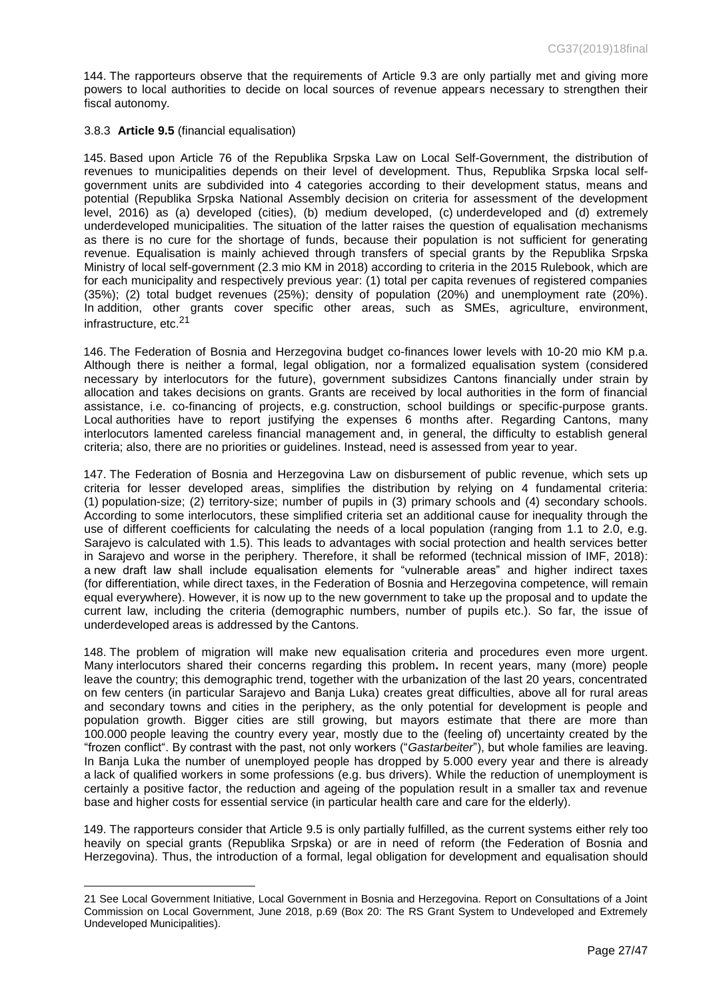144. The rapporteurs observe that the requirements of Article 9.3 are only partially met and giving more powers to local authorities to decide on local sources of revenue appears necessary to strengthen their fiscal autonomy.

#### 3.8.3 **Article 9.5** (financial equalisation)

 $\overline{a}$ 

145. Based upon Article 76 of the Republika Srpska Law on Local Self-Government, the distribution of revenues to municipalities depends on their level of development. Thus, Republika Srpska local selfgovernment units are subdivided into 4 categories according to their development status, means and potential (Republika Srpska National Assembly decision on criteria for assessment of the development level, 2016) as (a) developed (cities), (b) medium developed, (c) underdeveloped and (d) extremely underdeveloped municipalities. The situation of the latter raises the question of equalisation mechanisms as there is no cure for the shortage of funds, because their population is not sufficient for generating revenue. Equalisation is mainly achieved through transfers of special grants by the Republika Srpska Ministry of local self-government (2.3 mio KM in 2018) according to criteria in the 2015 Rulebook, which are for each municipality and respectively previous year: (1) total per capita revenues of registered companies (35%); (2) total budget revenues (25%); density of population (20%) and unemployment rate (20%). In addition, other grants cover specific other areas, such as SMEs, agriculture, environment, infrastructure, etc.<sup>21</sup>

146. The Federation of Bosnia and Herzegovina budget co-finances lower levels with 10-20 mio KM p.a. Although there is neither a formal, legal obligation, nor a formalized equalisation system (considered necessary by interlocutors for the future), government subsidizes Cantons financially under strain by allocation and takes decisions on grants. Grants are received by local authorities in the form of financial assistance, i.e. co-financing of projects, e.g. construction, school buildings or specific-purpose grants. Local authorities have to report justifying the expenses 6 months after. Regarding Cantons, many interlocutors lamented careless financial management and, in general, the difficulty to establish general criteria; also, there are no priorities or guidelines. Instead, need is assessed from year to year.

147. The Federation of Bosnia and Herzegovina Law on disbursement of public revenue, which sets up criteria for lesser developed areas, simplifies the distribution by relying on 4 fundamental criteria: (1) population-size; (2) territory-size; number of pupils in (3) primary schools and (4) secondary schools. According to some interlocutors, these simplified criteria set an additional cause for inequality through the use of different coefficients for calculating the needs of a local population (ranging from 1.1 to 2.0, e.g. Sarajevo is calculated with 1.5). This leads to advantages with social protection and health services better in Sarajevo and worse in the periphery. Therefore, it shall be reformed (technical mission of IMF, 2018): a new draft law shall include equalisation elements for "vulnerable areas" and higher indirect taxes (for differentiation, while direct taxes, in the Federation of Bosnia and Herzegovina competence, will remain equal everywhere). However, it is now up to the new government to take up the proposal and to update the current law, including the criteria (demographic numbers, number of pupils etc.). So far, the issue of underdeveloped areas is addressed by the Cantons.

148. The problem of migration will make new equalisation criteria and procedures even more urgent. Many interlocutors shared their concerns regarding this problem**.** In recent years, many (more) people leave the country; this demographic trend, together with the urbanization of the last 20 years, concentrated on few centers (in particular Sarajevo and Banja Luka) creates great difficulties, above all for rural areas and secondary towns and cities in the periphery, as the only potential for development is people and population growth. Bigger cities are still growing, but mayors estimate that there are more than 100.000 people leaving the country every year, mostly due to the (feeling of) uncertainty created by the "frozen conflict". By contrast with the past, not only workers ("*Gastarbeiter*"), but whole families are leaving. In Banja Luka the number of unemployed people has dropped by 5.000 every year and there is already a lack of qualified workers in some professions (e.g. bus drivers). While the reduction of unemployment is certainly a positive factor, the reduction and ageing of the population result in a smaller tax and revenue base and higher costs for essential service (in particular health care and care for the elderly).

149. The rapporteurs consider that Article 9.5 is only partially fulfilled, as the current systems either rely too heavily on special grants (Republika Srpska) or are in need of reform (the Federation of Bosnia and Herzegovina). Thus, the introduction of a formal, legal obligation for development and equalisation should

<sup>21</sup> See Local Government Initiative, Local Government in Bosnia and Herzegovina. Report on Consultations of a Joint Commission on Local Government, June 2018, p.69 (Box 20: The RS Grant System to Undeveloped and Extremely Undeveloped Municipalities).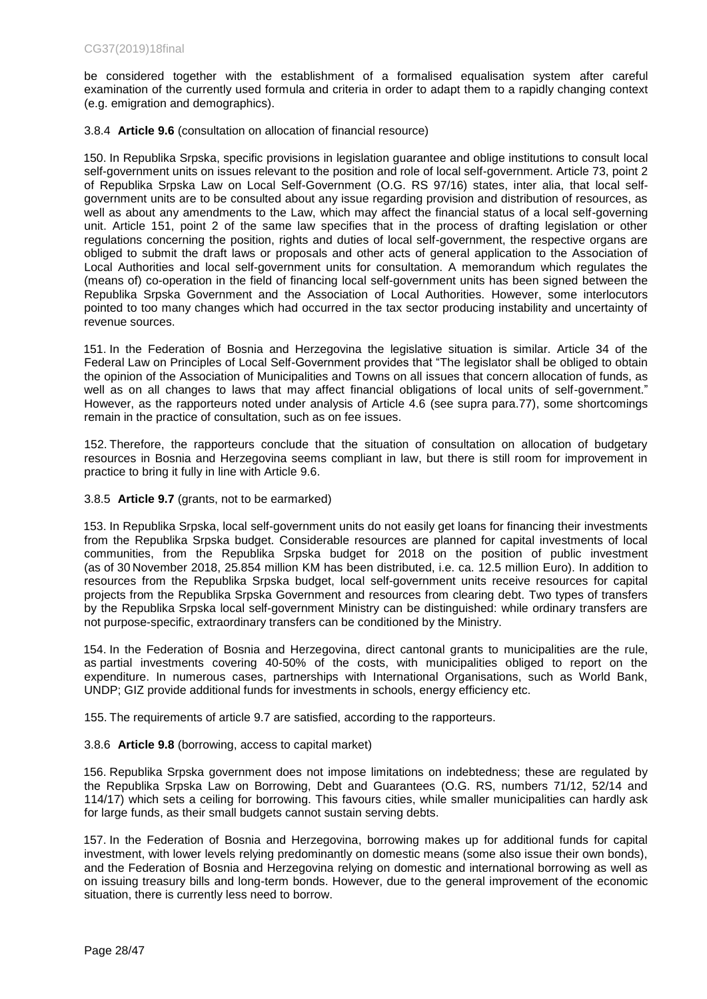be considered together with the establishment of a formalised equalisation system after careful examination of the currently used formula and criteria in order to adapt them to a rapidly changing context (e.g. emigration and demographics).

3.8.4 **Article 9.6** (consultation on allocation of financial resource)

150. In Republika Srpska, specific provisions in legislation guarantee and oblige institutions to consult local self-government units on issues relevant to the position and role of local self-government. Article 73, point 2 of Republika Srpska Law on Local Self-Government (O.G. RS 97/16) states, inter alia, that local selfgovernment units are to be consulted about any issue regarding provision and distribution of resources, as well as about any amendments to the Law, which may affect the financial status of a local self-governing unit. Article 151, point 2 of the same law specifies that in the process of drafting legislation or other regulations concerning the position, rights and duties of local self-government, the respective organs are obliged to submit the draft laws or proposals and other acts of general application to the Association of Local Authorities and local self-government units for consultation. A memorandum which regulates the (means of) co-operation in the field of financing local self-government units has been signed between the Republika Srpska Government and the Association of Local Authorities. However, some interlocutors pointed to too many changes which had occurred in the tax sector producing instability and uncertainty of revenue sources.

151. In the Federation of Bosnia and Herzegovina the legislative situation is similar. Article 34 of the Federal Law on Principles of Local Self-Government provides that "The legislator shall be obliged to obtain the opinion of the Association of Municipalities and Towns on all issues that concern allocation of funds, as well as on all changes to laws that may affect financial obligations of local units of self-government." However, as the rapporteurs noted under analysis of Article 4.6 (see supra para.77), some shortcomings remain in the practice of consultation, such as on fee issues.

152. Therefore, the rapporteurs conclude that the situation of consultation on allocation of budgetary resources in Bosnia and Herzegovina seems compliant in law, but there is still room for improvement in practice to bring it fully in line with Article 9.6.

3.8.5 **Article 9.7** (grants, not to be earmarked)

153. In Republika Srpska, local self-government units do not easily get loans for financing their investments from the Republika Srpska budget. Considerable resources are planned for capital investments of local communities, from the Republika Srpska budget for 2018 on the position of public investment (as of 30 November 2018, 25.854 million KM has been distributed, i.e. ca. 12.5 million Euro). In addition to resources from the Republika Srpska budget, local self-government units receive resources for capital projects from the Republika Srpska Government and resources from clearing debt. Two types of transfers by the Republika Srpska local self-government Ministry can be distinguished: while ordinary transfers are not purpose-specific, extraordinary transfers can be conditioned by the Ministry.

154. In the Federation of Bosnia and Herzegovina, direct cantonal grants to municipalities are the rule, as partial investments covering 40-50% of the costs, with municipalities obliged to report on the expenditure. In numerous cases, partnerships with International Organisations, such as World Bank, UNDP; GIZ provide additional funds for investments in schools, energy efficiency etc.

155. The requirements of article 9.7 are satisfied, according to the rapporteurs.

## 3.8.6 **Article 9.8** (borrowing, access to capital market)

156. Republika Srpska government does not impose limitations on indebtedness; these are regulated by the Republika Srpska Law on Borrowing, Debt and Guarantees (O.G. RS, numbers 71/12, 52/14 and 114/17) which sets a ceiling for borrowing. This favours cities, while smaller municipalities can hardly ask for large funds, as their small budgets cannot sustain serving debts.

157. In the Federation of Bosnia and Herzegovina, borrowing makes up for additional funds for capital investment, with lower levels relying predominantly on domestic means (some also issue their own bonds), and the Federation of Bosnia and Herzegovina relying on domestic and international borrowing as well as on issuing treasury bills and long-term bonds. However, due to the general improvement of the economic situation, there is currently less need to borrow.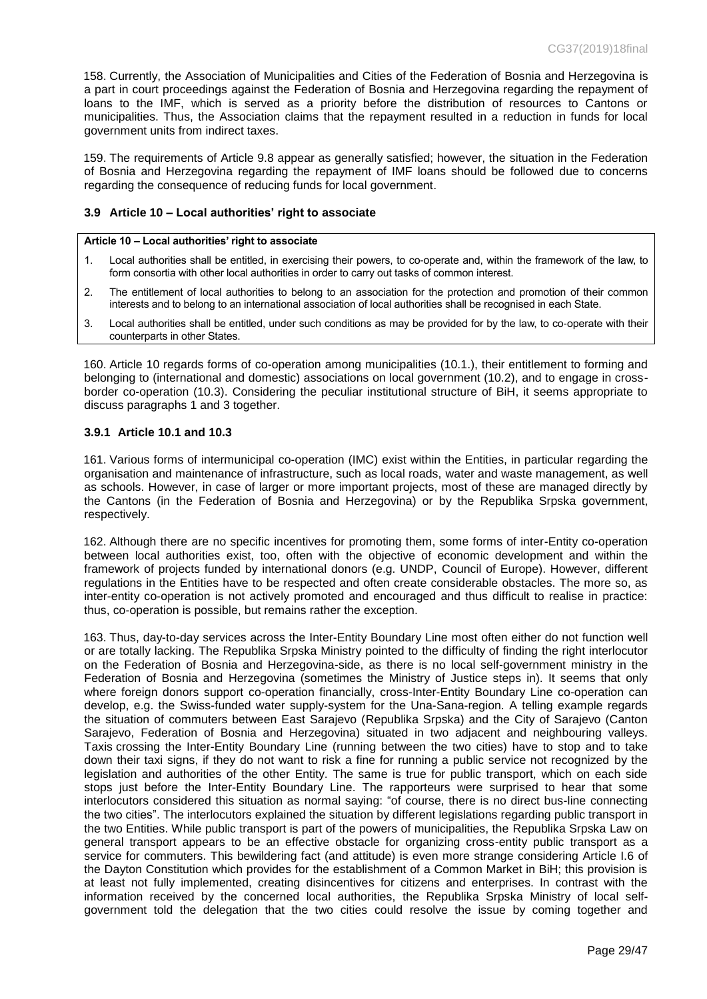158. Currently, the Association of Municipalities and Cities of the Federation of Bosnia and Herzegovina is a part in court proceedings against the Federation of Bosnia and Herzegovina regarding the repayment of loans to the IMF, which is served as a priority before the distribution of resources to Cantons or municipalities. Thus, the Association claims that the repayment resulted in a reduction in funds for local government units from indirect taxes.

159. The requirements of Article 9.8 appear as generally satisfied; however, the situation in the Federation of Bosnia and Herzegovina regarding the repayment of IMF loans should be followed due to concerns regarding the consequence of reducing funds for local government.

### <span id="page-28-0"></span>**3.9 Article 10 – Local authorities' right to associate**

#### **Article 10 – Local authorities' right to associate**

- 1. Local authorities shall be entitled, in exercising their powers, to co-operate and, within the framework of the law, to form consortia with other local authorities in order to carry out tasks of common interest.
- 2. The entitlement of local authorities to belong to an association for the protection and promotion of their common interests and to belong to an international association of local authorities shall be recognised in each State.
- 3. Local authorities shall be entitled, under such conditions as may be provided for by the law, to co-operate with their counterparts in other States.

160. Article 10 regards forms of co-operation among municipalities (10.1.), their entitlement to forming and belonging to (international and domestic) associations on local government (10.2), and to engage in crossborder co-operation (10.3). Considering the peculiar institutional structure of BiH, it seems appropriate to discuss paragraphs 1 and 3 together.

### **3.9.1 Article 10.1 and 10.3**

161. Various forms of intermunicipal co-operation (IMC) exist within the Entities, in particular regarding the organisation and maintenance of infrastructure, such as local roads, water and waste management, as well as schools. However, in case of larger or more important projects, most of these are managed directly by the Cantons (in the Federation of Bosnia and Herzegovina) or by the Republika Srpska government, respectively.

162. Although there are no specific incentives for promoting them, some forms of inter-Entity co-operation between local authorities exist, too, often with the objective of economic development and within the framework of projects funded by international donors (e.g. UNDP, Council of Europe). However, different regulations in the Entities have to be respected and often create considerable obstacles. The more so, as inter-entity co-operation is not actively promoted and encouraged and thus difficult to realise in practice: thus, co-operation is possible, but remains rather the exception.

163. Thus, day-to-day services across the Inter-Entity Boundary Line most often either do not function well or are totally lacking. The Republika Srpska Ministry pointed to the difficulty of finding the right interlocutor on the Federation of Bosnia and Herzegovina-side, as there is no local self-government ministry in the Federation of Bosnia and Herzegovina (sometimes the Ministry of Justice steps in). It seems that only where foreign donors support co-operation financially, cross-Inter-Entity Boundary Line co-operation can develop, e.g. the Swiss-funded water supply-system for the Una-Sana-region. A telling example regards the situation of commuters between East Sarajevo (Republika Srpska) and the City of Sarajevo (Canton Sarajevo, Federation of Bosnia and Herzegovina) situated in two adjacent and neighbouring valleys. Taxis crossing the Inter-Entity Boundary Line (running between the two cities) have to stop and to take down their taxi signs, if they do not want to risk a fine for running a public service not recognized by the legislation and authorities of the other Entity. The same is true for public transport, which on each side stops just before the Inter-Entity Boundary Line. The rapporteurs were surprised to hear that some interlocutors considered this situation as normal saying: "of course, there is no direct bus-line connecting the two cities". The interlocutors explained the situation by different legislations regarding public transport in the two Entities. While public transport is part of the powers of municipalities, the Republika Srpska Law on general transport appears to be an effective obstacle for organizing cross-entity public transport as a service for commuters. This bewildering fact (and attitude) is even more strange considering Article I.6 of the Dayton Constitution which provides for the establishment of a Common Market in BiH; this provision is at least not fully implemented, creating disincentives for citizens and enterprises. In contrast with the information received by the concerned local authorities, the Republika Srpska Ministry of local selfgovernment told the delegation that the two cities could resolve the issue by coming together and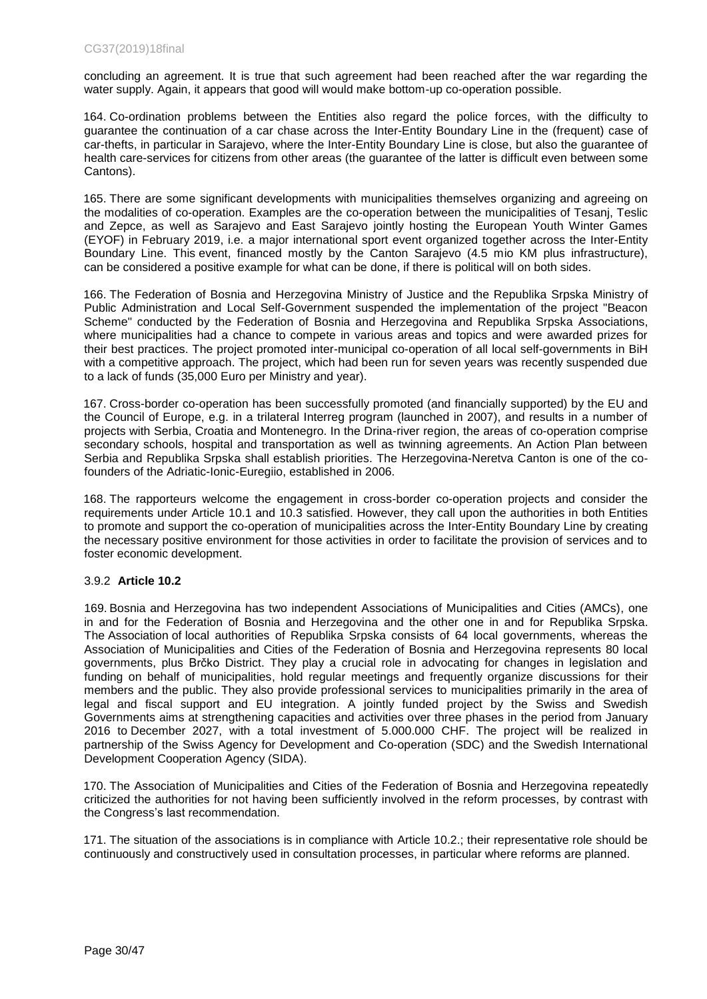concluding an agreement. It is true that such agreement had been reached after the war regarding the water supply. Again, it appears that good will would make bottom-up co-operation possible.

164. Co-ordination problems between the Entities also regard the police forces, with the difficulty to guarantee the continuation of a car chase across the Inter-Entity Boundary Line in the (frequent) case of car-thefts, in particular in Sarajevo, where the Inter-Entity Boundary Line is close, but also the guarantee of health care-services for citizens from other areas (the guarantee of the latter is difficult even between some Cantons).

165. There are some significant developments with municipalities themselves organizing and agreeing on the modalities of co-operation. Examples are the co-operation between the municipalities of Tesanj, Teslic and Zepce, as well as Sarajevo and East Sarajevo jointly hosting the European Youth Winter Games (EYOF) in February 2019, i.e. a major international sport event organized together across the Inter-Entity Boundary Line. This event, financed mostly by the Canton Sarajevo (4.5 mio KM plus infrastructure), can be considered a positive example for what can be done, if there is political will on both sides.

166. The Federation of Bosnia and Herzegovina Ministry of Justice and the Republika Srpska Ministry of Public Administration and Local Self-Government suspended the implementation of the project "Beacon Scheme" conducted by the Federation of Bosnia and Herzegovina and Republika Srpska Associations, where municipalities had a chance to compete in various areas and topics and were awarded prizes for their best practices. The project promoted inter-municipal co-operation of all local self-governments in BiH with a competitive approach. The project, which had been run for seven years was recently suspended due to a lack of funds (35,000 Euro per Ministry and year).

167. Cross-border co-operation has been successfully promoted (and financially supported) by the EU and the Council of Europe, e.g. in a trilateral Interreg program (launched in 2007), and results in a number of projects with Serbia, Croatia and Montenegro. In the Drina-river region, the areas of co-operation comprise secondary schools, hospital and transportation as well as twinning agreements. An Action Plan between Serbia and Republika Srpska shall establish priorities. The Herzegovina-Neretva Canton is one of the cofounders of the Adriatic-Ionic-Euregiio, established in 2006.

168. The rapporteurs welcome the engagement in cross-border co-operation projects and consider the requirements under Article 10.1 and 10.3 satisfied. However, they call upon the authorities in both Entities to promote and support the co-operation of municipalities across the Inter-Entity Boundary Line by creating the necessary positive environment for those activities in order to facilitate the provision of services and to foster economic development.

## 3.9.2 **Article 10.2**

169. Bosnia and Herzegovina has two independent Associations of Municipalities and Cities (AMCs), one in and for the Federation of Bosnia and Herzegovina and the other one in and for Republika Srpska. The Association of local authorities of Republika Srpska consists of 64 local governments, whereas the Association of Municipalities and Cities of the Federation of Bosnia and Herzegovina represents 80 local governments, plus Brčko District. They play a crucial role in advocating for changes in legislation and funding on behalf of municipalities, hold regular meetings and frequently organize discussions for their members and the public. They also provide professional services to municipalities primarily in the area of legal and fiscal support and EU integration. A jointly funded project by the Swiss and Swedish Governments aims at strengthening capacities and activities over three phases in the period from January 2016 to December 2027, with a total investment of 5.000.000 CHF. The project will be realized in partnership of the Swiss Agency for Development and Co-operation (SDC) and the Swedish International Development Cooperation Agency (SIDA).

170. The Association of Municipalities and Cities of the Federation of Bosnia and Herzegovina repeatedly criticized the authorities for not having been sufficiently involved in the reform processes, by contrast with the Congress's last recommendation.

171. The situation of the associations is in compliance with Article 10.2.; their representative role should be continuously and constructively used in consultation processes, in particular where reforms are planned.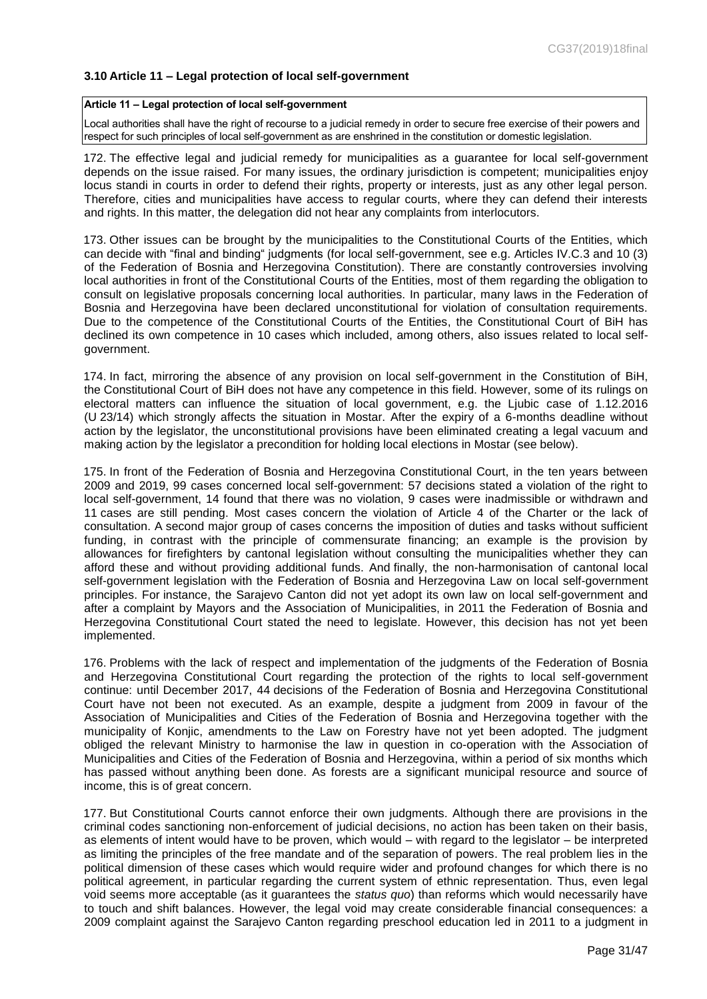### <span id="page-30-0"></span>**3.10 Article 11 – Legal protection of local self-government**

#### **Article 11 – Legal protection of local self-government**

Local authorities shall have the right of recourse to a judicial remedy in order to secure free exercise of their powers and respect for such principles of local self-government as are enshrined in the constitution or domestic legislation.

172. The effective legal and judicial remedy for municipalities as a guarantee for local self-government depends on the issue raised. For many issues, the ordinary jurisdiction is competent; municipalities enjoy locus standi in courts in order to defend their rights, property or interests, just as any other legal person. Therefore, cities and municipalities have access to regular courts, where they can defend their interests and rights. In this matter, the delegation did not hear any complaints from interlocutors.

173. Other issues can be brought by the municipalities to the Constitutional Courts of the Entities, which can decide with "final and binding" judgments (for local self-government, see e.g. Articles IV.C.3 and 10 (3) of the Federation of Bosnia and Herzegovina Constitution). There are constantly controversies involving local authorities in front of the Constitutional Courts of the Entities, most of them regarding the obligation to consult on legislative proposals concerning local authorities. In particular, many laws in the Federation of Bosnia and Herzegovina have been declared unconstitutional for violation of consultation requirements. Due to the competence of the Constitutional Courts of the Entities, the Constitutional Court of BiH has declined its own competence in 10 cases which included, among others, also issues related to local selfgovernment.

174. In fact, mirroring the absence of any provision on local self-government in the Constitution of BiH, the Constitutional Court of BiH does not have any competence in this field. However, some of its rulings on electoral matters can influence the situation of local government, e.g. the Ljubic case of 1.12.2016 (U 23/14) which strongly affects the situation in Mostar. After the expiry of a 6-months deadline without action by the legislator, the unconstitutional provisions have been eliminated creating a legal vacuum and making action by the legislator a precondition for holding local elections in Mostar (see below).

175. In front of the Federation of Bosnia and Herzegovina Constitutional Court, in the ten years between 2009 and 2019, 99 cases concerned local self-government: 57 decisions stated a violation of the right to local self-government, 14 found that there was no violation, 9 cases were inadmissible or withdrawn and 11 cases are still pending. Most cases concern the violation of Article 4 of the Charter or the lack of consultation. A second major group of cases concerns the imposition of duties and tasks without sufficient funding, in contrast with the principle of commensurate financing; an example is the provision by allowances for firefighters by cantonal legislation without consulting the municipalities whether they can afford these and without providing additional funds. And finally, the non-harmonisation of cantonal local self-government legislation with the Federation of Bosnia and Herzegovina Law on local self-government principles. For instance, the Sarajevo Canton did not yet adopt its own law on local self-government and after a complaint by Mayors and the Association of Municipalities, in 2011 the Federation of Bosnia and Herzegovina Constitutional Court stated the need to legislate. However, this decision has not yet been implemented.

176. Problems with the lack of respect and implementation of the judgments of the Federation of Bosnia and Herzegovina Constitutional Court regarding the protection of the rights to local self-government continue: until December 2017, 44 decisions of the Federation of Bosnia and Herzegovina Constitutional Court have not been not executed. As an example, despite a judgment from 2009 in favour of the Association of Municipalities and Cities of the Federation of Bosnia and Herzegovina together with the municipality of Konjic, amendments to the Law on Forestry have not yet been adopted. The judgment obliged the relevant Ministry to harmonise the law in question in co-operation with the Association of Municipalities and Cities of the Federation of Bosnia and Herzegovina, within a period of six months which has passed without anything been done. As forests are a significant municipal resource and source of income, this is of great concern.

177. But Constitutional Courts cannot enforce their own judgments. Although there are provisions in the criminal codes sanctioning non-enforcement of judicial decisions, no action has been taken on their basis, as elements of intent would have to be proven, which would – with regard to the legislator – be interpreted as limiting the principles of the free mandate and of the separation of powers. The real problem lies in the political dimension of these cases which would require wider and profound changes for which there is no political agreement, in particular regarding the current system of ethnic representation. Thus, even legal void seems more acceptable (as it guarantees the *status quo*) than reforms which would necessarily have to touch and shift balances. However, the legal void may create considerable financial consequences: a 2009 complaint against the Sarajevo Canton regarding preschool education led in 2011 to a judgment in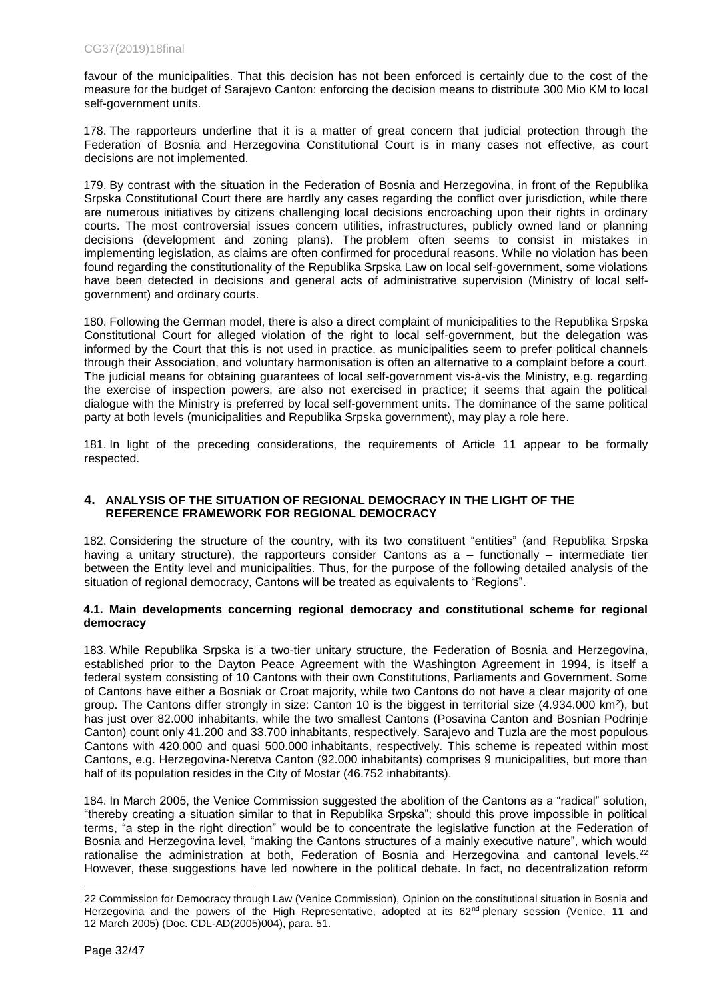favour of the municipalities. That this decision has not been enforced is certainly due to the cost of the measure for the budget of Sarajevo Canton: enforcing the decision means to distribute 300 Mio KM to local self-government units.

178. The rapporteurs underline that it is a matter of great concern that judicial protection through the Federation of Bosnia and Herzegovina Constitutional Court is in many cases not effective, as court decisions are not implemented.

179. By contrast with the situation in the Federation of Bosnia and Herzegovina, in front of the Republika Srpska Constitutional Court there are hardly any cases regarding the conflict over jurisdiction, while there are numerous initiatives by citizens challenging local decisions encroaching upon their rights in ordinary courts. The most controversial issues concern utilities, infrastructures, publicly owned land or planning decisions (development and zoning plans). The problem often seems to consist in mistakes in implementing legislation, as claims are often confirmed for procedural reasons. While no violation has been found regarding the constitutionality of the Republika Srpska Law on local self-government, some violations have been detected in decisions and general acts of administrative supervision (Ministry of local selfgovernment) and ordinary courts.

180. Following the German model, there is also a direct complaint of municipalities to the Republika Srpska Constitutional Court for alleged violation of the right to local self-government, but the delegation was informed by the Court that this is not used in practice, as municipalities seem to prefer political channels through their Association, and voluntary harmonisation is often an alternative to a complaint before a court. The judicial means for obtaining guarantees of local self-government vis-à-vis the Ministry, e.g. regarding the exercise of inspection powers, are also not exercised in practice; it seems that again the political dialogue with the Ministry is preferred by local self-government units. The dominance of the same political party at both levels (municipalities and Republika Srpska government), may play a role here.

181. In light of the preceding considerations, the requirements of Article 11 appear to be formally respected.

## <span id="page-31-0"></span>**4. ANALYSIS OF THE SITUATION OF REGIONAL DEMOCRACY IN THE LIGHT OF THE REFERENCE FRAMEWORK FOR REGIONAL DEMOCRACY**

182. Considering the structure of the country, with its two constituent "entities" (and Republika Srpska having a unitary structure), the rapporteurs consider Cantons as a – functionally – intermediate tier between the Entity level and municipalities. Thus, for the purpose of the following detailed analysis of the situation of regional democracy, Cantons will be treated as equivalents to "Regions".

## **4.1. Main developments concerning regional democracy and [constitutional scheme for regional](file://///Hawking-share/Congress_dpt1_monitoring/1.%20MONITORING%20%20VISITS/ITALY/2017-03-21%20Monitoring%20visit/Report/4.%20Adopted%20final%20text-rec/CG33(2017)17final_EN_local_regional_authorities_Italy.doc%23_Toc492991242)  [democracy](file://///Hawking-share/Congress_dpt1_monitoring/1.%20MONITORING%20%20VISITS/ITALY/2017-03-21%20Monitoring%20visit/Report/4.%20Adopted%20final%20text-rec/CG33(2017)17final_EN_local_regional_authorities_Italy.doc%23_Toc492991242)**

183. While Republika Srpska is a two-tier unitary structure, the Federation of Bosnia and Herzegovina, established prior to the Dayton Peace Agreement with the Washington Agreement in 1994, is itself a federal system consisting of 10 Cantons with their own Constitutions, Parliaments and Government. Some of Cantons have either a Bosniak or Croat majority, while two Cantons do not have a clear majority of one group. The Cantons differ strongly in size: Canton 10 is the biggest in territorial size (4.934.000 km<sup>2</sup>), but has just over 82.000 inhabitants, while the two smallest Cantons (Posavina Canton and Bosnian Podrinje Canton) count only 41.200 and 33.700 inhabitants, respectively. Sarajevo and Tuzla are the most populous Cantons with 420.000 and quasi 500.000 inhabitants, respectively. This scheme is repeated within most Cantons, e.g. Herzegovina-Neretva Canton (92.000 inhabitants) comprises 9 municipalities, but more than half of its population resides in the City of Mostar (46.752 inhabitants).

184. In March 2005, the Venice Commission suggested the abolition of the Cantons as a "radical" solution, "thereby creating a situation similar to that in Republika Srpska"; should this prove impossible in political terms, "a step in the right direction" would be to concentrate the legislative function at the Federation of Bosnia and Herzegovina level, "making the Cantons structures of a mainly executive nature", which would rationalise the administration at both, Federation of Bosnia and Herzegovina and cantonal levels.<sup>22</sup> However, these suggestions have led nowhere in the political debate. In fact, no decentralization reform

<sup>22</sup> Commission for Democracy through Law (Venice Commission), Opinion on the constitutional situation in Bosnia and Herzegovina and the powers of the High Representative, adopted at its 62<sup>nd</sup> plenary session (Venice, 11 and 12 March 2005) (Doc. CDL-AD(2005)004), para. 51.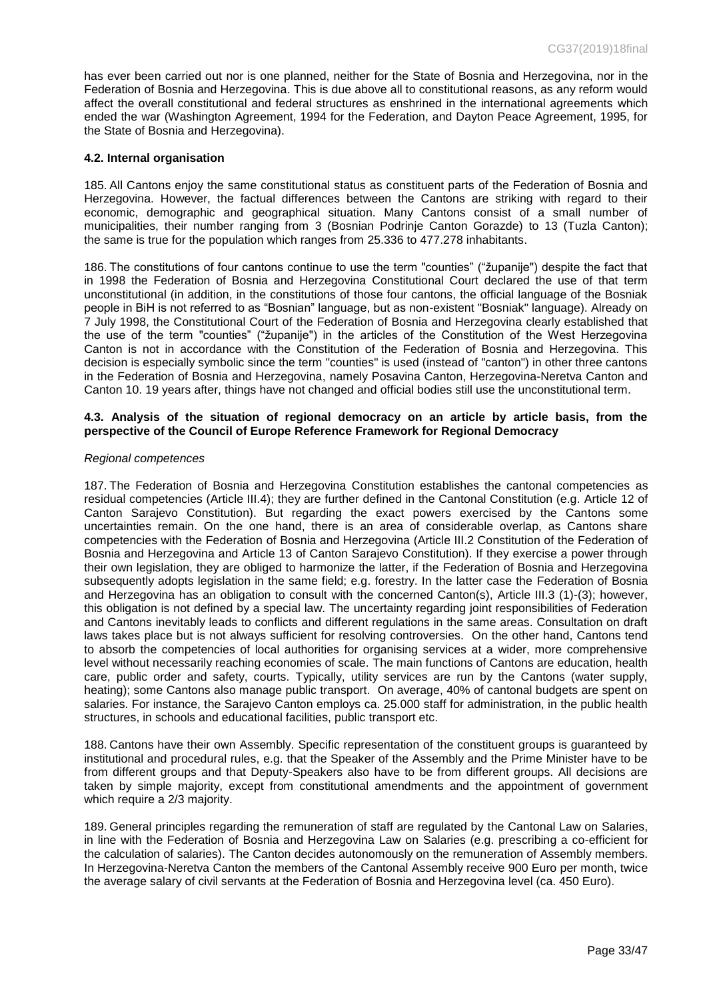has ever been carried out nor is one planned, neither for the State of Bosnia and Herzegovina, nor in the Federation of Bosnia and Herzegovina. This is due above all to constitutional reasons, as any reform would affect the overall constitutional and federal structures as enshrined in the international agreements which ended the war (Washington Agreement, 1994 for the Federation, and Dayton Peace Agreement, 1995, for the State of Bosnia and Herzegovina).

#### **4.2. [Internal organisation](file://///Hawking-share/Congress_dpt1_monitoring/1.%20MONITORING%20%20VISITS/ITALY/2017-03-21%20Monitoring%20visit/Report/4.%20Adopted%20final%20text-rec/CG33(2017)17final_EN_local_regional_authorities_Italy.doc%23_Toc492991243)**

185. All Cantons enjoy the same constitutional status as constituent parts of the Federation of Bosnia and Herzegovina. However, the factual differences between the Cantons are striking with regard to their economic, demographic and geographical situation. Many Cantons consist of a small number of municipalities, their number ranging from 3 (Bosnian Podrinje Canton Gorazde) to 13 (Tuzla Canton); the same is true for the population which ranges from 25.336 to 477.278 inhabitants.

186. The constitutions of four cantons continue to use the term "counties" ("županije") despite the fact that in 1998 the Federation of Bosnia and Herzegovina Constitutional Court declared the use of that term unconstitutional (in addition, in the constitutions of those four cantons, the official language of the Bosniak people in BiH is not referred to as "Bosnian" language, but as non-existent "Bosniak" language). Already on 7 July 1998, the Constitutional Court of the Federation of Bosnia and Herzegovina clearly established that the use of the term "counties" ("županije") in the articles of the Constitution of the West Herzegovina Canton is not in accordance with the Constitution of the Federation of Bosnia and Herzegovina. This decision is especially symbolic since the term "counties" is used (instead of "canton") in other three cantons in the Federation of Bosnia and Herzegovina, namely Posavina Canton, Herzegovina-Neretva Canton and Canton 10. 19 years after, things have not changed and official bodies still use the unconstitutional term.

#### **4.3. [Analysis of the situation of regional democracy on an article by article basis, from the](file://///Hawking-share/Congress_dpt1_monitoring/1.%20MONITORING%20%20VISITS/ITALY/2017-03-21%20Monitoring%20visit/Report/4.%20Adopted%20final%20text-rec/CG33(2017)17final_EN_local_regional_authorities_Italy.doc%23_Toc492991244)  [perspective of the Council of Europe Reference Framework for Regional Democracy](file://///Hawking-share/Congress_dpt1_monitoring/1.%20MONITORING%20%20VISITS/ITALY/2017-03-21%20Monitoring%20visit/Report/4.%20Adopted%20final%20text-rec/CG33(2017)17final_EN_local_regional_authorities_Italy.doc%23_Toc492991244)**

#### *[Regional competences](file://///Hawking-share/Congress_dpt1_monitoring/1.%20MONITORING%20%20VISITS/ITALY/2017-03-21%20Monitoring%20visit/Report/4.%20Adopted%20final%20text-rec/CG33(2017)17final_EN_local_regional_authorities_Italy.doc%23_Toc492991245)*

187. The Federation of Bosnia and Herzegovina Constitution establishes the cantonal competencies as residual competencies (Article III.4); they are further defined in the Cantonal Constitution (e.g. Article 12 of Canton Sarajevo Constitution). But regarding the exact powers exercised by the Cantons some uncertainties remain. On the one hand, there is an area of considerable overlap, as Cantons share competencies with the Federation of Bosnia and Herzegovina (Article III.2 Constitution of the Federation of Bosnia and Herzegovina and Article 13 of Canton Sarajevo Constitution). If they exercise a power through their own legislation, they are obliged to harmonize the latter, if the Federation of Bosnia and Herzegovina subsequently adopts legislation in the same field; e.g. forestry. In the latter case the Federation of Bosnia and Herzegovina has an obligation to consult with the concerned Canton(s), Article III.3 (1)-(3); however, this obligation is not defined by a special law. The uncertainty regarding joint responsibilities of Federation and Cantons inevitably leads to conflicts and different regulations in the same areas. Consultation on draft laws takes place but is not always sufficient for resolving controversies. On the other hand, Cantons tend to absorb the competencies of local authorities for organising services at a wider, more comprehensive level without necessarily reaching economies of scale. The main functions of Cantons are education, health care, public order and safety, courts. Typically, utility services are run by the Cantons (water supply, heating); some Cantons also manage public transport. On average, 40% of cantonal budgets are spent on salaries. For instance, the Sarajevo Canton employs ca. 25.000 staff for administration, in the public health structures, in schools and educational facilities, public transport etc.

188. Cantons have their own Assembly. Specific representation of the constituent groups is guaranteed by institutional and procedural rules, e.g. that the Speaker of the Assembly and the Prime Minister have to be from different groups and that Deputy-Speakers also have to be from different groups. All decisions are taken by simple majority, except from constitutional amendments and the appointment of government which require a 2/3 majority.

189. General principles regarding the remuneration of staff are regulated by the Cantonal Law on Salaries, in line with the Federation of Bosnia and Herzegovina Law on Salaries (e.g. prescribing a co-efficient for the calculation of salaries). The Canton decides autonomously on the remuneration of Assembly members. In Herzegovina-Neretva Canton the members of the Cantonal Assembly receive 900 Euro per month, twice the average salary of civil servants at the Federation of Bosnia and Herzegovina level (ca. 450 Euro).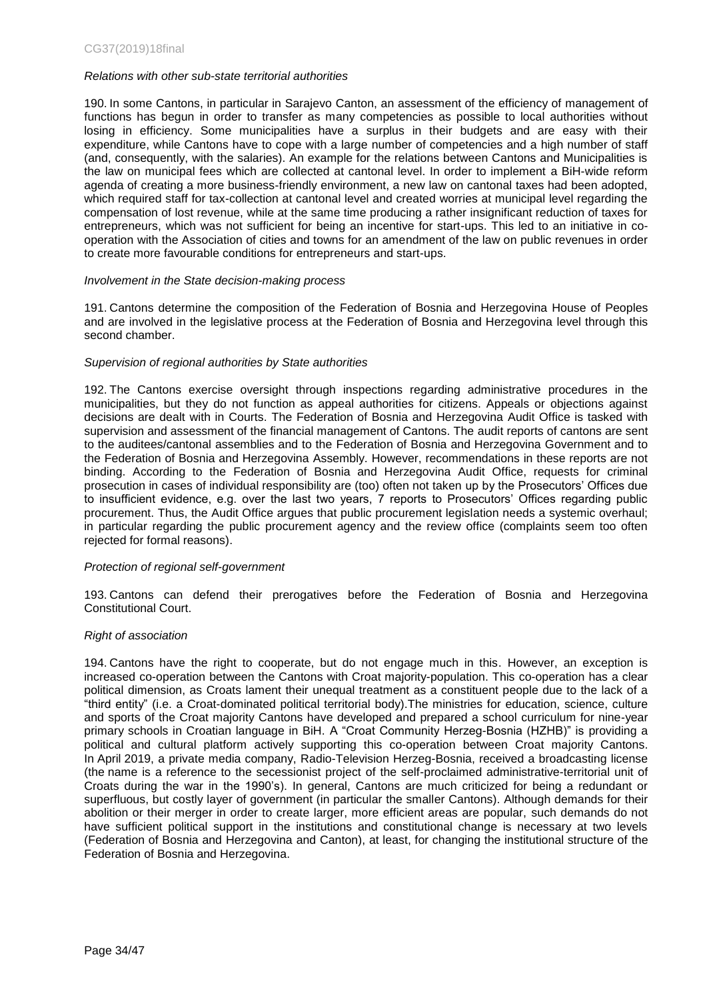### *[Relations with other sub-state](file://///Hawking-share/Congress_dpt1_monitoring/1.%20MONITORING%20%20VISITS/ITALY/2017-03-21%20Monitoring%20visit/Report/4.%20Adopted%20final%20text-rec/CG33(2017)17final_EN_local_regional_authorities_Italy.doc%23_Toc492991246) territorial authorities*

190. In some Cantons, in particular in Sarajevo Canton, an assessment of the efficiency of management of functions has begun in order to transfer as many competencies as possible to local authorities without losing in efficiency. Some municipalities have a surplus in their budgets and are easy with their expenditure, while Cantons have to cope with a large number of competencies and a high number of staff (and, consequently, with the salaries). An example for the relations between Cantons and Municipalities is the law on municipal fees which are collected at cantonal level. In order to implement a BiH-wide reform agenda of creating a more business-friendly environment, a new law on cantonal taxes had been adopted, which required staff for tax-collection at cantonal level and created worries at municipal level regarding the compensation of lost revenue, while at the same time producing a rather insignificant reduction of taxes for entrepreneurs, which was not sufficient for being an incentive for start-ups. This led to an initiative in cooperation with the Association of cities and towns for an amendment of the law on public revenues in order to create more favourable conditions for entrepreneurs and start-ups.

### *[Involvement in the State decision-making process](file://///Hawking-share/Congress_dpt1_monitoring/1.%20MONITORING%20%20VISITS/ITALY/2017-03-21%20Monitoring%20visit/Report/4.%20Adopted%20final%20text-rec/CG33(2017)17final_EN_local_regional_authorities_Italy.doc%23_Toc492991247)*

191. Cantons determine the composition of the Federation of Bosnia and Herzegovina House of Peoples and are involved in the legislative process at the Federation of Bosnia and Herzegovina level through this second chamber.

#### *[Supervision of regional authorities by State authorities](file://///Hawking-share/Congress_dpt1_monitoring/1.%20MONITORING%20%20VISITS/ITALY/2017-03-21%20Monitoring%20visit/Report/4.%20Adopted%20final%20text-rec/CG33(2017)17final_EN_local_regional_authorities_Italy.doc%23_Toc492991248)*

192. The Cantons exercise oversight through inspections regarding administrative procedures in the municipalities, but they do not function as appeal authorities for citizens. Appeals or objections against decisions are dealt with in Courts. The Federation of Bosnia and Herzegovina Audit Office is tasked with supervision and assessment of the financial management of Cantons. The audit reports of cantons are sent to the auditees/cantonal assemblies and to the Federation of Bosnia and Herzegovina Government and to the Federation of Bosnia and Herzegovina Assembly. However, recommendations in these reports are not binding. According to the Federation of Bosnia and Herzegovina Audit Office, requests for criminal prosecution in cases of individual responsibility are (too) often not taken up by the Prosecutors' Offices due to insufficient evidence, e.g. over the last two years, 7 reports to Prosecutors' Offices regarding public procurement. Thus, the Audit Office argues that public procurement legislation needs a systemic overhaul; in particular regarding the public procurement agency and the review office (complaints seem too often rejected for formal reasons).

#### *[Protection of regional self-government](file://///Hawking-share/Congress_dpt1_monitoring/1.%20MONITORING%20%20VISITS/ITALY/2017-03-21%20Monitoring%20visit/Report/4.%20Adopted%20final%20text-rec/CG33(2017)17final_EN_local_regional_authorities_Italy.doc%23_Toc492991249)*

193. Cantons can defend their prerogatives before the Federation of Bosnia and Herzegovina Constitutional Court.

### *[Right of association](file://///Hawking-share/Congress_dpt1_monitoring/1.%20MONITORING%20%20VISITS/ITALY/2017-03-21%20Monitoring%20visit/Report/4.%20Adopted%20final%20text-rec/CG33(2017)17final_EN_local_regional_authorities_Italy.doc%23_Toc492991250)*

194. Cantons have the right to cooperate, but do not engage much in this. However, an exception is increased co-operation between the Cantons with Croat majority-population. This co-operation has a clear political dimension, as Croats lament their unequal treatment as a constituent people due to the lack of a "third entity" (i.e. a Croat-dominated political territorial body).The ministries for education, science, culture and sports of the Croat majority Cantons have developed and prepared a school curriculum for nine-year primary schools in Croatian language in BiH. A "Croat Community Herzeg-Bosnia (HZHB)" is providing a political and cultural platform actively supporting this co-operation between Croat majority Cantons. In April 2019, a private media company, Radio-Television Herzeg-Bosnia, received a broadcasting license (the name is a reference to the secessionist project of the self-proclaimed administrative-territorial unit of Croats during the war in the 1990's). In general, Cantons are much criticized for being a redundant or superfluous, but costly layer of government (in particular the smaller Cantons). Although demands for their abolition or their merger in order to create larger, more efficient areas are popular, such demands do not have sufficient political support in the institutions and constitutional change is necessary at two levels (Federation of Bosnia and Herzegovina and Canton), at least, for changing the institutional structure of the Federation of Bosnia and Herzegovina.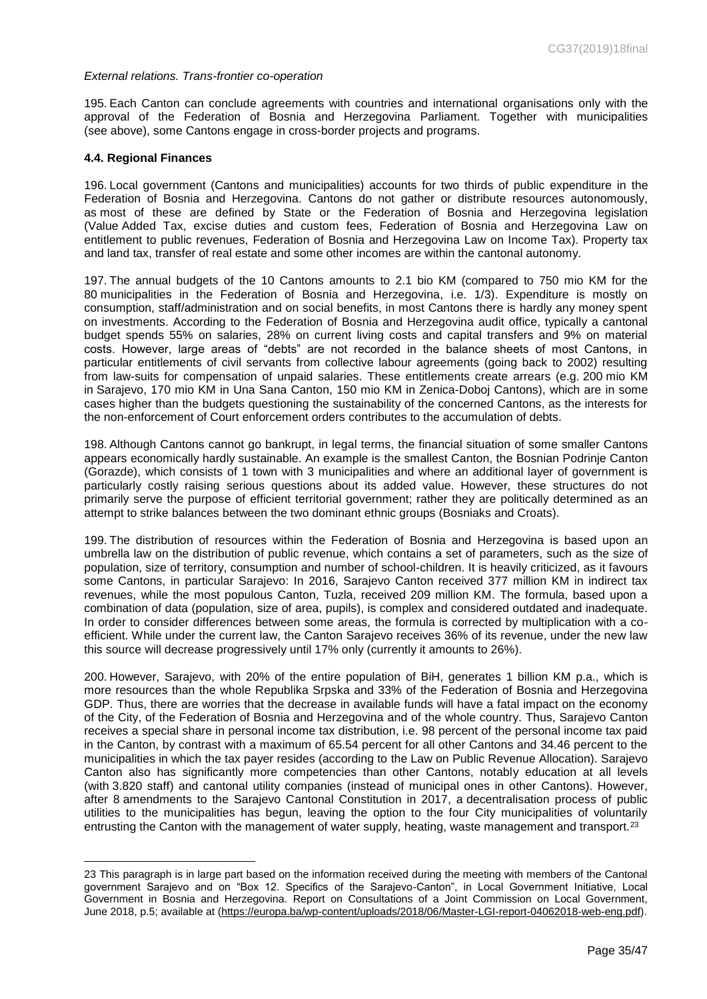### *[External relations. Trans-frontier co-operation](file://///Hawking-share/Congress_dpt1_monitoring/1.%20MONITORING%20%20VISITS/ITALY/2017-03-21%20Monitoring%20visit/Report/4.%20Adopted%20final%20text-rec/CG33(2017)17final_EN_local_regional_authorities_Italy.doc%23_Toc492991251)*

195. Each Canton can conclude agreements with countries and international organisations only with the approval of the Federation of Bosnia and Herzegovina Parliament. Together with municipalities (see above), some Cantons engage in cross-border projects and programs.

#### **4.4. [Regional Finances](file://///Hawking-share/Congress_dpt1_monitoring/1.%20MONITORING%20%20VISITS/ITALY/2017-03-21%20Monitoring%20visit/Report/4.%20Adopted%20final%20text-rec/CG33(2017)17final_EN_local_regional_authorities_Italy.doc%23_Toc492991252)**

 $\overline{a}$ 

196. Local government (Cantons and municipalities) accounts for two thirds of public expenditure in the Federation of Bosnia and Herzegovina. Cantons do not gather or distribute resources autonomously, as most of these are defined by State or the Federation of Bosnia and Herzegovina legislation (Value Added Tax, excise duties and custom fees, Federation of Bosnia and Herzegovina Law on entitlement to public revenues, Federation of Bosnia and Herzegovina Law on Income Tax). Property tax and land tax, transfer of real estate and some other incomes are within the cantonal autonomy.

197. The annual budgets of the 10 Cantons amounts to 2.1 bio KM (compared to 750 mio KM for the 80 municipalities in the Federation of Bosnia and Herzegovina, i.e. 1/3). Expenditure is mostly on consumption, staff/administration and on social benefits, in most Cantons there is hardly any money spent on investments. According to the Federation of Bosnia and Herzegovina audit office, typically a cantonal budget spends 55% on salaries, 28% on current living costs and capital transfers and 9% on material costs. However, large areas of "debts" are not recorded in the balance sheets of most Cantons, in particular entitlements of civil servants from collective labour agreements (going back to 2002) resulting from law-suits for compensation of unpaid salaries. These entitlements create arrears (e.g. 200 mio KM in Sarajevo, 170 mio KM in Una Sana Canton, 150 mio KM in Zenica-Doboj Cantons), which are in some cases higher than the budgets questioning the sustainability of the concerned Cantons, as the interests for the non-enforcement of Court enforcement orders contributes to the accumulation of debts.

198. Although Cantons cannot go bankrupt, in legal terms, the financial situation of some smaller Cantons appears economically hardly sustainable. An example is the smallest Canton, the Bosnian Podrinje Canton (Gorazde), which consists of 1 town with 3 municipalities and where an additional layer of government is particularly costly raising serious questions about its added value. However, these structures do not primarily serve the purpose of efficient territorial government; rather they are politically determined as an attempt to strike balances between the two dominant ethnic groups (Bosniaks and Croats).

199. The distribution of resources within the Federation of Bosnia and Herzegovina is based upon an umbrella law on the distribution of public revenue, which contains a set of parameters, such as the size of population, size of territory, consumption and number of school-children. It is heavily criticized, as it favours some Cantons, in particular Sarajevo: In 2016, Sarajevo Canton received 377 million KM in indirect tax revenues, while the most populous Canton, Tuzla, received 209 million KM. The formula, based upon a combination of data (population, size of area, pupils), is complex and considered outdated and inadequate. In order to consider differences between some areas, the formula is corrected by multiplication with a coefficient. While under the current law, the Canton Sarajevo receives 36% of its revenue, under the new law this source will decrease progressively until 17% only (currently it amounts to 26%).

200. However, Sarajevo, with 20% of the entire population of BiH, generates 1 billion KM p.a., which is more resources than the whole Republika Srpska and 33% of the Federation of Bosnia and Herzegovina GDP. Thus, there are worries that the decrease in available funds will have a fatal impact on the economy of the City, of the Federation of Bosnia and Herzegovina and of the whole country. Thus, Sarajevo Canton receives a special share in personal income tax distribution, i.e. 98 percent of the personal income tax paid in the Canton, by contrast with a maximum of 65.54 percent for all other Cantons and 34.46 percent to the municipalities in which the tax payer resides (according to the Law on Public Revenue Allocation). Sarajevo Canton also has significantly more competencies than other Cantons, notably education at all levels (with 3.820 staff) and cantonal utility companies (instead of municipal ones in other Cantons). However, after 8 amendments to the Sarajevo Cantonal Constitution in 2017, a decentralisation process of public utilities to the municipalities has begun, leaving the option to the four City municipalities of voluntarily entrusting the Canton with the management of water supply, heating, waste management and transport.<sup>23</sup>

<sup>23</sup> This paragraph is in large part based on the information received during the meeting with members of the Cantonal government Sarajevo and on "Box 12. Specifics of the Sarajevo-Canton", in Local Government Initiative, Local Government in Bosnia and Herzegovina. Report on Consultations of a Joint Commission on Local Government, June 2018, p.5; available at [\(https://europa.ba/wp-content/uploads/2018/06/Master-LGI-report-04062018-web-eng.pdf\)](https://europa.ba/wp-content/uploads/2018/06/Master-LGI-report-04062018-web-eng.pdf).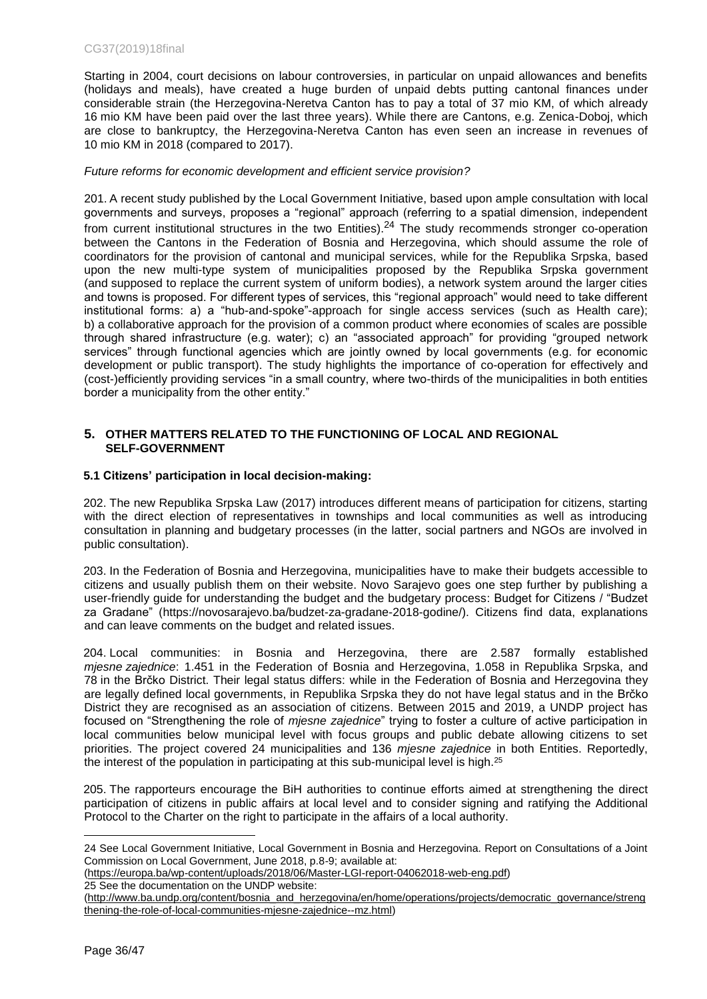Starting in 2004, court decisions on labour controversies, in particular on unpaid allowances and benefits (holidays and meals), have created a huge burden of unpaid debts putting cantonal finances under considerable strain (the Herzegovina-Neretva Canton has to pay a total of 37 mio KM, of which already 16 mio KM have been paid over the last three years). While there are Cantons, e.g. Zenica-Doboj, which are close to bankruptcy, the Herzegovina-Neretva Canton has even seen an increase in revenues of 10 mio KM in 2018 (compared to 2017).

## *Future reforms for economic development and efficient service provision?*

201. A recent study published by the Local Government Initiative, based upon ample consultation with local governments and surveys, proposes a "regional" approach (referring to a spatial dimension, independent from current institutional structures in the two Entities).<sup>24</sup> The study recommends stronger co-operation between the Cantons in the Federation of Bosnia and Herzegovina, which should assume the role of coordinators for the provision of cantonal and municipal services, while for the Republika Srpska, based upon the new multi-type system of municipalities proposed by the Republika Srpska government (and supposed to replace the current system of uniform bodies), a network system around the larger cities and towns is proposed. For different types of services, this "regional approach" would need to take different institutional forms: a) a "hub-and-spoke"-approach for single access services (such as Health care); b) a collaborative approach for the provision of a common product where economies of scales are possible through shared infrastructure (e.g. water); c) an "associated approach" for providing "grouped network services" through functional agencies which are jointly owned by local governments (e.g. for economic development or public transport). The study highlights the importance of co-operation for effectively and (cost-)efficiently providing services "in a small country, where two-thirds of the municipalities in both entities border a municipality from the other entity."

## <span id="page-35-0"></span>**5. OTHER MATTERS RELATED TO THE FUNCTIONING OF LOCAL AND REGIONAL SELF-GOVERNMENT**

## **5.1 Citizens' participation in local decision-making:**

202. The new Republika Srpska Law (2017) introduces different means of participation for citizens, starting with the direct election of representatives in townships and local communities as well as introducing consultation in planning and budgetary processes (in the latter, social partners and NGOs are involved in public consultation).

203. In the Federation of Bosnia and Herzegovina, municipalities have to make their budgets accessible to citizens and usually publish them on their website. Novo Sarajevo goes one step further by publishing a user-friendly guide for understanding the budget and the budgetary process: Budget for Citizens / "Budzet za Gradane" (https://novosarajevo.ba/budzet-za-gradane-2018-godine/). Citizens find data, explanations and can leave comments on the budget and related issues.

204. Local communities: in Bosnia and Herzegovina, there are 2.587 formally established *mjesne zajednice*: 1.451 in the Federation of Bosnia and Herzegovina, 1.058 in Republika Srpska, and 78 in the Brčko District. Their legal status differs: while in the Federation of Bosnia and Herzegovina they are legally defined local governments, in Republika Srpska they do not have legal status and in the Brčko District they are recognised as an association of citizens. Between 2015 and 2019, a UNDP project has focused on "Strengthening the role of *mjesne zajednice*" trying to foster a culture of active participation in local communities below municipal level with focus groups and public debate allowing citizens to set priorities. The project covered 24 municipalities and 136 *mjesne zajednice* in both Entities. Reportedly, the interest of the population in participating at this sub-municipal level is high.<sup>25</sup>

205. The rapporteurs encourage the BiH authorities to continue efforts aimed at strengthening the direct participation of citizens in public affairs at local level and to consider signing and ratifying the Additional Protocol to the Charter on the right to participate in the affairs of a local authority.

[\(https://europa.ba/wp-content/uploads/2018/06/Master-LGI-report-04062018-web-eng.pdf\)](https://europa.ba/wp-content/uploads/2018/06/Master-LGI-report-04062018-web-eng.pdf) 25 See the documentation on the UNDP website:

<sup>24</sup> See Local Government Initiative, Local Government in Bosnia and Herzegovina. Report on Consultations of a Joint Commission on Local Government, June 2018, p.8-9; available at:

[<sup>\(</sup>http://www.ba.undp.org/content/bosnia\\_and\\_herzegovina/en/home/operations/projects/democratic\\_governance/streng](http://www.ba.undp.org/content/bosnia_and_herzegovina/en/home/operations/projects/democratic_governance/strengthening-the-role-of-local-communities-mjesne-zajednice--mz.html) [thening-the-role-of-local-communities-mjesne-zajednice--mz.html\)](http://www.ba.undp.org/content/bosnia_and_herzegovina/en/home/operations/projects/democratic_governance/strengthening-the-role-of-local-communities-mjesne-zajednice--mz.html)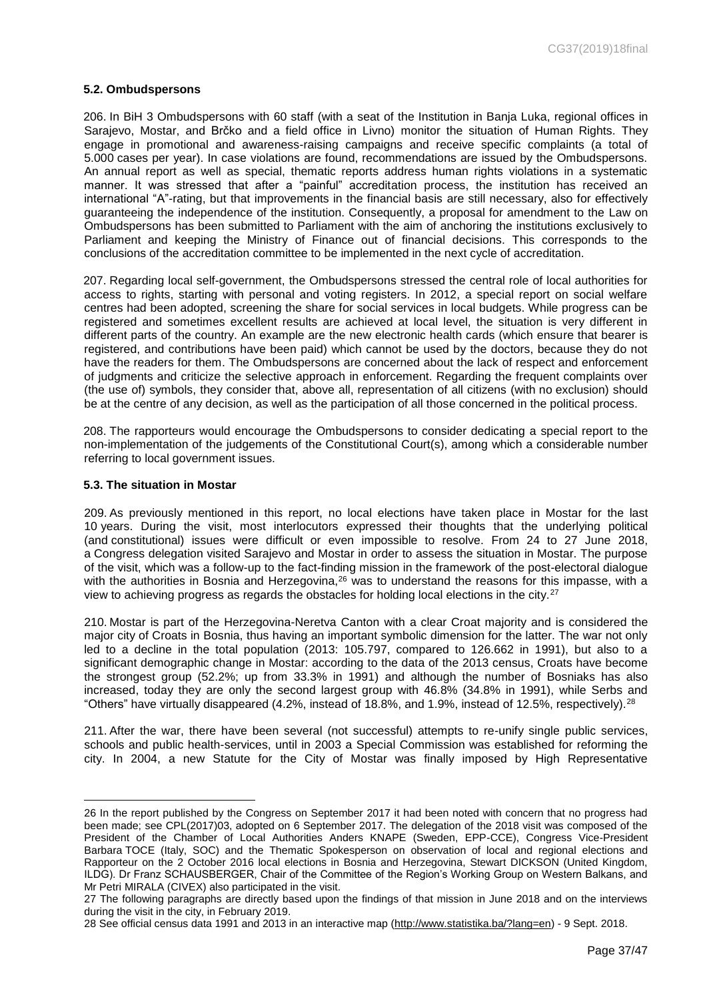#### **5.2. Ombudspersons**

206. In BiH 3 Ombudspersons with 60 staff (with a seat of the Institution in Banja Luka, regional offices in Sarajevo, Mostar, and Brčko and a field office in Livno) monitor the situation of Human Rights. They engage in promotional and awareness-raising campaigns and receive specific complaints (a total of 5.000 cases per year). In case violations are found, recommendations are issued by the Ombudspersons. An annual report as well as special, thematic reports address human rights violations in a systematic manner. It was stressed that after a "painful" accreditation process, the institution has received an international "A"-rating, but that improvements in the financial basis are still necessary, also for effectively guaranteeing the independence of the institution. Consequently, a proposal for amendment to the Law on Ombudspersons has been submitted to Parliament with the aim of anchoring the institutions exclusively to Parliament and keeping the Ministry of Finance out of financial decisions. This corresponds to the conclusions of the accreditation committee to be implemented in the next cycle of accreditation.

207. Regarding local self-government, the Ombudspersons stressed the central role of local authorities for access to rights, starting with personal and voting registers. In 2012, a special report on social welfare centres had been adopted, screening the share for social services in local budgets. While progress can be registered and sometimes excellent results are achieved at local level, the situation is very different in different parts of the country. An example are the new electronic health cards (which ensure that bearer is registered, and contributions have been paid) which cannot be used by the doctors, because they do not have the readers for them. The Ombudspersons are concerned about the lack of respect and enforcement of judgments and criticize the selective approach in enforcement. Regarding the frequent complaints over (the use of) symbols, they consider that, above all, representation of all citizens (with no exclusion) should be at the centre of any decision, as well as the participation of all those concerned in the political process.

208. The rapporteurs would encourage the Ombudspersons to consider dedicating a special report to the non-implementation of the judgements of the Constitutional Court(s), among which a considerable number referring to local government issues.

#### **5.3. The situation in Mostar**

 $\overline{a}$ 

209. As previously mentioned in this report, no local elections have taken place in Mostar for the last 10 years. During the visit, most interlocutors expressed their thoughts that the underlying political (and constitutional) issues were difficult or even impossible to resolve. From 24 to 27 June 2018, a Congress delegation visited Sarajevo and Mostar in order to assess the situation in Mostar. The purpose of the visit, which was a follow-up to the fact-finding mission in the framework of the post-electoral dialogue with the authorities in Bosnia and Herzegovina, <sup>26</sup> was to understand the reasons for this impasse, with a view to achieving progress as regards the obstacles for holding local elections in the city.<sup>27</sup>

210. Mostar is part of the Herzegovina-Neretva Canton with a clear Croat majority and is considered the major city of Croats in Bosnia, thus having an important symbolic dimension for the latter. The war not only led to a decline in the total population (2013: 105.797, compared to 126.662 in 1991), but also to a significant demographic change in Mostar: according to the data of the 2013 census, Croats have become the strongest group (52.2%; up from 33.3% in 1991) and although the number of Bosniaks has also increased, today they are only the second largest group with 46.8% (34.8% in 1991), while Serbs and "Others" have virtually disappeared  $(4.2\%$ , instead of 18.8%, and 1.9%, instead of 12.5%, respectively).<sup>28</sup>

211. After the war, there have been several (not successful) attempts to re-unify single public services, schools and public health-services, until in 2003 a Special Commission was established for reforming the city. In 2004, a new Statute for the City of Mostar was finally imposed by High Representative

<sup>26</sup> In the report published by the Congress on September 2017 it had been noted with concern that no progress had been made; see CPL(2017)03, adopted on 6 September 2017. The delegation of the 2018 visit was composed of the President of the Chamber of Local Authorities Anders KNAPE (Sweden, EPP-CCE), Congress Vice-President Barbara TOCE (Italy, SOC) and the Thematic Spokesperson on observation of local and regional elections and Rapporteur on the 2 October 2016 local elections in Bosnia and Herzegovina, Stewart DICKSON (United Kingdom, ILDG). Dr Franz SCHAUSBERGER, Chair of the Committee of the Region's Working Group on Western Balkans, and Mr Petri MIRALA (CIVEX) also participated in the visit.

<sup>27</sup> The following paragraphs are directly based upon the findings of that mission in June 2018 and on the interviews during the visit in the city, in February 2019.

<sup>28</sup> See official census data 1991 and 2013 in an interactive map [\(http://www.statistika.ba/?lang=en\)](http://www.statistika.ba/?lang=en) - 9 Sept. 2018.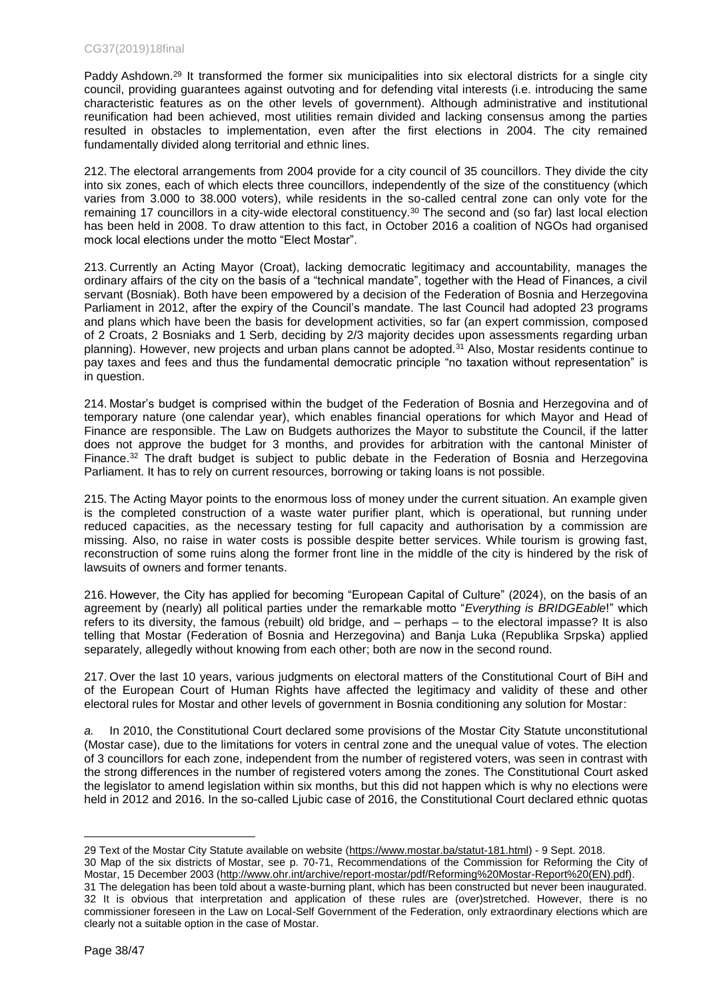### CG37(2019)18final

Paddy Ashdown.<sup>29</sup> It transformed the former six municipalities into six electoral districts for a single city council, providing guarantees against outvoting and for defending vital interests (i.e. introducing the same characteristic features as on the other levels of government). Although administrative and institutional reunification had been achieved, most utilities remain divided and lacking consensus among the parties resulted in obstacles to implementation, even after the first elections in 2004. The city remained fundamentally divided along territorial and ethnic lines.

212. The electoral arrangements from 2004 provide for a city council of 35 councillors. They divide the city into six zones, each of which elects three councillors, independently of the size of the constituency (which varies from 3.000 to 38.000 voters), while residents in the so-called central zone can only vote for the remaining 17 councillors in a city-wide electoral constituency.<sup>30</sup> The second and (so far) last local election has been held in 2008. To draw attention to this fact, in October 2016 a coalition of NGOs had organised mock local elections under the motto "Elect Mostar".

213. Currently an Acting Mayor (Croat), lacking democratic legitimacy and accountability, manages the ordinary affairs of the city on the basis of a "technical mandate", together with the Head of Finances, a civil servant (Bosniak). Both have been empowered by a decision of the Federation of Bosnia and Herzegovina Parliament in 2012, after the expiry of the Council's mandate. The last Council had adopted 23 programs and plans which have been the basis for development activities, so far (an expert commission, composed of 2 Croats, 2 Bosniaks and 1 Serb, deciding by 2/3 majority decides upon assessments regarding urban planning). However, new projects and urban plans cannot be adopted.<sup>31</sup> Also, Mostar residents continue to pay taxes and fees and thus the fundamental democratic principle "no taxation without representation" is in question.

214. Mostar's budget is comprised within the budget of the Federation of Bosnia and Herzegovina and of temporary nature (one calendar year), which enables financial operations for which Mayor and Head of Finance are responsible. The Law on Budgets authorizes the Mayor to substitute the Council, if the latter does not approve the budget for 3 months, and provides for arbitration with the cantonal Minister of Finance.<sup>32</sup> The draft budget is subject to public debate in the Federation of Bosnia and Herzegovina Parliament. It has to rely on current resources, borrowing or taking loans is not possible.

215. The Acting Mayor points to the enormous loss of money under the current situation. An example given is the completed construction of a waste water purifier plant, which is operational, but running under reduced capacities, as the necessary testing for full capacity and authorisation by a commission are missing. Also, no raise in water costs is possible despite better services. While tourism is growing fast, reconstruction of some ruins along the former front line in the middle of the city is hindered by the risk of lawsuits of owners and former tenants.

216. However, the City has applied for becoming "European Capital of Culture" (2024), on the basis of an agreement by (nearly) all political parties under the remarkable motto "*Everything is BRIDGEable*!" which refers to its diversity, the famous (rebuilt) old bridge, and – perhaps – to the electoral impasse? It is also telling that Mostar (Federation of Bosnia and Herzegovina) and Banja Luka (Republika Srpska) applied separately, allegedly without knowing from each other; both are now in the second round.

217. Over the last 10 years, various judgments on electoral matters of the Constitutional Court of BiH and of the European Court of Human Rights have affected the legitimacy and validity of these and other electoral rules for Mostar and other levels of government in Bosnia conditioning any solution for Mostar:

*a.* In 2010, the Constitutional Court declared some provisions of the Mostar City Statute unconstitutional (Mostar case), due to the limitations for voters in central zone and the unequal value of votes. The election of 3 councillors for each zone, independent from the number of registered voters, was seen in contrast with the strong differences in the number of registered voters among the zones. The Constitutional Court asked the legislator to amend legislation within six months, but this did not happen which is why no elections were held in 2012 and 2016. In the so-called Ljubic case of 2016, the Constitutional Court declared ethnic quotas

clearly not a suitable option in the case of Mostar.

<sup>29</sup> Text of the Mostar City Statute available on website [\(https://www.mostar.ba/statut-181.html\)](https://www.mostar.ba/statut-181.html) - 9 Sept. 2018. 30 Map of the six districts of Mostar, see p. 70-71, Recommendations of the Commission for Reforming the City of Mostar, 15 December 2003 [\(http://www.ohr.int/archive/report-mostar/pdf/Reforming%20Mostar-Report%20\(EN\).pdf\).](http://www.ohr.int/archive/report-mostar/pdf/Reforming%20Mostar-Report%20(EN).pdf)) 31 The delegation has been told about a waste-burning plant, which has been constructed but never been inaugurated. 32 It is obvious that interpretation and application of these rules are (over)stretched. However, there is no commissioner foreseen in the Law on Local-Self Government of the Federation, only extraordinary elections which are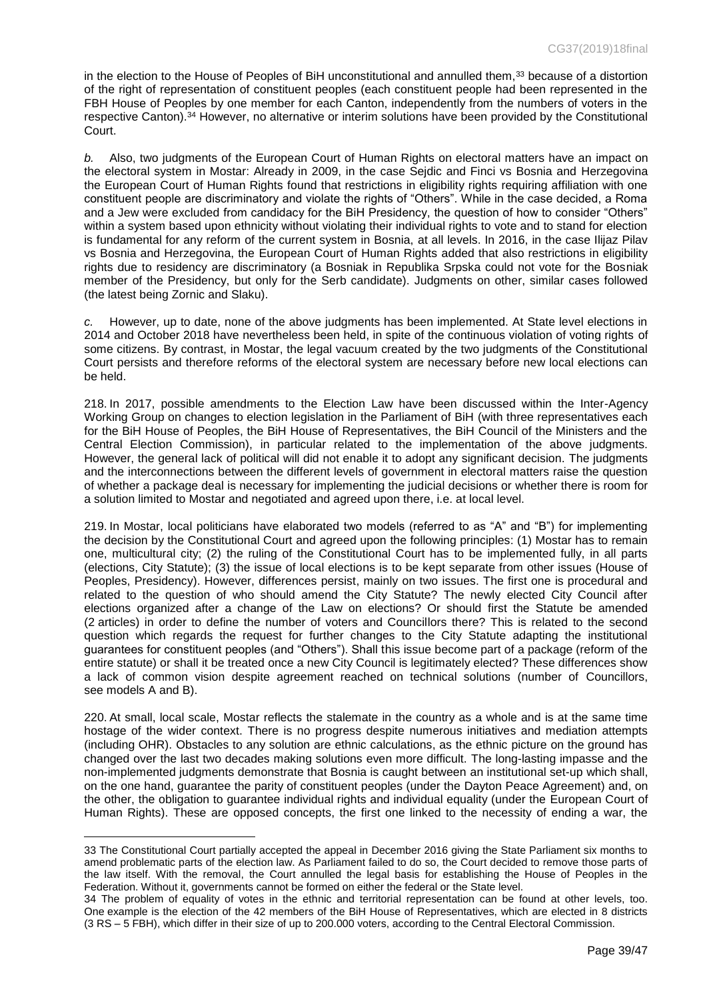in the election to the House of Peoples of BiH unconstitutional and annulled them,<sup>33</sup> because of a distortion of the right of representation of constituent peoples (each constituent people had been represented in the FBH House of Peoples by one member for each Canton, independently from the numbers of voters in the respective Canton).<sup>34</sup> However, no alternative or interim solutions have been provided by the Constitutional Court.

*b.* Also, two judgments of the European Court of Human Rights on electoral matters have an impact on the electoral system in Mostar: Already in 2009, in the case Sejdic and Finci vs Bosnia and Herzegovina the European Court of Human Rights found that restrictions in eligibility rights requiring affiliation with one constituent people are discriminatory and violate the rights of "Others". While in the case decided, a Roma and a Jew were excluded from candidacy for the BiH Presidency, the question of how to consider "Others" within a system based upon ethnicity without violating their individual rights to vote and to stand for election is fundamental for any reform of the current system in Bosnia, at all levels. In 2016, in the case Ilijaz Pilav vs Bosnia and Herzegovina, the European Court of Human Rights added that also restrictions in eligibility rights due to residency are discriminatory (a Bosniak in Republika Srpska could not vote for the Bosniak member of the Presidency, but only for the Serb candidate). Judgments on other, similar cases followed (the latest being Zornic and Slaku).

*c.* However, up to date, none of the above judgments has been implemented. At State level elections in 2014 and October 2018 have nevertheless been held, in spite of the continuous violation of voting rights of some citizens. By contrast, in Mostar, the legal vacuum created by the two judgments of the Constitutional Court persists and therefore reforms of the electoral system are necessary before new local elections can be held.

218. In 2017, possible amendments to the Election Law have been discussed within the Inter-Agency Working Group on changes to election legislation in the Parliament of BiH (with three representatives each for the BiH House of Peoples, the BiH House of Representatives, the BiH Council of the Ministers and the Central Election Commission), in particular related to the implementation of the above judgments. However, the general lack of political will did not enable it to adopt any significant decision. The judgments and the interconnections between the different levels of government in electoral matters raise the question of whether a package deal is necessary for implementing the judicial decisions or whether there is room for a solution limited to Mostar and negotiated and agreed upon there, i.e. at local level.

219. In Mostar, local politicians have elaborated two models (referred to as "A" and "B") for implementing the decision by the Constitutional Court and agreed upon the following principles: (1) Mostar has to remain one, multicultural city; (2) the ruling of the Constitutional Court has to be implemented fully, in all parts (elections, City Statute); (3) the issue of local elections is to be kept separate from other issues (House of Peoples, Presidency). However, differences persist, mainly on two issues. The first one is procedural and related to the question of who should amend the City Statute? The newly elected City Council after elections organized after a change of the Law on elections? Or should first the Statute be amended (2 articles) in order to define the number of voters and Councillors there? This is related to the second question which regards the request for further changes to the City Statute adapting the institutional guarantees for constituent peoples (and "Others"). Shall this issue become part of a package (reform of the entire statute) or shall it be treated once a new City Council is legitimately elected? These differences show a lack of common vision despite agreement reached on technical solutions (number of Councillors, see models A and B).

220. At small, local scale, Mostar reflects the stalemate in the country as a whole and is at the same time hostage of the wider context. There is no progress despite numerous initiatives and mediation attempts (including OHR). Obstacles to any solution are ethnic calculations, as the ethnic picture on the ground has changed over the last two decades making solutions even more difficult. The long-lasting impasse and the non-implemented judgments demonstrate that Bosnia is caught between an institutional set-up which shall, on the one hand, guarantee the parity of constituent peoples (under the Dayton Peace Agreement) and, on the other, the obligation to guarantee individual rights and individual equality (under the European Court of Human Rights). These are opposed concepts, the first one linked to the necessity of ending a war, the

<sup>33</sup> The Constitutional Court partially accepted the appeal in December 2016 giving the State Parliament six months to amend problematic parts of the election law. As Parliament failed to do so, the Court decided to remove those parts of the law itself. With the removal, the Court annulled the legal basis for establishing the House of Peoples in the Federation. Without it, governments cannot be formed on either the federal or the State level.

<sup>34</sup> The problem of equality of votes in the ethnic and territorial representation can be found at other levels, too. One example is the election of the 42 members of the BiH House of Representatives, which are elected in 8 districts (3 RS – 5 FBH), which differ in their size of up to 200.000 voters, according to the Central Electoral Commission.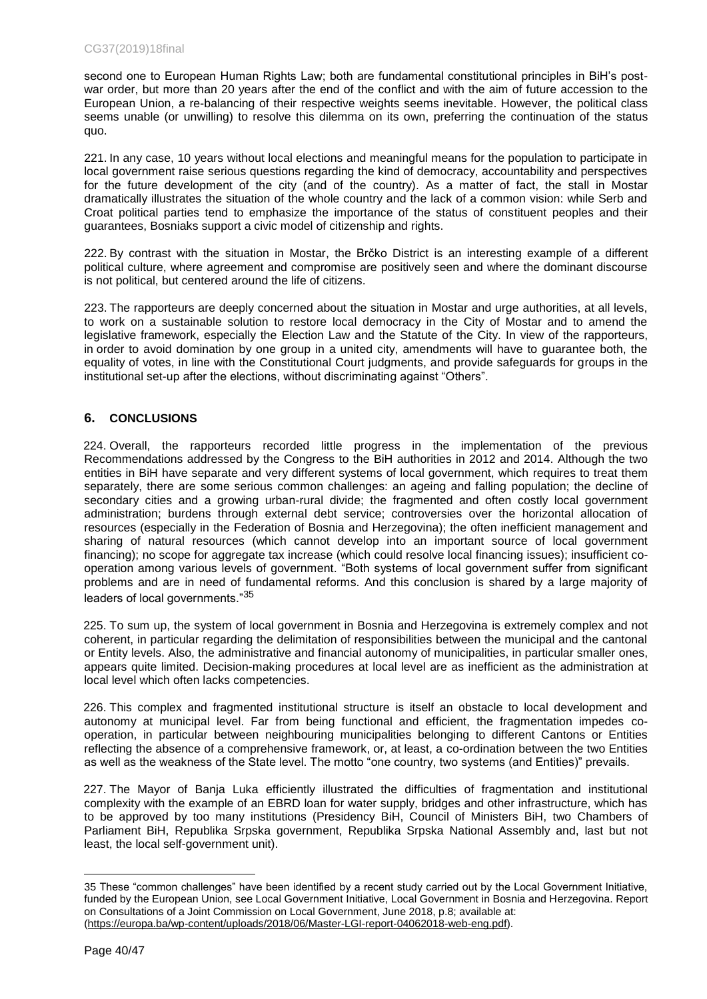second one to European Human Rights Law; both are fundamental constitutional principles in BiH's postwar order, but more than 20 years after the end of the conflict and with the aim of future accession to the European Union, a re-balancing of their respective weights seems inevitable. However, the political class seems unable (or unwilling) to resolve this dilemma on its own, preferring the continuation of the status quo.

221. In any case, 10 years without local elections and meaningful means for the population to participate in local government raise serious questions regarding the kind of democracy, accountability and perspectives for the future development of the city (and of the country). As a matter of fact, the stall in Mostar dramatically illustrates the situation of the whole country and the lack of a common vision: while Serb and Croat political parties tend to emphasize the importance of the status of constituent peoples and their guarantees, Bosniaks support a civic model of citizenship and rights.

222. By contrast with the situation in Mostar, the Brčko District is an interesting example of a different political culture, where agreement and compromise are positively seen and where the dominant discourse is not political, but centered around the life of citizens.

223. The rapporteurs are deeply concerned about the situation in Mostar and urge authorities, at all levels, to work on a sustainable solution to restore local democracy in the City of Mostar and to amend the legislative framework, especially the Election Law and the Statute of the City. In view of the rapporteurs, in order to avoid domination by one group in a united city, amendments will have to guarantee both, the equality of votes, in line with the Constitutional Court judgments, and provide safeguards for groups in the institutional set-up after the elections, without discriminating against "Others".

## <span id="page-39-0"></span>**6. CONCLUSIONS**

224. Overall, the rapporteurs recorded little progress in the implementation of the previous Recommendations addressed by the Congress to the BiH authorities in 2012 and 2014. Although the two entities in BiH have separate and very different systems of local government, which requires to treat them separately, there are some serious common challenges: an ageing and falling population; the decline of secondary cities and a growing urban-rural divide; the fragmented and often costly local government administration; burdens through external debt service; controversies over the horizontal allocation of resources (especially in the Federation of Bosnia and Herzegovina); the often inefficient management and sharing of natural resources (which cannot develop into an important source of local government financing); no scope for aggregate tax increase (which could resolve local financing issues); insufficient cooperation among various levels of government. "Both systems of local government suffer from significant problems and are in need of fundamental reforms. And this conclusion is shared by a large majority of leaders of local governments."<sup>35</sup>

225. To sum up, the system of local government in Bosnia and Herzegovina is extremely complex and not coherent, in particular regarding the delimitation of responsibilities between the municipal and the cantonal or Entity levels. Also, the administrative and financial autonomy of municipalities, in particular smaller ones, appears quite limited. Decision-making procedures at local level are as inefficient as the administration at local level which often lacks competencies.

226. This complex and fragmented institutional structure is itself an obstacle to local development and autonomy at municipal level. Far from being functional and efficient, the fragmentation impedes cooperation, in particular between neighbouring municipalities belonging to different Cantons or Entities reflecting the absence of a comprehensive framework, or, at least, a co-ordination between the two Entities as well as the weakness of the State level. The motto "one country, two systems (and Entities)" prevails.

227. The Mayor of Banja Luka efficiently illustrated the difficulties of fragmentation and institutional complexity with the example of an EBRD loan for water supply, bridges and other infrastructure, which has to be approved by too many institutions (Presidency BiH, Council of Ministers BiH, two Chambers of Parliament BiH, Republika Srpska government, Republika Srpska National Assembly and, last but not least, the local self-government unit).

<sup>35</sup> These "common challenges" have been identified by a recent study carried out by the Local Government Initiative, funded by the European Union, see Local Government Initiative, Local Government in Bosnia and Herzegovina. Report on Consultations of a Joint Commission on Local Government, June 2018, p.8; available at: [\(https://europa.ba/wp-content/uploads/2018/06/Master-LGI-report-04062018-web-eng.pdf\)](https://europa.ba/wp-content/uploads/2018/06/Master-LGI-report-04062018-web-eng.pdf).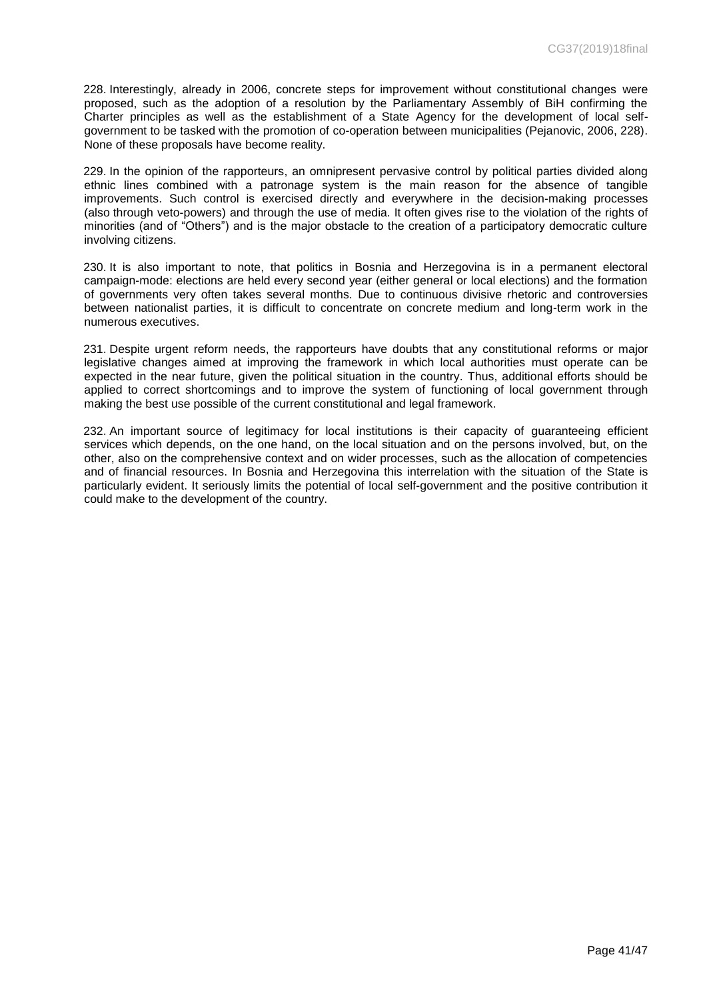228. Interestingly, already in 2006, concrete steps for improvement without constitutional changes were proposed, such as the adoption of a resolution by the Parliamentary Assembly of BiH confirming the Charter principles as well as the establishment of a State Agency for the development of local selfgovernment to be tasked with the promotion of co-operation between municipalities (Pejanovic, 2006, 228). None of these proposals have become reality.

229. In the opinion of the rapporteurs, an omnipresent pervasive control by political parties divided along ethnic lines combined with a patronage system is the main reason for the absence of tangible improvements. Such control is exercised directly and everywhere in the decision-making processes (also through veto-powers) and through the use of media. It often gives rise to the violation of the rights of minorities (and of "Others") and is the major obstacle to the creation of a participatory democratic culture involving citizens.

230. It is also important to note, that politics in Bosnia and Herzegovina is in a permanent electoral campaign-mode: elections are held every second year (either general or local elections) and the formation of governments very often takes several months. Due to continuous divisive rhetoric and controversies between nationalist parties, it is difficult to concentrate on concrete medium and long-term work in the numerous executives.

231. Despite urgent reform needs, the rapporteurs have doubts that any constitutional reforms or major legislative changes aimed at improving the framework in which local authorities must operate can be expected in the near future, given the political situation in the country. Thus, additional efforts should be applied to correct shortcomings and to improve the system of functioning of local government through making the best use possible of the current constitutional and legal framework.

232. An important source of legitimacy for local institutions is their capacity of guaranteeing efficient services which depends, on the one hand, on the local situation and on the persons involved, but, on the other, also on the comprehensive context and on wider processes, such as the allocation of competencies and of financial resources. In Bosnia and Herzegovina this interrelation with the situation of the State is particularly evident. It seriously limits the potential of local self-government and the positive contribution it could make to the development of the country.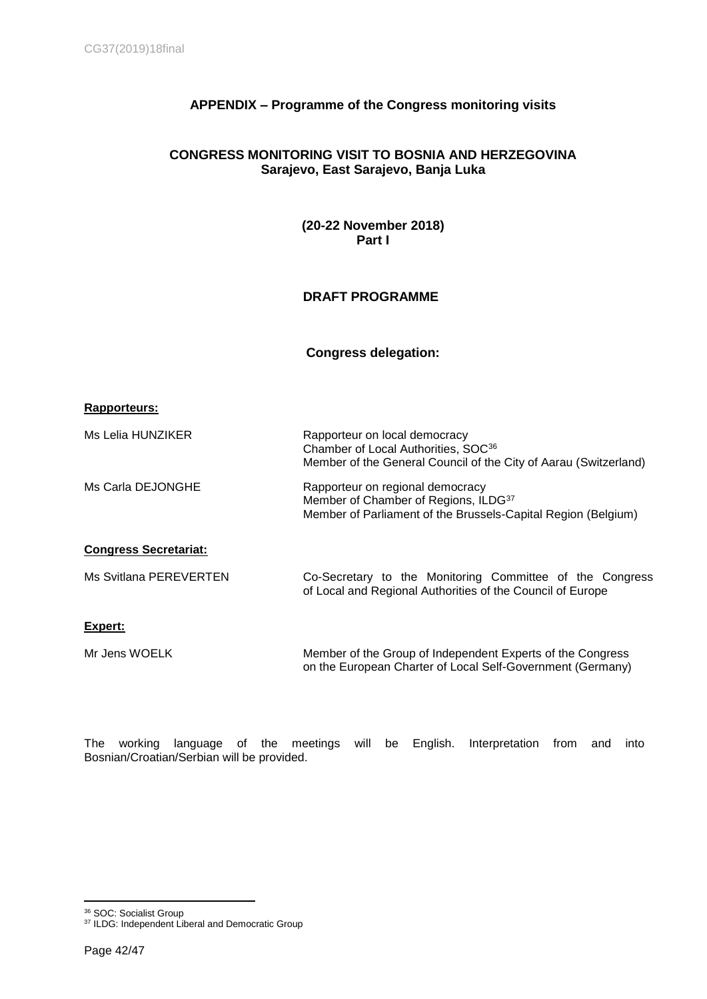# <span id="page-41-0"></span>**APPENDIX – Programme of the Congress monitoring visits**

## **CONGRESS MONITORING VISIT TO BOSNIA AND HERZEGOVINA Sarajevo, East Sarajevo, Banja Luka**

**(20-22 November 2018) Part I** 

# **DRAFT PROGRAMME**

## **Congress delegation:**

|  |  | Rapporteurs: |  |
|--|--|--------------|--|
|--|--|--------------|--|

| Ms Lelia HUNZIKER            | Rapporteur on local democracy<br>Chamber of Local Authorities, SOC <sup>36</sup><br>Member of the General Council of the City of Aarau (Switzerland)  |
|------------------------------|-------------------------------------------------------------------------------------------------------------------------------------------------------|
| Ms Carla DEJONGHE            | Rapporteur on regional democracy<br>Member of Chamber of Regions, ILDG <sup>37</sup><br>Member of Parliament of the Brussels-Capital Region (Belgium) |
| <b>Congress Secretariat:</b> |                                                                                                                                                       |
| Ms Svitlana PEREVERTEN       | Co-Secretary to the Monitoring Committee of the Congress<br>of Local and Regional Authorities of the Council of Europe                                |
| Expert:                      |                                                                                                                                                       |
| Mr Jens WOELK                | Member of the Group of Independent Experts of the Congress<br>on the European Charter of Local Self-Government (Germany)                              |

The working language of the meetings will be English. Interpretation from and into Bosnian/Croatian/Serbian will be provided.

 $\overline{a}$ <sup>36</sup> SOC: Socialist Group

<sup>&</sup>lt;sup>37</sup> ILDG: Independent Liberal and Democratic Group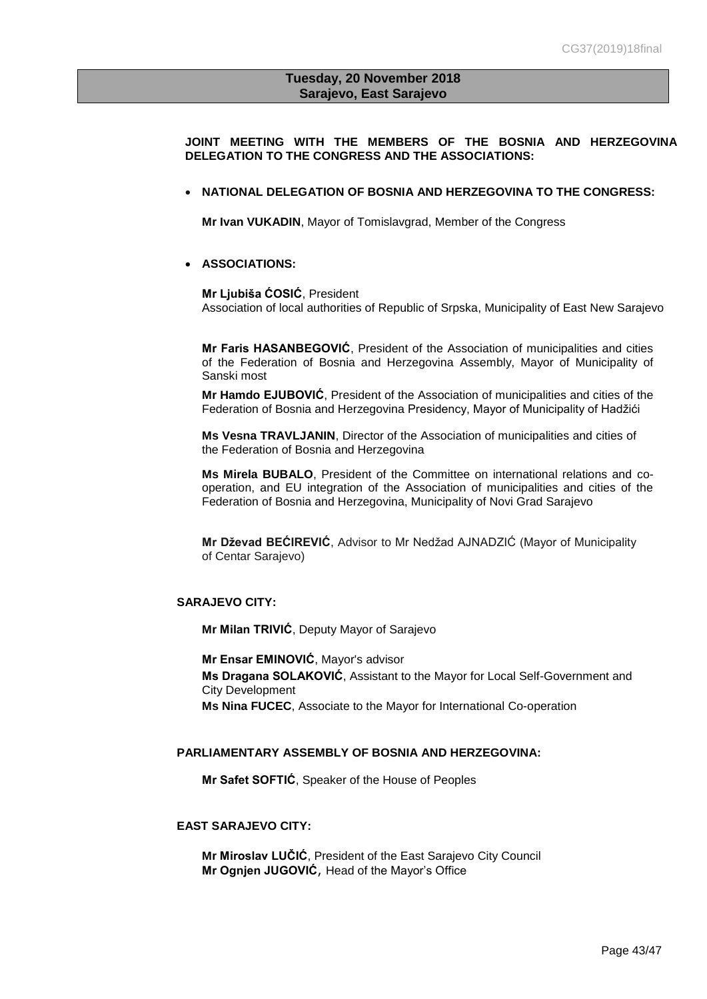## **Tuesday, 20 November 2018 Sarajevo, East Sarajevo**

**JOINT MEETING WITH THE MEMBERS OF THE BOSNIA AND HERZEGOVINA DELEGATION TO THE CONGRESS AND THE ASSOCIATIONS:** 

### **NATIONAL DELEGATION OF BOSNIA AND HERZEGOVINA TO THE CONGRESS:**

**Mr Ivan VUKADIN**, Mayor of Tomislavgrad, Member of the Congress

## **ASSOCIATIONS:**

**Mr Ljubiša ĆOSIĆ**, President Association of local authorities of Republic of Srpska, Municipality of East New Sarajevo

**Mr Faris HASANBEGOVIĆ**, President of the Association of municipalities and cities of the Federation of Bosnia and Herzegovina Assembly, Mayor of Municipality of Sanski most

**Mr Hamdo EJUBOVIĆ**, President of the Association of municipalities and cities of the Federation of Bosnia and Herzegovina Presidency, Mayor of Municipality of Hadžići

**Ms Vesna TRAVLJANIN**, Director of the Association of municipalities and cities of the Federation of Bosnia and Herzegovina

**Ms Mirela BUBALO**, President of the Committee on international relations and cooperation, and EU integration of the Association of municipalities and cities of the Federation of Bosnia and Herzegovina, Municipality of Novi Grad Sarajevo

**Mr Dževad BEĆIREVIĆ**, Advisor to Mr Nedžad AJNADZIĆ (Mayor of Municipality of Centar Sarajevo)

## **SARAJEVO CITY:**

**Mr Milan TRIVIĆ**, Deputy Mayor of Sarajevo

**Mr Ensar EMINOVIĆ**, Mayor's advisor **Ms Dragana SOLAKOVIĆ**, Assistant to the Mayor for Local Self-Government and City Development **Ms Nina FUCEC**, Associate to the Mayor for International Co-operation

### **PARLIAMENTARY ASSEMBLY OF BOSNIA AND HERZEGOVINA:**

**Mr Safet SOFTIĆ**, Speaker of the House of Peoples

### **EAST SARAJEVO CITY:**

**Mr [Miroslav LUČIĆ](https://www.glassrpske.com/drustvo/panorama/Miroslav-Lucic-predsjednik-Skupstine-grafa-Istocno-Sarajevo-Godina-na-izmaku-bila-veoma-uspjesna/225992.html)**, President of the East Sarajevo City Council **Mr Ognjen JUGOVIĆ**, Head of the Mayor's Office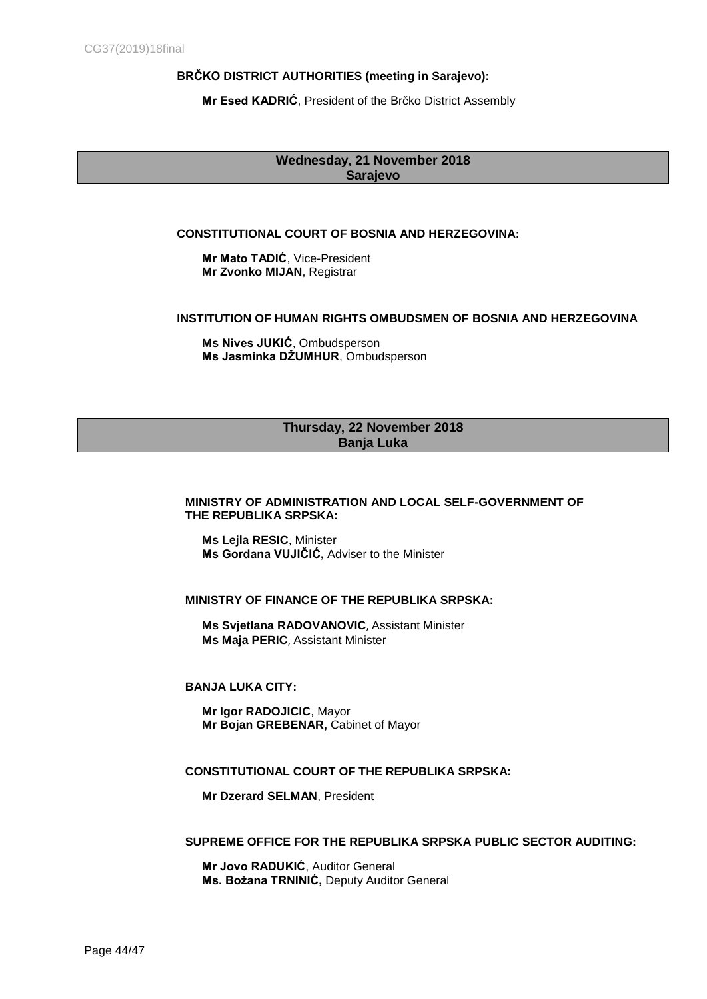## **[BRČKO](http://www.bdcentral.net/index.php/ba/vlada/gradonaelnik) DISTRICT AUTHORITIES (meeting in Sarajevo):**

**Mr Esed KADRIĆ**, President of the [Brčko](http://www.bdcentral.net/index.php/ba/vlada/gradonaelnik) District Assembly

## **Wednesday, 21 November 2018 Sarajevo**

## **CONSTITUTIONAL COURT OF BOSNIA AND HERZEGOVINA:**

**Mr Mato TADIĆ**, Vice-President **Mr Zvonko MIJAN**, Registrar

## **INSTITUTION OF HUMAN RIGHTS OMBUDSMEN OF BOSNIA AND HERZEGOVINA**

**Ms Nives JUKIĆ**, Ombudsperson **Ms Jasminka DŽUMHUR**, Ombudsperson

## **Thursday, 22 November 2018 Banja Luka**

## **MINISTRY OF ADMINISTRATION AND LOCAL SELF-GOVERNMENT OF THE REPUBLIKA SRPSKA:**

**Ms Lejla RESIC**, Minister **Ms Gordana VUJIČIĆ,** Adviser to the Minister

### **MINISTRY OF FINANCE OF THE REPUBLIKA SRPSKA:**

**Ms Svjetlana RADOVANOVIC**, Assistant Minister **Ms Maja PERIC**, Assistant Minister

### **BANJA LUKA CITY:**

**[Mr Igor RADOJICIC](http://www.congressdatabase.coe.int/WebForms/Public/FicheIndiv.aspx?id=028DBC67-0B4C-43D6-A6DA-F644D9ADF6CD)**, Mayor **Mr Bojan GREBENAR,** Cabinet of Mayor

### **CONSTITUTIONAL COURT OF THE REPUBLIKA SRPSKA:**

**Mr [Dzerard SELMAN](http://www.justice-report.com/en/articles/interview-dzerard-selman-clashing-court-jurisdictions-harm-bosnia-s-justice)**, President

### **SUPREME OFFICE FOR THE REPUBLIKA SRPSKA PUBLIC SECTOR AUDITING:**

**Mr Jovo RADUKIĆ**, Auditor General **Ms. Božana TRNINIĆ,** Deputy Auditor General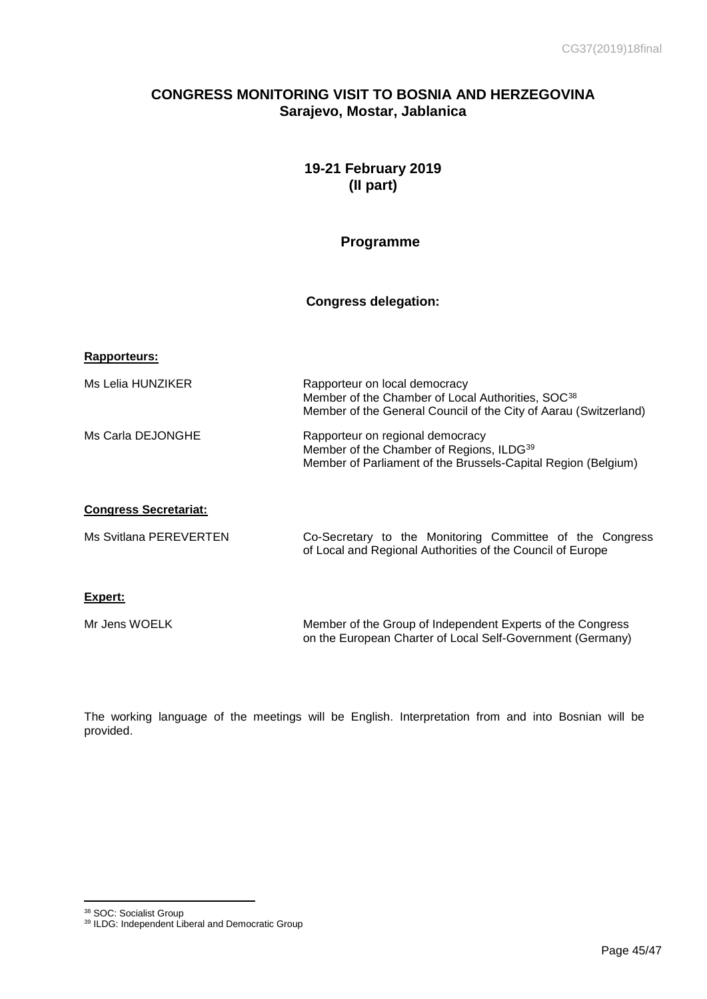# **CONGRESS MONITORING VISIT TO BOSNIA AND HERZEGOVINA Sarajevo, Mostar, Jablanica**

# **19-21 February 2019 (II part)**

# **Programme**

## **Congress delegation:**

## **Rapporteurs:**

| Ms Lelia HUNZIKER | Rapporteur on local democracy<br>Member of the Chamber of Local Authorities, SOC38<br>Member of the General Council of the City of Aarau (Switzerland)    |
|-------------------|-----------------------------------------------------------------------------------------------------------------------------------------------------------|
| Ms Carla DEJONGHE | Rapporteur on regional democracy<br>Member of the Chamber of Regions, ILDG <sup>39</sup><br>Member of Parliament of the Brussels-Capital Region (Belgium) |

## **Congress Secretariat:**

| Ms Svitlana PEREVERTEN | Co-Secretary to the Monitoring Committee of the Congress   |  |  |  |  |
|------------------------|------------------------------------------------------------|--|--|--|--|
|                        | of Local and Regional Authorities of the Council of Europe |  |  |  |  |

## **Expert:**

| Mr Jens WOELK | Member of the Group of Independent Experts of the Congress |
|---------------|------------------------------------------------------------|
|               | on the European Charter of Local Self-Government (Germany) |

The working language of the meetings will be English. Interpretation from and into Bosnian will be provided.

<sup>&</sup>lt;sup>38</sup> SOC: Socialist Group

<sup>&</sup>lt;sup>39</sup> ILDG: Independent Liberal and Democratic Group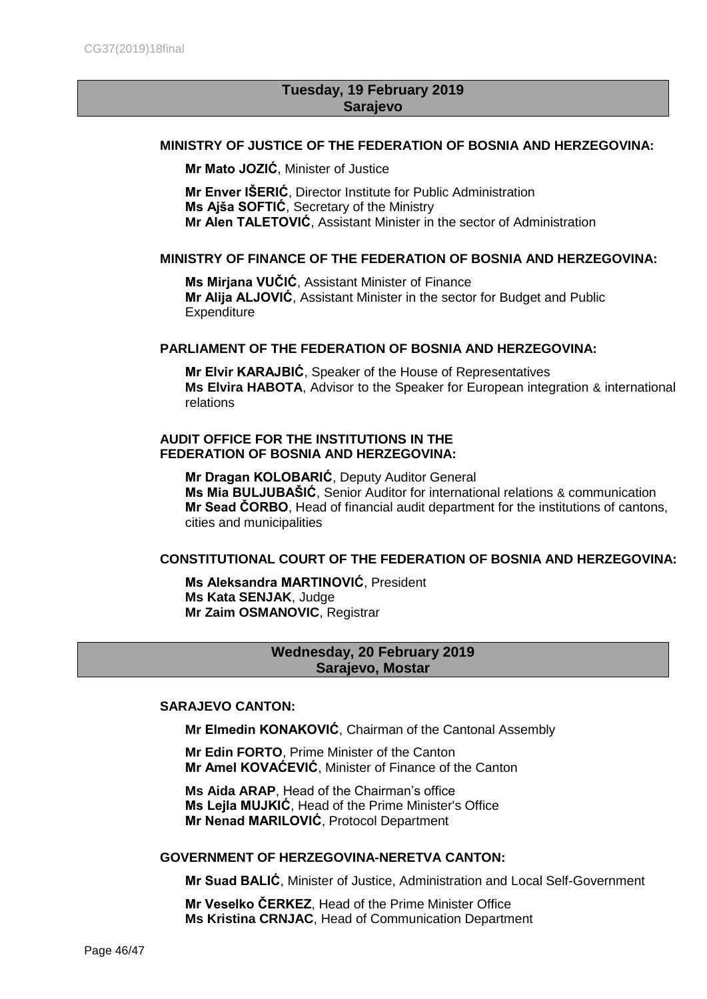# **Tuesday, 19 February 2019 Sarajevo**

## **MINISTRY OF JUSTICE OF THE FEDERATION OF BOSNIA AND HERZEGOVINA:**

**Mr Mato JOZIĆ**, Minister of Justice

**Mr Enver IŠERIĆ**, Director Institute for Public Administration **Ms Ajša SOFTIĆ**, Secretary of the Ministry **Mr Alen TALETOVIĆ**, Assistant Minister in the sector of Administration

## **MINISTRY OF FINANCE OF THE FEDERATION OF BOSNIA AND HERZEGOVINA:**

**Ms Mirjana VUČIĆ**, Assistant Minister of Finance **Mr Alija ALJOVIĆ**, Assistant Minister in the sector for Budget and Public **Expenditure** 

## **PARLIAMENT OF THE FEDERATION OF BOSNIA AND HERZEGOVINA:**

**Mr Elvir KARAJBIĆ**, Speaker of the House of Representatives **Ms Elvira HABOTA**, Advisor to the Speaker for European integration & international relations

## **AUDIT OFFICE FOR THE INSTITUTIONS IN THE FEDERATION OF BOSNIA AND HERZEGOVINA:**

**Mr Dragan KOLOBARIĆ**, Deputy Auditor General **Ms Mia BULJUBAŠIĆ**, Senior Auditor for international relations & communication **Mr Sead ČORBO**, Head of financial audit department for the institutions of cantons, cities and municipalities

## **CONSTITUTIONAL COURT OF THE FEDERATION OF BOSNIA AND HERZEGOVINA:**

**Ms Aleksandra MARTINOVIĆ**, President **Ms Kata SENJAK**, Judge **Mr Zaim OSMANOVIC**, Registrar

# **Wednesday, 20 February 2019 Sarajevo, Mostar**

## **SARAJEVO CANTON:**

**Mr [Elmedin KONAKOVIĆ](https://translate.googleusercontent.com/translate_c?depth=1&rurl=translate.google.com&sl=bs&sp=nmt4&tl=en&u=http://skupstina.ks.gov.ba/elmedin-konakovic&xid=17259,15700021,15700124,15700149,15700186,15700190,15700201,15700237,15700242&usg=ALkJrhg_5eesnHgZn7igw_TPrYAsr9PUrQ)**, Chairman of the Cantonal Assembly

**Mr Edin FORTO**, Prime Minister of the Canton **Mr Amel KOVAĆEVIĆ**, Minister of Finance of the Canton

**Ms Aida ARAP**, Head of the Chairman's office **Ms Lejla MUJKIĆ**, Head of the Prime Minister's Office **Mr Nenad MARILOVIĆ**, Protocol Department

### **GOVERNMENT OF [HERZEGOVINA-NERETVA CANTON:](https://en.wikipedia.org/wiki/Herzegovina-Neretva_Canton)**

**Mr Suad BALIĆ**, Minister of Justice, Administration and Local Self-Government

**Mr Veselko ČERKEZ**, Head of the Prime Minister Office **Ms Kristina CRNJAC**, Head of Communication Department